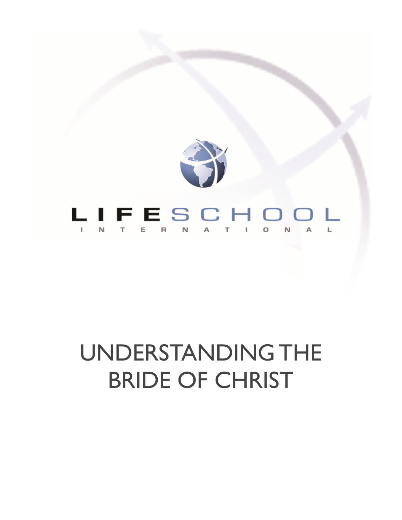

# UNDERSTANDING THE BRIDE OF CHRIST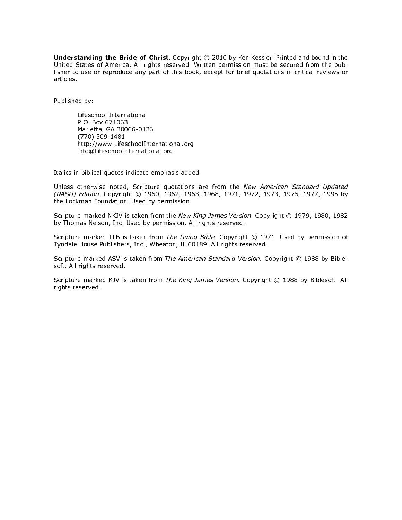Understanding the Bride of Christ. Copyright © 2010 by Ken Kessler. Printed and bound in the United States of America. All rights reserved. Written permission must be secured from the publisher to use or reproduce any part of this book, except for brief quotations in critical reviews or articles.

Published by:

Lifeschool International P.O. Box 671063 Marietta, GA 30066-0136 (770) 509-1481 http://www.LifeschoolInternational.org info@Lifeschoolinternational.org

Italics in biblical quotes indicate emphasis added.

Unless otherwise noted, Scripture quotations are from the New American Standard Updated (NASU) Edition. Copyright © 1960, 1962, 1963, 1968, 1971, 1972, 1973, 1975, 1977, 1995 by the Lockman Foundation. Used by permission.

Scripture marked NKJV is taken from the New King James Version. Copyright © 1979, 1980, 1982 by Thomas Nelson, Inc. Used by permission. All rights reserved.

Scripture marked TLB is taken from The Living Bible. Copyright © 1971. Used by permission of Tyndale House Publishers, Inc., Wheaton, IL 60189. All rights reserved.

Scripture marked ASV is taken from The American Standard Version. Copyright © 1988 by Biblesoft. All rights reserved.

Scripture marked KJV is taken from The King James Version. Copyright © 1988 by Biblesoft. All rights reserved.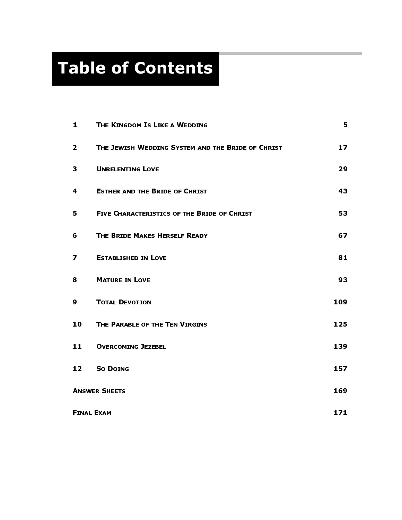# Table of Contents

| 1                    | THE KINGDOM IS LIKE A WEDDING                      | 5               |
|----------------------|----------------------------------------------------|-----------------|
| $\overline{2}$       | THE JEWISH WEDDING SYSTEM AND THE BRIDE OF CHRIST  | 17 <sub>2</sub> |
| 3                    | <b>UNRELENTING LOVE</b>                            | 29              |
| 4                    | <b>ESTHER AND THE BRIDE OF CHRIST</b>              | 43              |
| 5                    | <b>FIVE CHARACTERISTICS OF THE BRIDE OF CHRIST</b> | 53              |
| 6                    | THE BRIDE MAKES HERSELF READY                      | 67              |
| 7                    | <b>ESTABLISHED IN LOVE</b>                         | 81              |
| 8                    | <b>MATURE IN LOVE</b>                              | 93              |
| 9                    | <b>TOTAL DEVOTION</b>                              | 109             |
| 10                   | THE PARABLE OF THE TEN VIRGINS                     | 125             |
| 11                   | <b>OVERCOMING JEZEBEL</b>                          | 139             |
| 12                   | <b>SO DOING</b>                                    | 157             |
| <b>ANSWER SHEETS</b> |                                                    | 169             |
| <b>FINAL EXAM</b>    |                                                    | 171             |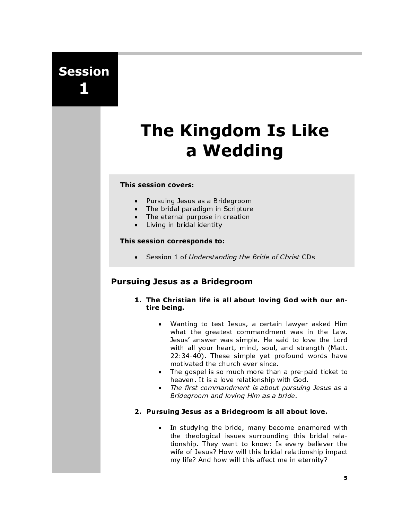Session 1

# The Kingdom Is Like a Wedding

#### This session covers:

- Pursuing Jesus as a Bridegroom
- The bridal paradigm in Scripture
- The eternal purpose in creation
- Living in bridal identity

#### This session corresponds to:

• Session 1 of Understanding the Bride of Christ CDs

# Pursuing Jesus as a Bridegroom

- 1. The Christian life is all about loving God with our entire being.
	- Wanting to test Jesus, a certain lawyer asked Him what the greatest commandment was in the Law. Jesus' answer was simple. He said to love the Lord with all your heart, mind, soul, and strength (Matt. 22:34-40). These simple yet profound words have motivated the church ever since.
	- The gospel is so much more than a pre-paid ticket to heaven. It is a love relationship with God.
	- The first commandment is about pursuing Jesus as a Bridegroom and loving Him as a bride.

#### 2. Pursuing Jesus as a Bridegroom is all about love.

In studying the bride, many become enamored with the theological issues surrounding this bridal relationship. They want to know: Is every believer the wife of Jesus? How will this bridal relationship impact my life? And how will this affect me in eternity?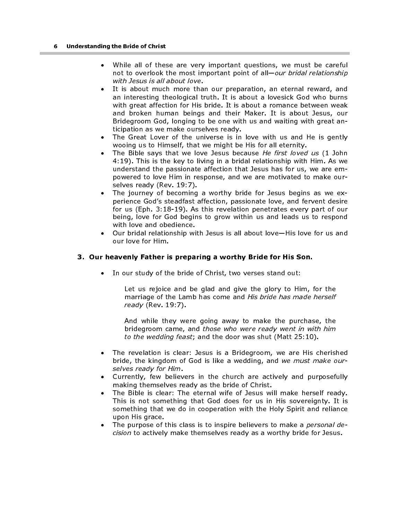- While all of these are very important questions, we must be careful not to overlook the most important point of all—our bridal relationship with Jesus is all about love.
- It is about much more than our preparation, an eternal reward, and an interesting theological truth. It is about a lovesick God who burns with great affection for His bride. It is about a romance between weak and broken human beings and their Maker. It is about Jesus, our Bridegroom God, longing to be one with us and waiting with great anticipation as we make ourselves ready.
- The Great Lover of the universe is in love with us and He is gently wooing us to Himself, that we might be His for all eternity.
- The Bible says that we love Jesus because He first loved us (1 John 4:19). This is the key to living in a bridal relationship with Him. As we understand the passionate affection that Jesus has for us, we are empowered to love Him in response, and we are motivated to make ourselves ready (Rev. 19:7).
- The journey of becoming a worthy bride for Jesus begins as we experience God's steadfast affection, passionate love, and fervent desire for us (Eph. 3:18-19). As this revelation penetrates every part of our being, love for God begins to grow within us and leads us to respond with love and obedience.
- Our bridal relationship with Jesus is all about love—His love for us and our love for Him.

#### 3. Our heavenly Father is preparing a worthy Bride for His Son.

• In our study of the bride of Christ, two verses stand out:

Let us rejoice and be glad and give the glory to Him, for the marriage of the Lamb has come and His bride has made herself ready (Rev. 19:7).

And while they were going away to make the purchase, the bridegroom came, and those who were ready went in with him to the wedding feast; and the door was shut (Matt 25:10).

- The revelation is clear: Jesus is a Bridegroom, we are His cherished bride, the kingdom of God is like a wedding, and we must make ourselves ready for Him.
- Currently, few believers in the church are actively and purposefully making themselves ready as the bride of Christ.
- The Bible is clear: The eternal wife of Jesus will make herself ready. This is not something that God does for us in His sovereignty. It is something that we do in cooperation with the Holy Spirit and reliance upon His grace.
- The purpose of this class is to inspire believers to make a *personal de*cision to actively make themselves ready as a worthy bride for Jesus.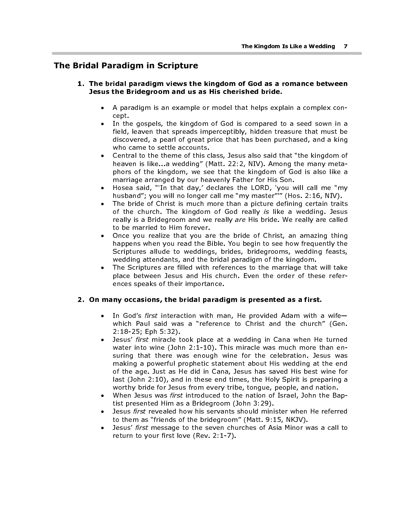### The Bridal Paradigm in Scripture

- 1. The bridal paradigm views the kingdom of God as a romance between Jesus the Bridegroom and us as His cherished bride.
	- A paradigm is an example or model that helps explain a complex concept.
	- In the gospels, the kingdom of God is compared to a seed sown in a field, leaven that spreads imperceptibly, hidden treasure that must be discovered, a pearl of great price that has been purchased, and a king who came to settle accounts.
	- Central to the theme of this class, Jesus also said that "the kingdom of heaven is like...a wedding" (Matt. 22:2, NIV). Among the many metaphors of the kingdom, we see that the kingdom of God is also like a marriage arranged by our heavenly Father for His Son.
	- Hosea said, "'In that day,' declares the LORD, 'you will call me "my husband"; you will no longer call me "my master"'" (Hos. 2:16, NIV).
	- The bride of Christ is much more than a picture defining certain traits of the church. The kingdom of God really is like a wedding. Jesus really is a Bridegroom and we really are His bride. We really are called to be married to Him forever.
	- Once you realize that you are the bride of Christ, an amazing thing happens when you read the Bible. You begin to see how frequently the Scriptures allude to weddings, brides, bridegrooms, wedding feasts, wedding attendants, and the bridal paradigm of the kingdom.
	- The Scriptures are filled with references to the marriage that will take place between Jesus and His church. Even the order of these references speaks of their importance.

#### 2. On many occasions, the bridal paradigm is presented as a first.

- In God's first interaction with man, He provided Adam with a wifewhich Paul said was a "reference to Christ and the church" (Gen. 2:18-25; Eph 5:32).
- Jesus' first miracle took place at a wedding in Cana when He turned water into wine (John 2:1-10). This miracle was much more than ensuring that there was enough wine for the celebration. Jesus was making a powerful prophetic statement about His wedding at the end of the age. Just as He did in Cana, Jesus has saved His best wine for last (John 2:10), and in these end times, the Holy Spirit is preparing a worthy bride for Jesus from every tribe, tongue, people, and nation.
- When Jesus was first introduced to the nation of Israel, John the Baptist presented Him as a Bridegroom (John 3:29).
- Jesus first revealed how his servants should minister when He referred to them as "friends of the bridegroom" (Matt. 9:15, NKJV).
- Jesus' first message to the seven churches of Asia Minor was a call to return to your first love (Rev. 2:1-7).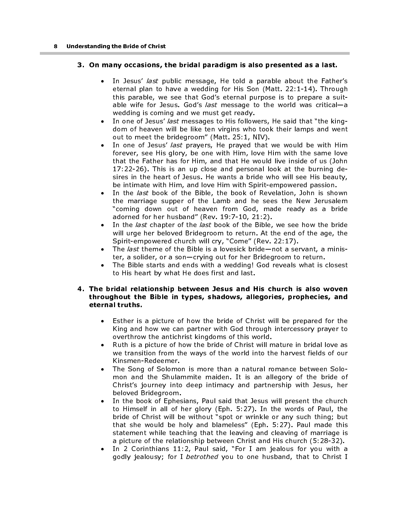#### 3. On many occasions, the bridal paradigm is also presented as a last.

- In Jesus' last public message, He told a parable about the Father's eternal plan to have a wedding for His Son (Matt. 22:1-14). Through this parable, we see that God's eternal purpose is to prepare a suitable wife for Jesus. God's last message to the world was critical-a wedding is coming and we must get ready.
- In one of Jesus' last messages to His followers, He said that "the kingdom of heaven will be like ten virgins who took their lamps and went out to meet the bridegroom" (Matt. 25:1, NIV).
- In one of Jesus' last prayers, He prayed that we would be with Him forever, see His glory, be one with Him, love Him with the same love that the Father has for Him, and that He would live inside of us (John 17:22-26). This is an up close and personal look at the burning desires in the heart of Jesus. He wants a bride who will see His beauty, be intimate with Him, and love Him with Spirit-empowered passion.
- In the last book of the Bible, the book of Revelation, John is shown the marriage supper of the Lamb and he sees the New Jerusalem "coming down out of heaven from God, made ready as a bride adorned for her husband" (Rev. 19:7-10, 21:2).
- In the *last* chapter of the *last* book of the Bible, we see how the bride will urge her beloved Bridegroom to return. At the end of the age, the Spirit-empowered church will cry, "Come" (Rev. 22:17).
- The *last* theme of the Bible is a lovesick bride—not a servant, a minister, a solider, or a son—crying out for her Bridegroom to return.
- The Bible starts and ends with a wedding! God reveals what is closest to His heart by what He does first and last.

#### 4. The bridal relationship between Jesus and His church is also woven throughout the Bible in types, shadows, allegories, prophecies, and eternal truths.

- Esther is a picture of how the bride of Christ will be prepared for the King and how we can partner with God through intercessory prayer to overthrow the antichrist kingdoms of this world.
- Ruth is a picture of how the bride of Christ will mature in bridal love as we transition from the ways of the world into the harvest fields of our Kinsmen-Redeemer.
- The Song of Solomon is more than a natural romance between Solomon and the Shulammite maiden. It is an allegory of the bride of Christ's journey into deep intimacy and partnership with Jesus, her beloved Bridegroom.
- In the book of Ephesians, Paul said that Jesus will present the church to Himself in all of her glory (Eph. 5:27). In the words of Paul, the bride of Christ will be without "spot or wrinkle or any such thing; but that she would be holy and blameless" (Eph. 5:27). Paul made this statement while teaching that the leaving and cleaving of marriage is a picture of the relationship between Christ and His church (5:28-32).
- In 2 Corinthians 11:2, Paul said, "For I am jealous for you with a godly jealousy; for I betrothed you to one husband, that to Christ I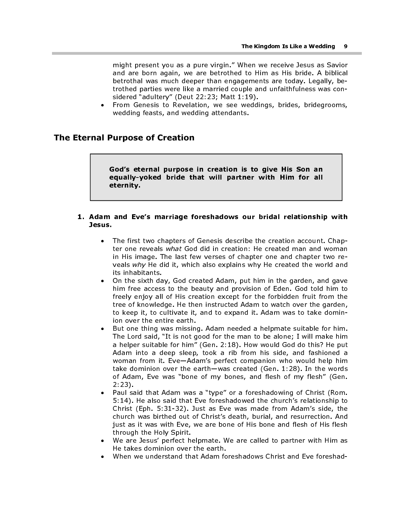might present you as a pure virgin." When we receive Jesus as Savior and are born again, we are betrothed to Him as His bride. A biblical betrothal was much deeper than engagements are today. Legally, betrothed parties were like a married couple and unfaithfulness was considered "adultery" (Deut 22:23; Matt 1:19). The Kingdom Is Like a Wedding<br>
might present you as a pure virgin." When we receive Jesus as Sav<br>
and are born again, we are betrothed to Him as His bride. A bibl<br>
betrothal was much deeper than engagements are today. Lega

From Genesis to Revelation, we see weddings, brides, bridegrooms, wedding feasts, and wedding attendants.

# The Eternal Purpose of Creation

equally-yoked bride that will partner with Him for all eternity.

#### 1. Adam and Eve's marriage foreshadows our bridal relationship with Jesus.

- The first two chapters of Genesis describe the creation account. Chapter one reveals what God did in creation: He created man and woman in His image. The last few verses of chapter one and chapter two reveals why He did it, which also explains why He created the world and its inhabitants.
- On the sixth day, God created Adam, put him in the garden, and gave him free access to the beauty and provision of Eden. God told him to freely enjoy all of His creation except for the forbidden fruit from the tree of knowledge. He then instructed Adam to watch over the garden, to keep it, to cultivate it, and to expand it. Adam was to take dominion over the entire earth.
- But one thing was missing. Adam needed a helpmate suitable for him. The Lord said, "It is not good for the man to be alone; I will make him a helper suitable for him" (Gen. 2:18). How would God do this? He put Adam into a deep sleep, took a rib from his side, and fashioned a woman from it. Eve—Adam's perfect companion who would help him take dominion over the earth—was created (Gen. 1:28). In the words of Adam, Eve was "bone of my bones, and flesh of my flesh" (Gen. 2:23).
- Paul said that Adam was a "type" or a foreshadowing of Christ (Rom. 5:14). He also said that Eve foreshadowed the church's relationship to Christ (Eph. 5:31-32). Just as Eve was made from Adam's side, the church was birthed out of Christ's death, burial, and resurrection. And just as it was with Eve, we are bone of His bone and flesh of His flesh through the Holy Spirit.
- We are Jesus' perfect helpmate. We are called to partner with Him as He takes dominion over the earth.
- When we understand that Adam foreshadows Christ and Eve foreshad-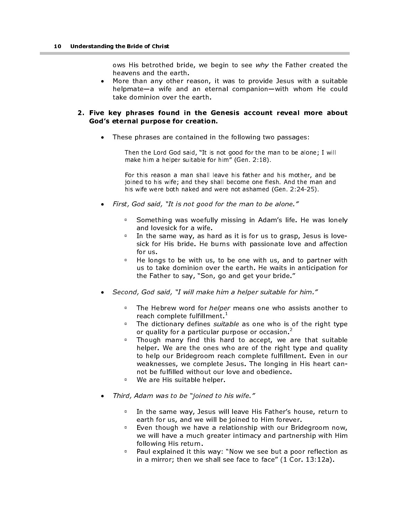ows His betrothed bride, we begin to see why the Father created the heavens and the earth.

• More than any other reason, it was to provide Jesus with a suitable helpmate—a wife and an eternal companion—with whom He could take dominion over the earth.

#### 2. Five key phrases found in the Genesis account reveal more about God's eternal purpose for creation.

• These phrases are contained in the following two passages:

Then the Lord God said, "It is not good for the man to be alone; I will make him a helper suitable for him" (Gen. 2:18).

For this reason a man shall leave his father and his mother, and be joined to his wife; and they shall become one flesh. And the man and his wife were both naked and were not ashamed (Gen. 2:24-25).

- First, God said, "It is not good for the man to be alone."
	- **Something was woefully missing in Adam's life. He was lonely** and lovesick for a wife.
	- <sup>o</sup> In the same way, as hard as it is for us to grasp, Jesus is lovesick for His bride. He burns with passionate love and affection for us.
	- He longs to be with us, to be one with us, and to partner with us to take dominion over the earth. He waits in anticipation for the Father to say, "Son, go and get your bride."
- Second, God said, "I will make him a helper suitable for him."
	- The Hebrew word for *helper* means one who assists another to reach complete fulfillment.<sup>1</sup>
	- The dictionary defines *suitable* as one who is of the right type or quality for a particular purpose or occasion. $2$
	- Though many find this hard to accept, we are that suitable helper. We are the ones who are of the right type and quality to help our Bridegroom reach complete fulfillment. Even in our weaknesses, we complete Jesus. The longing in His heart cannot be fulfilled without our love and obedience.
	- We are His suitable helper.
- Third, Adam was to be "joined to his wife."
	- In the same way, Jesus will leave His Father's house, return to earth for us, and we will be joined to Him forever.
	- **Even though we have a relationship with our Bridegroom now,** we will have a much greater intimacy and partnership with Him following His return.
	- Paul explained it this way: "Now we see but a poor reflection as in a mirror; then we shall see face to face" (1 Cor. 13:12a).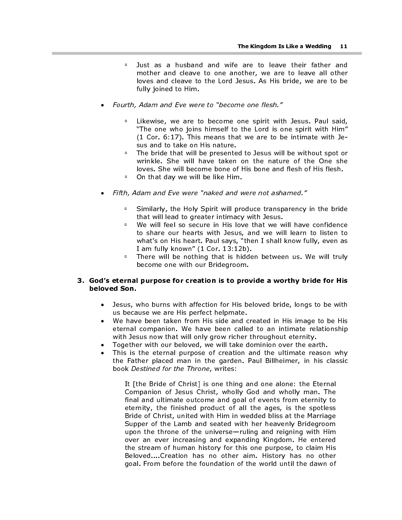- **Just as a husband and wife are to leave their father and** mother and cleave to one another, we are to leave all other loves and cleave to the Lord Jesus. As His bride, we are to be fully joined to Him.
- Fourth, Adam and Eve were to "become one flesh."
	- Likewise, we are to become one spirit with Jesus. Paul said, "The one who joins himself to the Lord is one spirit with Him" (1 Cor. 6:17). This means that we are to be intimate with Jesus and to take on His nature.
	- The bride that will be presented to Jesus will be without spot or wrinkle. She will have taken on the nature of the One she loves. She will become bone of His bone and flesh of His flesh.
	- **On that day we will be like Him.**
- Fifth, Adam and Eve were "naked and were not ashamed."
	- **Similarly, the Holy Spirit will produce transparency in the bride** that will lead to greater intimacy with Jesus.
	- We will feel so secure in His love that we will have confidence to share our hearts with Jesus, and we will learn to listen to what's on His heart. Paul says, "then I shall know fully, even as I am fully known" (1 Cor. 13:12b).
	- There will be nothing that is hidden between us. We will truly become one with our Bridegroom.

#### 3. God's eternal purpose for creation is to provide a worthy bride for His beloved Son.

- Jesus, who burns with affection for His beloved bride, longs to be with us because we are His perfect helpmate.
- We have been taken from His side and created in His image to be His eternal companion. We have been called to an intimate relationship with Jesus now that will only grow richer throughout eternity.
- Together with our beloved, we will take dominion over the earth.
- This is the eternal purpose of creation and the ultimate reason why the Father placed man in the garden. Paul Billheimer, in his classic book Destined for the Throne, writes:

It [the Bride of Christ] is one thing and one alone: the Eternal Companion of Jesus Christ, wholly God and wholly man. The final and ultimate outcome and goal of events from eternity to eternity, the finished product of all the ages, is the spotless Bride of Christ, united with Him in wedded bliss at the Marriage Supper of the Lamb and seated with her heavenly Bridegroom upon the throne of the universe—ruling and reigning with Him over an ever increasing and expanding Kingdom. He entered the stream of human history for this one purpose, to claim His Beloved....Creation has no other aim. History has no other goal. From before the foundation of the world until the dawn of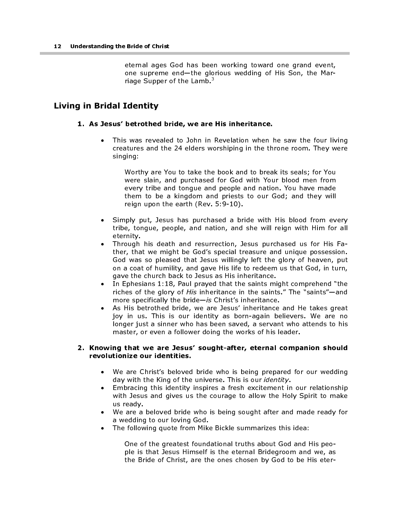eternal ages God has been working toward one grand event, one supreme end—the glorious wedding of His Son, the Marriage Supper of the Lamb.<sup>3</sup>

# Living in Bridal Identity

#### 1. As Jesus' betrothed bride, we are His inheritance.

This was revealed to John in Revelation when he saw the four living creatures and the 24 elders worshiping in the throne room. They were singing:

Worthy are You to take the book and to break its seals; for You were slain, and purchased for God with Your blood men from every tribe and tongue and people and nation. You have made them to be a kingdom and priests to our God; and they will reign upon the earth (Rev. 5:9-10).

- Simply put, Jesus has purchased a bride with His blood from every tribe, tongue, people, and nation, and she will reign with Him for all eternity.
- Through his death and resurrection, Jesus purchased us for His Father, that we might be God's special treasure and unique possession. God was so pleased that Jesus willingly left the glory of heaven, put on a coat of humility, and gave His life to redeem us that God, in turn, gave the church back to Jesus as His inheritance.
- In Ephesians 1:18, Paul prayed that the saints might comprehend "the riches of the glory of His inheritance in the saints." The "saints"—and more specifically the bride—is Christ's inheritance.
- As His betrothed bride, we are Jesus' inheritance and He takes great joy in us. This is our identity as born-again believers. We are no longer just a sinner who has been saved, a servant who attends to his master, or even a follower doing the works of his leader.

#### 2. Knowing that we are Jesus' sought-after, eternal companion should revolutionize our identities.

- We are Christ's beloved bride who is being prepared for our wedding day with the King of the universe. This is our *identity*.
- Embracing this identity inspires a fresh excitement in our relationship with Jesus and gives us the courage to allow the Holy Spirit to make us ready.
- We are a beloved bride who is being sought after and made ready for a wedding to our loving God.
- The following quote from Mike Bickle summarizes this idea:

One of the greatest foundational truths about God and His people is that Jesus Himself is the eternal Bridegroom and we, as the Bride of Christ, are the ones chosen by God to be His eter-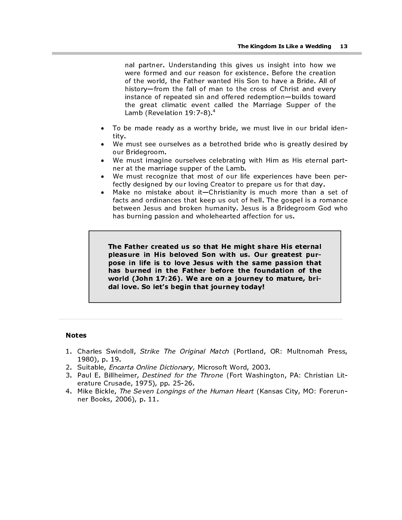nal partner. Understanding this gives us insight into how we were formed and our reason for existence. Before the creation of the world, the Father wanted His Son to have a Bride. All of history—from the fall of man to the cross of Christ and every instance of repeated sin and offered redemption—builds toward the great climatic event called the Marriage Supper of the Lamb (Revelation  $19:7-8$ ). $4$ The Kingdom Is Like a Wedding<br>nal partner. Understanding this gives us insight into how we<br>were formed and our reason for existence. Before the creation<br>of the world, the Father wanted His Son to have a Bride. All o<br>histor

- To be made ready as a worthy bride, we must live in our bridal identity.
- We must see ourselves as a betrothed bride who is greatly desired by our Bridegroom.
- We must imagine ourselves celebrating with Him as His eternal partner at the marriage supper of the Lamb.
- We must recognize that most of our life experiences have been perfectly designed by our loving Creator to prepare us for that day.
- Make no mistake about it-Christianity is much more than a set of facts and ordinances that keep us out of hell. The gospel is a romance between Jesus and broken humanity. Jesus is a Bridegroom God who has burning passion and wholehearted affection for us.

pleasure in His beloved Son with us. Our greatest purpose in life is to love Jesus with the same passion that has burned in the Father before the foundation of the world (John 17:26). We are on a journey to mature, bridal love. So let's begin that journey today!

#### Notes

- 1. Charles Swindoll, Strike The Original Match (Portland, OR: Multnomah Press, 1980), p. 19.
- 2. Suitable, Encarta Online Dictionary, Microsoft Word, 2003.
- 3. Paul E. Billheimer, Destined for the Throne (Fort Washington, PA: Christian Literature Crusade, 1975), pp. 25-26.
- 4. Mike Bickle, The Seven Longings of the Human Heart (Kansas City, MO: Forerunner Books, 2006), p. 11.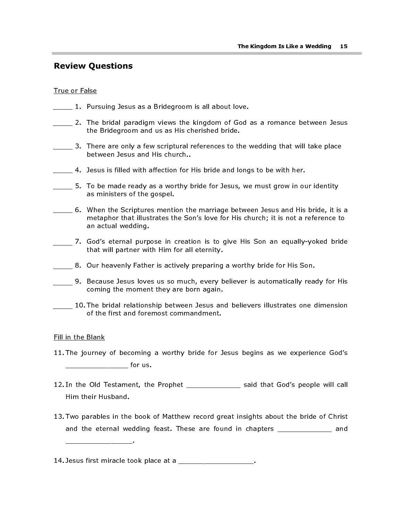# Review Questions

#### True or False

- 1. Pursuing Jesus as a Bridegroom is all about love.
- 2. The bridal paradigm views the kingdom of God as a romance between Jesus the Bridegroom and us as His cherished bride.
- 3. There are only a few scriptural references to the wedding that will take place between Jesus and His church..
- 4. Jesus is filled with affection for His bride and longs to be with her.
- 5. To be made ready as a worthy bride for Jesus, we must grow in our identity as ministers of the gospel.
- 6. When the Scriptures mention the marriage between Jesus and His bride, it is a metaphor that illustrates the Son's love for His church; it is not a reference to an actual wedding.
- 7. God's eternal purpose in creation is to give His Son an equally-yoked bride that will partner with Him for all eternity.
- 8. Our heavenly Father is actively preparing a worthy bride for His Son.
- 9. Because Jesus loves us so much, every believer is automatically ready for His coming the moment they are born again.
- 10. The bridal relationship between Jesus and believers illustrates one dimension of the first and foremost commandment.

#### Fill in the Blank

\_\_\_\_\_\_\_\_\_\_\_\_\_\_\_\_.

- 11. The journey of becoming a worthy bride for Jesus begins as we experience God's \_\_\_\_\_\_\_\_\_\_\_\_\_\_\_\_\_\_\_\_\_\_\_ for us.
- 12. In the Old Testament, the Prophet \_\_\_\_\_\_\_\_\_\_\_\_\_ said that God's people will call Him their Husband.
- 13. Two parables in the book of Matthew record great insights about the bride of Christ and the eternal wedding feast. These are found in chapters \_\_\_\_\_\_\_\_\_\_\_\_\_\_ and
- 14. Jesus first miracle took place at a \_\_\_\_\_\_\_\_\_\_\_\_\_\_\_\_\_\_\_\_.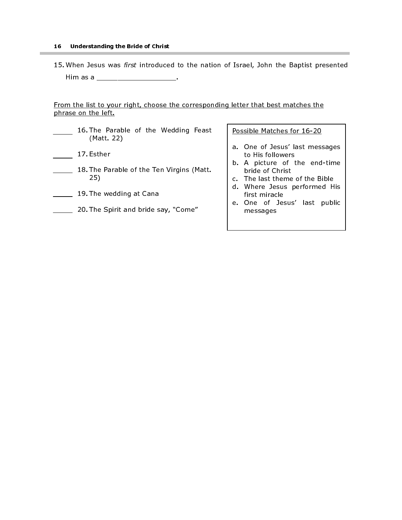#### 16 Understanding the Bride of Christ

15. When Jesus was first introduced to the nation of Israel, John the Baptist presented Him as a \_\_\_\_\_\_\_\_\_\_\_\_\_\_\_\_\_\_\_\_\_\_.

#### From the list to your right, choose the corresponding letter that best matches the phrase on the left.

- 16. The Parable of the Wedding Feast (Matt. 22)
- **17. Esther**
- 18. The Parable of the Ten Virgins (Matt. 25)
- 19. The wedding at Cana
- **20. The Spirit and bride say, "Come"**

Possible Matches for 16-20

- a. One of Jesus' last messages to His followers
- b. A picture of the end-time bride of Christ
- c. The last theme of the Bible
- d. Where Jesus performed His first miracle
- e. One of Jesus' last public messages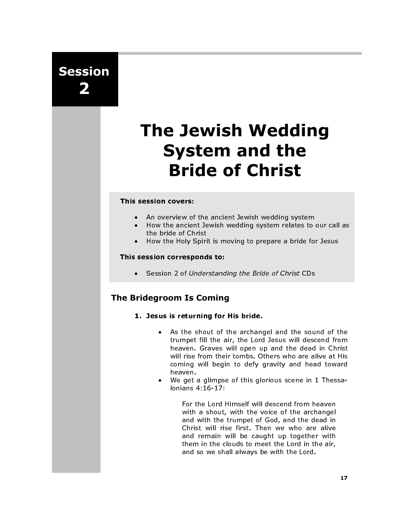Session 2

# The Jewish Wedding System and the Bride of Christ

#### This session covers:

- An overview of the ancient Jewish wedding system
- How the ancient Jewish wedding system relates to our call as the bride of Christ
- How the Holy Spirit is moving to prepare a bride for Jesus

#### This session corresponds to:

• Session 2 of Understanding the Bride of Christ CDs

# The Bridegroom Is Coming

- 1. Jesus is returning for His bride.
	- As the shout of the archangel and the sound of the trumpet fill the air, the Lord Jesus will descend from heaven. Graves will open up and the dead in Christ will rise from their tombs. Others who are alive at His coming will begin to defy gravity and head toward heaven.
	- We get a glimpse of this glorious scene in 1 Thessalonians 4:16-17:

For the Lord Himself will descend from heaven with a shout, with the voice of the archangel and with the trumpet of God, and the dead in Christ will rise first. Then we who are alive and remain will be caught up together with them in the clouds to meet the Lord in the air, and so we shall always be with the Lord.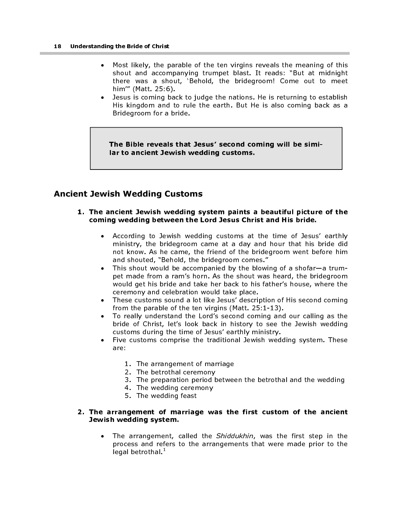- Most likely, the parable of the ten virgins reveals the meaning of this shout and accompanying trumpet blast. It reads: "But at midnight there was a shout, 'Behold, the bridegroom! Come out to meet him'" (Matt. 25:6).
- Jesus is coming back to judge the nations. He is returning to establish His kingdom and to rule the earth. But He is also coming back as a Bridegroom for a bride.

The Bible reveals that Jesus' second coming will be similar to ancient Jewish wedding customs.

# Ancient Jewish Wedding Customs

#### 1. The ancient Jewish wedding system paints a beautiful picture of the coming wedding between the Lord Jesus Christ and His bride.

- According to Jewish wedding customs at the time of Jesus' earthly ministry, the bridegroom came at a day and hour that his bride did not know. As he came, the friend of the bridegroom went before him and shouted, "Behold, the bridegroom comes."
- This shout would be accompanied by the blowing of a shofar—a trumpet made from a ram's horn. As the shout was heard, the bridegroom would get his bride and take her back to his father's house, where the ceremony and celebration would take place.
- These customs sound a lot like Jesus' description of His second coming from the parable of the ten virgins (Matt. 25:1-13).
- To really understand the Lord's second coming and our calling as the bride of Christ, let's look back in history to see the Jewish wedding customs during the time of Jesus' earthly ministry.
- Five customs comprise the traditional Jewish wedding system. These are:
	- 1. The arrangement of marriage
	- 2. The betrothal ceremony
	- 3. The preparation period between the betrothal and the wedding
	- 4. The wedding ceremony
	- 5. The wedding feast

#### 2. The arrangement of marriage was the first custom of the ancient Jewish wedding system.

The arrangement, called the Shiddukhin, was the first step in the process and refers to the arrangements that were made prior to the legal betrothal.<sup>1</sup>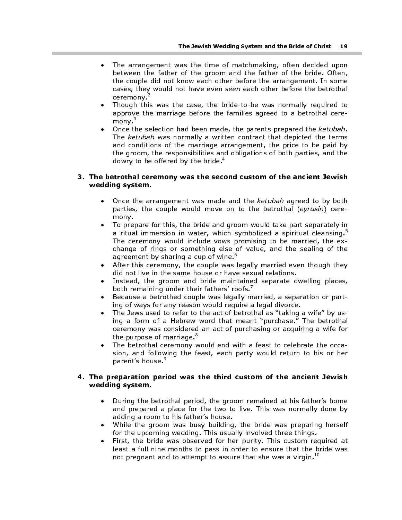- The arrangement was the time of matchmaking, often decided upon between the father of the groom and the father of the bride. Often, the couple did not know each other before the arrangement. In some cases, they would not have even seen each other before the betrothal ceremony.<sup>2</sup>
- Though this was the case, the bride-to-be was normally required to approve the marriage before the families agreed to a betrothal ceremony. $3$
- Once the selection had been made, the parents prepared the ketubah. The ketubah was normally a written contract that depicted the terms and conditions of the marriage arrangement, the price to be paid by the groom, the responsibilities and obligations of both parties, and the dowry to be offered by the bride.  $^4$

#### 3. The betrothal ceremony was the second custom of the ancient Jewish wedding system.

- Once the arrangement was made and the ketubah agreed to by both parties, the couple would move on to the betrothal (eyrusin) ceremony.
- To prepare for this, the bride and groom would take part separately in a ritual immersion in water, which symbolized a spiritual cleansing.<sup>5</sup> The ceremony would include vows promising to be married, the exchange of rings or something else of value, and the sealing of the agreement by sharing a cup of wine.<sup>6</sup>
- After this ceremony, the couple was legally married even though they did not live in the same house or have sexual relations.
- Instead, the groom and bride maintained separate dwelling places, both remaining under their fathers' roofs. $\prime$
- Because a betrothed couple was legally married, a separation or parting of ways for any reason would require a legal divorce.
- The Jews used to refer to the act of betrothal as "taking a wife" by using a form of a Hebrew word that meant "purchase." The betrothal ceremony was considered an act of purchasing or acquiring a wife for the purpose of marriage.<sup>8</sup>
- The betrothal ceremony would end with a feast to celebrate the occasion, and following the feast, each party would return to his or her parent's house.<sup>9</sup>

#### 4. The preparation period was the third custom of the ancient Jewish wedding system.

- During the betrothal period, the groom remained at his father's home and prepared a place for the two to live. This was normally done by adding a room to his father's house.
- While the groom was busy building, the bride was preparing herself for the upcoming wedding. This usually involved three things.
- First, the bride was observed for her purity. This custom required at least a full nine months to pass in order to ensure that the bride was not pregnant and to attempt to assure that she was a virgin.<sup>10</sup>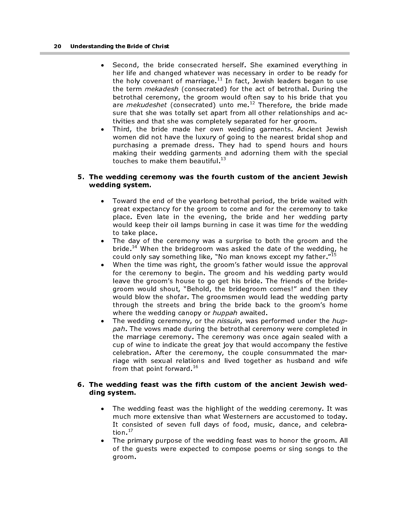- Second, the bride consecrated herself. She examined everything in her life and changed whatever was necessary in order to be ready for the holy covenant of marriage. $11$  In fact, Jewish leaders began to use the term mekadesh (consecrated) for the act of betrothal. During the betrothal ceremony, the groom would often say to his bride that you are mekudeshet (consecrated) unto me.<sup>12</sup> Therefore, the bride made sure that she was totally set apart from all other relationships and activities and that she was completely separated for her groom.
- Third, the bride made her own wedding garments. Ancient Jewish women did not have the luxury of going to the nearest bridal shop and purchasing a premade dress. They had to spend hours and hours making their wedding garments and adorning them with the special touches to make them beautiful. $^{13}$

#### 5. The wedding ceremony was the fourth custom of the ancient Jewish wedding system.

- Toward the end of the yearlong betrothal period, the bride waited with great expectancy for the groom to come and for the ceremony to take place. Even late in the evening, the bride and her wedding party would keep their oil lamps burning in case it was time for the wedding to take place.
- The day of the ceremony was a surprise to both the groom and the bride.<sup>14</sup> When the bridegroom was asked the date of the wedding, he could only say something like, "No man knows except my father."<sup>15</sup>
- When the time was right, the groom's father would issue the approval for the ceremony to begin. The groom and his wedding party would leave the groom's house to go get his bride. The friends of the bridegroom would shout, "Behold, the bridegroom comes!" and then they would blow the shofar. The groomsmen would lead the wedding party through the streets and bring the bride back to the groom's home where the wedding canopy or huppah awaited.
- The wedding ceremony, or the nissuin, was performed under the huppah. The vows made during the betrothal ceremony were completed in the marriage ceremony. The ceremony was once again sealed with a cup of wine to indicate the great joy that would accompany the festive celebration. After the ceremony, the couple consummated the marriage with sexual relations and lived together as husband and wife from that point forward.<sup>16</sup>

#### 6. The wedding feast was the fifth custom of the ancient Jewish wedding system.

- The wedding feast was the highlight of the wedding ceremony. It was much more extensive than what Westerners are accustomed to today. It consisted of seven full days of food, music, dance, and celebration. $17$
- The primary purpose of the wedding feast was to honor the groom. All of the guests were expected to compose poems or sing songs to the groom.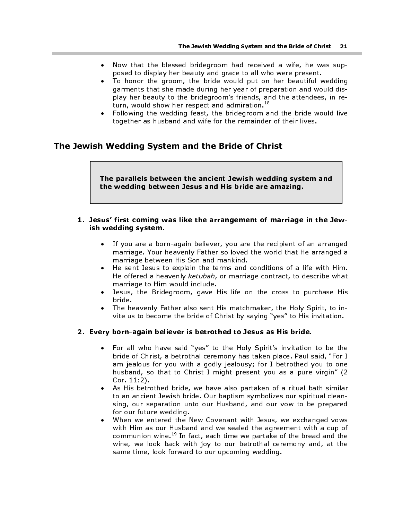- Now that the blessed bridegroom had received a wife, he was supposed to display her beauty and grace to all who were present.
- To honor the groom, the bride would put on her beautiful wedding garments that she made during her year of preparation and would display her beauty to the bridegroom's friends, and the attendees, in return, would show her respect and admiration. $^{18}$ The Jewish Wedding System and the Bride of Christ<br>
• Now that the blessed bridegroom had received a wife, he was<br>
posed to display her beauty and grace to all who were present.<br>
• To honor the groom, the bride would put on
- Following the wedding feast, the bridegroom and the bride would live together as husband and wife for the remainder of their lives.

# The Jewish Wedding System and the Bride of Christ

the wedding between Jesus and His bride are amazing.

#### 1. Jesus' first coming was like the arrangement of marriage in the Jewish wedding system.

- If you are a born-again believer, you are the recipient of an arranged marriage. Your heavenly Father so loved the world that He arranged a marriage between His Son and mankind.
- He sent Jesus to explain the terms and conditions of a life with Him. He offered a heavenly ketubah, or marriage contract, to describe what marriage to Him would include.
- Jesus, the Bridegroom, gave His life on the cross to purchase His bride.
- The heavenly Father also sent His matchmaker, the Holy Spirit, to invite us to become the bride of Christ by saying "yes" to His invitation.

#### 2. Every born-again believer is betrothed to Jesus as His bride.

- For all who have said "yes" to the Holy Spirit's invitation to be the bride of Christ, a betrothal ceremony has taken place. Paul said, "For I am jealous for you with a godly jealousy; for I betrothed you to one husband, so that to Christ I might present you as a pure virgin" (2 Cor. 11:2).
- As His betrothed bride, we have also partaken of a ritual bath similar to an ancient Jewish bride. Our baptism symbolizes our spiritual cleansing, our separation unto our Husband, and our vow to be prepared for our future wedding.
- When we entered the New Covenant with Jesus, we exchanged vows with Him as our Husband and we sealed the agreement with a cup of communion wine.<sup>19</sup> In fact, each time we partake of the bread and the wine, we look back with joy to our betrothal ceremony and, at the same time, look forward to our upcoming wedding.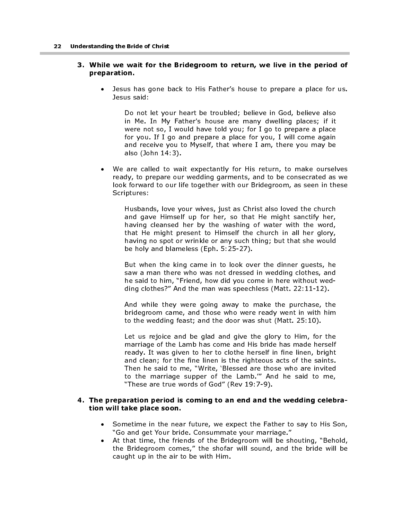#### 3. While we wait for the Bridegroom to return, we live in the period of preparation.

• Jesus has gone back to His Father's house to prepare a place for us. Jesus said:

Do not let your heart be troubled; believe in God, believe also in Me. In My Father's house are many dwelling places; if it were not so, I would have told you; for I go to prepare a place for you. If I go and prepare a place for you, I will come again and receive you to Myself, that where I am, there you may be also (John 14:3).

• We are called to wait expectantly for His return, to make ourselves ready, to prepare our wedding garments, and to be consecrated as we look forward to our life together with our Bridegroom, as seen in these Scriptures:

Husbands, love your wives, just as Christ also loved the church and gave Himself up for her, so that He might sanctify her, having cleansed her by the washing of water with the word, that He might present to Himself the church in all her glory, having no spot or wrinkle or any such thing; but that she would be holy and blameless (Eph. 5:25-27).

But when the king came in to look over the dinner guests, he saw a man there who was not dressed in wedding clothes, and he said to him, "Friend, how did you come in here without wedding clothes?" And the man was speechless (Matt. 22:11-12).

And while they were going away to make the purchase, the bridegroom came, and those who were ready went in with him to the wedding feast; and the door was shut (Matt. 25:10).

Let us rejoice and be glad and give the glory to Him, for the marriage of the Lamb has come and His bride has made herself ready. It was given to her to clothe herself in fine linen, bright and clean; for the fine linen is the righteous acts of the saints. Then he said to me, "Write, 'Blessed are those who are invited to the marriage supper of the Lamb.'" And he said to me, "These are true words of God" (Rev 19:7-9).

#### 4. The preparation period is coming to an end and the wedding celebration will take place soon.

- Sometime in the near future, we expect the Father to say to His Son, "Go and get Your bride. Consummate your marriage."
- At that time, the friends of the Bridegroom will be shouting, "Behold, the Bridegroom comes," the shofar will sound, and the bride will be caught up in the air to be with Him.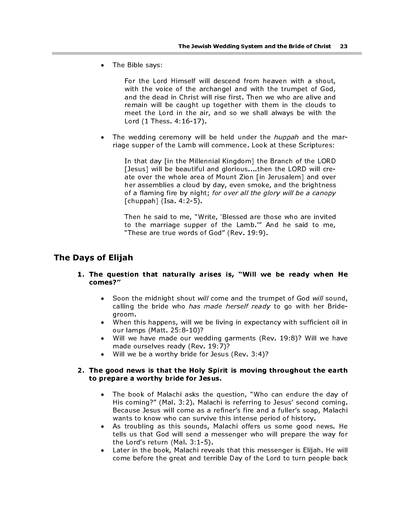• The Bible says:

For the Lord Himself will descend from heaven with a shout, with the voice of the archangel and with the trumpet of God, and the dead in Christ will rise first. Then we who are alive and remain will be caught up together with them in the clouds to meet the Lord in the air, and so we shall always be with the Lord (1 Thess. 4:16-17).

The wedding ceremony will be held under the *huppah* and the marriage supper of the Lamb will commence. Look at these Scriptures:

> In that day [in the Millennial Kingdom] the Branch of the LORD [Jesus] will be beautiful and glorious....then the LORD will create over the whole area of Mount Zion [in Jerusalem] and over her assemblies a cloud by day, even smoke, and the brightness of a flaming fire by night; for over all the glory will be a canopy  $[chuppah]$  (Isa. 4:2-5).

> Then he said to me, "Write, 'Blessed are those who are invited to the marriage supper of the Lamb.'" And he said to me, "These are true words of God" (Rev. 19:9).

# The Days of Elijah

- 1. The question that naturally arises is, "Will we be ready when He comes?"
	- Soon the midnight shout will come and the trumpet of God will sound, calling the bride who has made herself ready to go with her Bridegroom.
	- When this happens, will we be living in expectancy with sufficient oil in our lamps (Matt. 25:8-10)?
	- Will we have made our wedding garments (Rev. 19:8)? Will we have made ourselves ready (Rev. 19:7)?
	- Will we be a worthy bride for Jesus (Rev. 3:4)?

#### 2. The good news is that the Holy Spirit is moving throughout the earth to prepare a worthy bride for Jesus.

- The book of Malachi asks the question, "Who can endure the day of His coming?" (Mal. 3:2). Malachi is referring to Jesus' second coming. Because Jesus will come as a refiner's fire and a fuller's soap, Malachi wants to know who can survive this intense period of history.
- As troubling as this sounds, Malachi offers us some good news. He tells us that God will send a messenger who will prepare the way for the Lord's return (Mal. 3:1-5).
- Later in the book, Malachi reveals that this messenger is Elijah. He will come before the great and terrible Day of the Lord to turn people back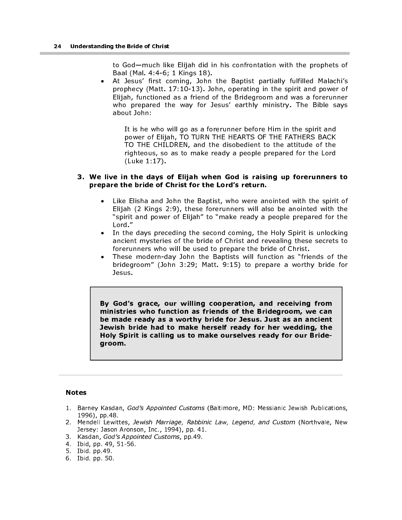to God—much like Elijah did in his confrontation with the prophets of Baal (Mal. 4:4-6; 1 Kings 18).

• At Jesus' first coming, John the Baptist partially fulfilled Malachi's prophecy (Matt. 17:10-13). John, operating in the spirit and power of Elijah, functioned as a friend of the Bridegroom and was a forerunner who prepared the way for Jesus' earthly ministry. The Bible says about John:

It is he who will go as a forerunner before Him in the spirit and power of Elijah, TO TURN THE HEARTS OF THE FATHERS BACK TO THE CHILDREN, and the disobedient to the attitude of the righteous, so as to make ready a people prepared for the Lord (Luke 1:17).

#### 3. We live in the days of Elijah when God is raising up forerunners to prepare the bride of Christ for the Lord's return.

- Like Elisha and John the Baptist, who were anointed with the spirit of Elijah (2 Kings 2:9), these forerunners will also be anointed with the "spirit and power of Elijah" to "make ready a people prepared for the Lord."
- In the days preceding the second coming, the Holy Spirit is unlocking ancient mysteries of the bride of Christ and revealing these secrets to forerunners who will be used to prepare the bride of Christ.
- These modern-day John the Baptists will function as "friends of the bridegroom" (John 3:29; Matt. 9:15) to prepare a worthy bride for Jesus.

By God's grace, our willing cooperation, and receiving from ministries who function as friends of the Bridegroom, we can be made ready as a worthy bride for Jesus. Just as an ancient Jewish bride had to make herself ready for her wedding, the Holy Spirit is calling us to make ourselves ready for our Bridegroom.

#### Notes

- 1. Barney Kasdan, God's Appointed Customs (Baltimore, MD: Messianic Jewish Publications, 1996), pp.48.
- 2. Mendell Lewittes, Jewish Marriage, Rabbinic Law, Legend, and Custom (Northvale, New Jersey: Jason Aronson, Inc., 1994), pp. 41.
- 3. Kasdan, God's Appointed Customs, pp.49.
- 4. Ibid, pp. 49, 51-56.
- 5. Ibid. pp.49.
- 6. Ibid. pp. 50.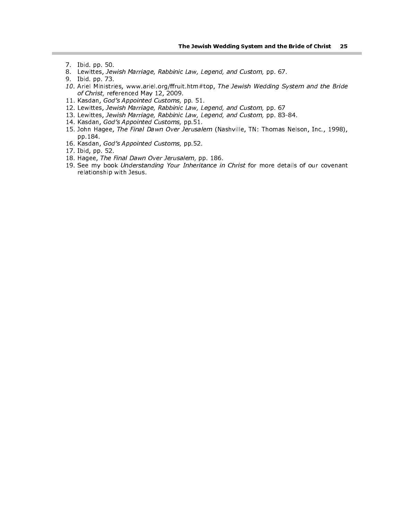- 7. Ibid. pp. 50.
- 8. Lewittes, Jewish Marriage, Rabbinic Law, Legend, and Custom, pp. 67.
- 9. Ibid. pp. 73.
- 10. Ariel Ministries, www.ariel.org/ffruit.htm#top, The Jewish Wedding System and the Bride of Christ, referenced May 12, 2009.
- 11. Kasdan, God's Appointed Customs, pp. 51.
- 12. Lewittes, Jewish Marriage, Rabbinic Law, Legend, and Custom, pp. 67
- 13. Lewittes, Jewish Marriage, Rabbinic Law, Legend, and Custom, pp. 83-84.
- 14. Kasdan, God's Appointed Customs, pp.51.
- 15. John Hagee, The Final Dawn Over Jerusalem (Nashville, TN: Thomas Nelson, Inc., 1998), pp.184.
- 16. Kasdan, God's Appointed Customs, pp.52.
- 17. Ibid, pp. 52.
- 18. Hagee, The Final Dawn Over Jerusalem, pp. 186.
- 19. See my book Understanding Your Inheritance in Christ for more details of our covenant relationship with Jesus.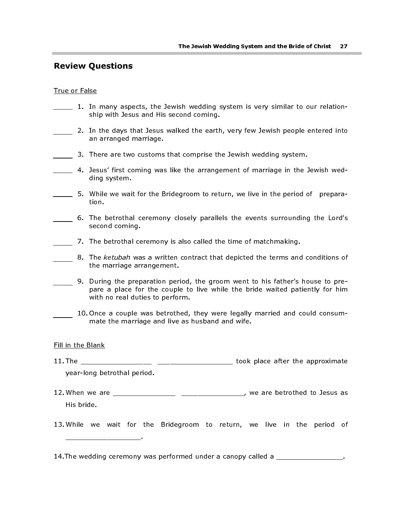# Review Questions

#### True or False

- 1. In many aspects, the Jewish wedding system is very similar to our relationship with Jesus and His second coming.
- 2. In the days that Jesus walked the earth, very few Jewish people entered into an arranged marriage.
- 3. There are two customs that comprise the Jewish wedding system.
- 4. Jesus' first coming was like the arrangement of marriage in the Jewish wedding system.
- 5. While we wait for the Bridegroom to return, we live in the period of preparation.
- 6. The betrothal ceremony closely parallels the events surrounding the Lord's second coming.
- 7. The betrothal ceremony is also called the time of matchmaking.
- 8. The ketubah was a written contract that depicted the terms and conditions of the marriage arrangement.
- 9. During the preparation period, the groom went to his father's house to prepare a place for the couple to live while the bride waited patiently for him with no real duties to perform.
- 10. Once a couple was betrothed, they were legally married and could consummate the marriage and live as husband and wife.

#### Fill in the Blank

\_\_\_\_\_\_\_\_\_\_\_\_\_\_\_\_\_\_.

- 11. The \_\_\_\_\_\_\_\_\_\_\_\_\_\_\_\_\_ \_\_\_\_\_\_\_\_\_\_\_\_\_\_\_\_\_\_ took place after the approximate year-long betrothal period.
- 12. When we are \_\_\_\_\_\_\_\_\_\_\_\_\_\_\_ \_\_\_\_\_\_\_\_\_\_\_\_\_\_\_, we are betrothed to Jesus as His bride.
- 13. While we wait for the Bridegroom to return, we live in the period of
- 14. The wedding ceremony was performed under a canopy called a \_\_\_\_\_\_\_\_\_\_\_\_\_\_\_\_.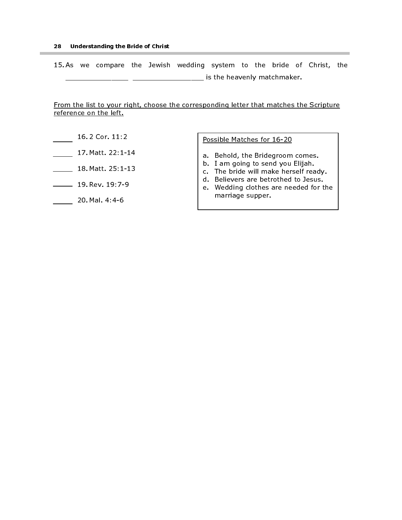15. As we compare the Jewish wedding system to the bride of Christ, the \_\_\_\_\_\_\_\_\_\_\_\_\_\_\_ \_\_\_\_\_\_\_\_\_\_\_\_\_\_\_\_\_ is the heavenly matchmaker.

From the list to your right, choose the corresponding letter that matches the Scripture reference on the left.

- 16. 2 Cor. 11:2
- 17. Matt. 22:1-14
- 18. Matt. 25:1-13
- 19. Rev. 19:7-9
- 20. Mal. 4:4-6

Possible Matches for 16-20

- a. Behold, the Bridegroom comes.
- b. I am going to send you Elijah.
- c. The bride will make herself ready.
- d. Believers are betrothed to Jesus.
- e. Wedding clothes are needed for the marriage supper.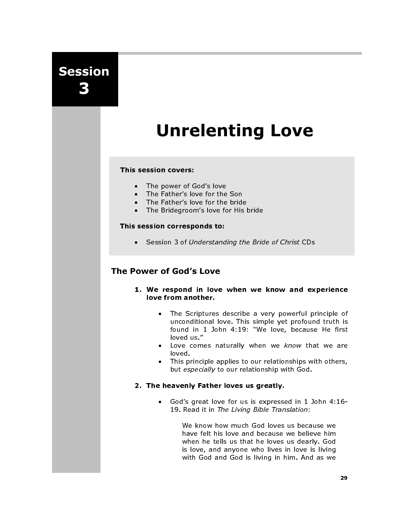Session 3

# Unrelenting Love

#### This session covers:

- The power of God's love
- The Father's love for the Son
- The Father's love for the bride
- The Bridegroom's love for His bride

#### This session corresponds to:

• Session 3 of Understanding the Bride of Christ CDs

# The Power of God's Love

- 1. We respond in love when we know and experience love from another.
	- The Scriptures describe a very powerful principle of unconditional love. This simple yet profound truth is found in 1 John 4:19: "We love, because He first loved us."
	- Love comes naturally when we know that we are loved.
	- This principle applies to our relationships with others, but especially to our relationship with God.

#### 2. The heavenly Father loves us greatly.

• God's great love for us is expressed in 1 John 4:16- 19. Read it in The Living Bible Translation:

> We know how much God loves us because we have felt his love and because we believe him when he tells us that he loves us dearly. God is love, and anyone who lives in love is living with God and God is living in him. And as we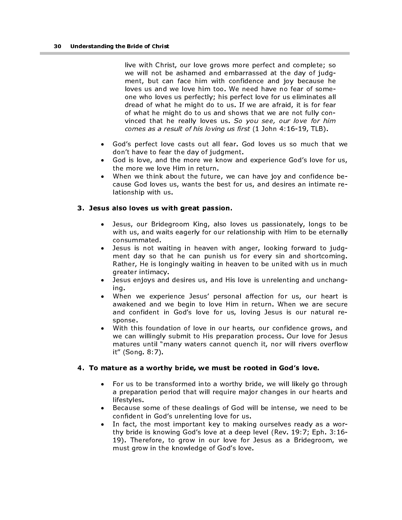live with Christ, our love grows more perfect and complete; so we will not be ashamed and embarrassed at the day of judgment, but can face him with confidence and joy because he loves us and we love him too. We need have no fear of someone who loves us perfectly; his perfect love for us eliminates all dread of what he might do to us. If we are afraid, it is for fear of what he might do to us and shows that we are not fully convinced that he really loves us. So you see, our love for him comes as a result of his loving us first (1 John 4:16-19, TLB).

- God's perfect love casts out all fear. God loves us so much that we don't have to fear the day of judgment.
- God is love, and the more we know and experience God's love for us, the more we love Him in return.
- When we think about the future, we can have joy and confidence because God loves us, wants the best for us, and desires an intimate relationship with us.

#### 3. Jesus also loves us with great passion.

- Jesus, our Bridegroom King, also loves us passionately, longs to be with us, and waits eagerly for our relationship with Him to be eternally consummated.
- Jesus is not waiting in heaven with anger, looking forward to judgment day so that he can punish us for every sin and shortcoming. Rather, He is longingly waiting in heaven to be united with us in much greater intimacy.
- Jesus enjoys and desires us, and His love is unrelenting and unchanging.
- When we experience Jesus' personal affection for us, our heart is awakened and we begin to love Him in return. When we are secure and confident in God's love for us, loving Jesus is our natural response.
- With this foundation of love in our hearts, our confidence grows, and we can willingly submit to His preparation process. Our love for Jesus matures until "many waters cannot quench it, nor will rivers overflow it" (Song. 8:7).

#### 4. To mature as a worthy bride, we must be rooted in God's love.

- For us to be transformed into a worthy bride, we will likely go through a preparation period that will require major changes in our hearts and lifestyles.
- Because some of these dealings of God will be intense, we need to be confident in God's unrelenting love for us.
- In fact, the most important key to making ourselves ready as a worthy bride is knowing God's love at a deep level (Rev. 19:7; Eph. 3:16- 19). Therefore, to grow in our love for Jesus as a Bridegroom, we must grow in the knowledge of God's love.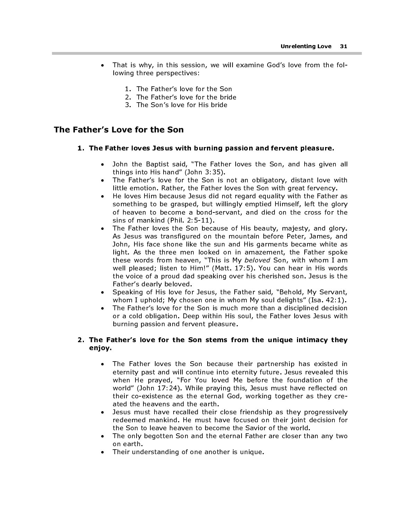- That is why, in this session, we will examine God's love from the following three perspectives:
	- 1. The Father's love for the Son
	- 2. The Father's love for the bride
	- 3. The Son's love for His bride

### The Father's Love for the Son

#### 1. The Father loves Jesus with burning passion and fervent pleasure.

- John the Baptist said, "The Father loves the Son, and has given all things into His hand" (John 3:35).
- The Father's love for the Son is not an obligatory, distant love with little emotion. Rather, the Father loves the Son with great fervency.
- He loves Him because Jesus did not regard equality with the Father as something to be grasped, but willingly emptied Himself, left the glory of heaven to become a bond-servant, and died on the cross for the sins of mankind (Phil. 2:5-11).
- The Father loves the Son because of His beauty, majesty, and glory. As Jesus was transfigured on the mountain before Peter, James, and John, His face shone like the sun and His garments became white as light. As the three men looked on in amazement, the Father spoke these words from heaven, "This is My beloved Son, with whom I am well pleased; listen to Him!" (Matt. 17:5). You can hear in His words the voice of a proud dad speaking over his cherished son. Jesus is the Father's dearly beloved.
- Speaking of His love for Jesus, the Father said, "Behold, My Servant, whom I uphold; My chosen one in whom My soul delights" (Isa. 42:1).
- The Father's love for the Son is much more than a disciplined decision or a cold obligation. Deep within His soul, the Father loves Jesus with burning passion and fervent pleasure.

#### 2. The Father's love for the Son stems from the unique intimacy they enjoy.

- The Father loves the Son because their partnership has existed in eternity past and will continue into eternity future. Jesus revealed this when He prayed, "For You loved Me before the foundation of the world" (John 17:24). While praying this, Jesus must have reflected on their co-existence as the eternal God, working together as they created the heavens and the earth.
- Jesus must have recalled their close friendship as they progressively redeemed mankind. He must have focused on their joint decision for the Son to leave heaven to become the Savior of the world.
- The only begotten Son and the eternal Father are closer than any two on earth.
- Their understanding of one another is unique.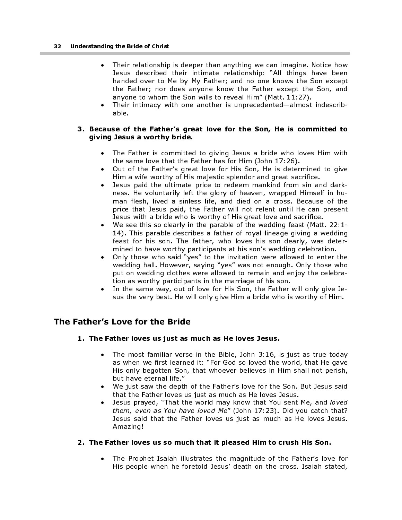- Their relationship is deeper than anything we can imagine. Notice how Jesus described their intimate relationship: "All things have been handed over to Me by My Father; and no one knows the Son except the Father; nor does anyone know the Father except the Son, and anyone to whom the Son wills to reveal Him" (Matt. 11:27).
- Their intimacy with one another is unprecedented—almost indescribable.

#### 3. Because of the Father's great love for the Son, He is committed to giving Jesus a worthy bride.

- The Father is committed to giving Jesus a bride who loves Him with the same love that the Father has for Him (John 17:26).
- Out of the Father's great love for His Son, He is determined to give Him a wife worthy of His majestic splendor and great sacrifice.
- Jesus paid the ultimate price to redeem mankind from sin and darkness. He voluntarily left the glory of heaven, wrapped Himself in human flesh, lived a sinless life, and died on a cross. Because of the price that Jesus paid, the Father will not relent until He can present Jesus with a bride who is worthy of His great love and sacrifice.
- We see this so clearly in the parable of the wedding feast (Matt. 22:1- 14). This parable describes a father of royal lineage giving a wedding feast for his son. The father, who loves his son dearly, was determined to have worthy participants at his son's wedding celebration.
- Only those who said "yes" to the invitation were allowed to enter the wedding hall. However, saying "yes" was not enough. Only those who put on wedding clothes were allowed to remain and enjoy the celebration as worthy participants in the marriage of his son.
- In the same way, out of love for His Son, the Father will only give Jesus the very best. He will only give Him a bride who is worthy of Him.

# The Father's Love for the Bride

### 1. The Father loves us just as much as He loves Jesus.

- The most familiar verse in the Bible, John 3:16, is just as true today as when we first learned it: "For God so loved the world, that He gave His only begotten Son, that whoever believes in Him shall not perish, but have eternal life."
- We just saw the depth of the Father's love for the Son. But Jesus said that the Father loves us just as much as He loves Jesus.
- Jesus prayed, "That the world may know that You sent Me, and loved them, even as You have loved Me" (John 17:23). Did you catch that? Jesus said that the Father loves us just as much as He loves Jesus. Amazing!

### 2. The Father loves us so much that it pleased Him to crush His Son.

• The Prophet Isaiah illustrates the magnitude of the Father's love for His people when he foretold Jesus' death on the cross. Isaiah stated,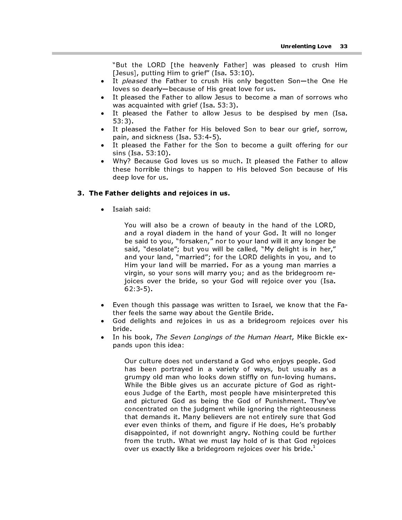"But the LORD [the heavenly Father] was pleased to crush Him [Jesus], putting Him to grief" (Isa. 53:10).

- It pleased the Father to crush His only begotten Son-the One He loves so dearly—because of His great love for us.
- It pleased the Father to allow Jesus to become a man of sorrows who was acquainted with grief (Isa. 53:3).
- It pleased the Father to allow Jesus to be despised by men (Isa. 53:3).
- It pleased the Father for His beloved Son to bear our grief, sorrow, pain, and sickness (Isa. 53:4-5).
- It pleased the Father for the Son to become a guilt offering for our sins (Isa. 53:10).
- Why? Because God loves us so much. It pleased the Father to allow these horrible things to happen to His beloved Son because of His deep love for us.

#### 3. The Father delights and rejoices in us.

• Isaiah said:

You will also be a crown of beauty in the hand of the LORD, and a royal diadem in the hand of your God. It will no longer be said to you, "forsaken," nor to your land will it any longer be said, "desolate"; but you will be called, "My delight is in her," and your land, "married"; for the LORD delights in you, and to Him your land will be married. For as a young man marries a virgin, so your sons will marry you; and as the bridegroom rejoices over the bride, so your God will rejoice over you (Isa. 62:3-5).

- Even though this passage was written to Israel, we know that the Father feels the same way about the Gentile Bride.
- God delights and rejoices in us as a bridegroom rejoices over his bride.
- In his book, The Seven Longings of the Human Heart, Mike Bickle expands upon this idea:

Our culture does not understand a God who enjoys people. God has been portrayed in a variety of ways, but usually as a grumpy old man who looks down stiffly on fun-loving humans. While the Bible gives us an accurate picture of God as righteous Judge of the Earth, most people have misinterpreted this and pictured God as being the God of Punishment. They've concentrated on the judgment while ignoring the righteousness that demands it. Many believers are not entirely sure that God ever even thinks of them, and figure if He does, He's probably disappointed, if not downright angry. Nothing could be further from the truth. What we must lay hold of is that God rejoices over us exactly like a bridegroom rejoices over his bride. $^\perp$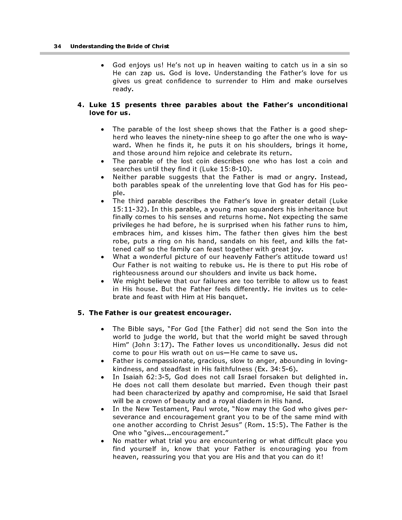• God enjoys us! He's not up in heaven waiting to catch us in a sin so He can zap us. God is love. Understanding the Father's love for us gives us great confidence to surrender to Him and make ourselves ready.

#### 4. Luke 15 presents three parables about the Father's unconditional love for us.

- The parable of the lost sheep shows that the Father is a good shepherd who leaves the ninety-nine sheep to go after the one who is wayward. When he finds it, he puts it on his shoulders, brings it home, and those around him rejoice and celebrate its return.
- The parable of the lost coin describes one who has lost a coin and searches until they find it (Luke 15:8-10).
- Neither parable suggests that the Father is mad or angry. Instead, both parables speak of the unrelenting love that God has for His people.
- The third parable describes the Father's love in greater detail (Luke 15:11-32). In this parable, a young man squanders his inheritance but finally comes to his senses and returns home. Not expecting the same privileges he had before, he is surprised when his father runs to him, embraces him, and kisses him. The father then gives him the best robe, puts a ring on his hand, sandals on his feet, and kills the fattened calf so the family can feast together with great joy.
- What a wonderful picture of our heavenly Father's attitude toward us! Our Father is not waiting to rebuke us. He is there to put His robe of righteousness around our shoulders and invite us back home.
- We might believe that our failures are too terrible to allow us to feast in His house. But the Father feels differently. He invites us to celebrate and feast with Him at His banquet.

#### 5. The Father is our greatest encourager.

- The Bible says, "For God [the Father] did not send the Son into the world to judge the world, but that the world might be saved through Him" (John 3:17). The Father loves us unconditionally. Jesus did not come to pour His wrath out on us—He came to save us.
- Father is compassionate, gracious, slow to anger, abounding in lovingkindness, and steadfast in His faithfulness (Ex. 34:5-6).
- In Isaiah 62:3-5, God does not call Israel forsaken but delighted in. He does not call them desolate but married. Even though their past had been characterized by apathy and compromise, He said that Israel will be a crown of beauty and a royal diadem in His hand.
- In the New Testament, Paul wrote, "Now may the God who gives perseverance and encouragement grant you to be of the same mind with one another according to Christ Jesus" (Rom. 15:5). The Father is the One who "gives...encouragement."
- No matter what trial you are encountering or what difficult place you find yourself in, know that your Father is encouraging you from heaven, reassuring you that you are His and that you can do it!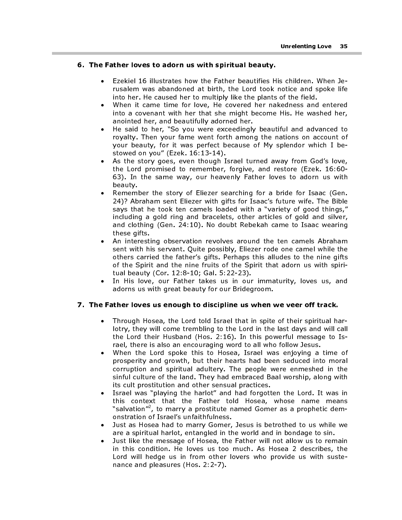#### 6. The Father loves to adorn us with spiritual beauty.

- Ezekiel 16 illustrates how the Father beautifies His children. When Jerusalem was abandoned at birth, the Lord took notice and spoke life into her. He caused her to multiply like the plants of the field.
- When it came time for love, He covered her nakedness and entered into a covenant with her that she might become His. He washed her, anointed her, and beautifully adorned her.
- He said to her, "So you were exceedingly beautiful and advanced to royalty. Then your fame went forth among the nations on account of your beauty, for it was perfect because of My splendor which I bestowed on you" (Ezek. 16:13-14).
- As the story goes, even though Israel turned away from God's love, the Lord promised to remember, forgive, and restore (Ezek. 16:60- 63). In the same way, our heavenly Father loves to adorn us with beauty.
- Remember the story of Eliezer searching for a bride for Isaac (Gen. 24)? Abraham sent Eliezer with gifts for Isaac's future wife. The Bible says that he took ten camels loaded with a "variety of good things," including a gold ring and bracelets, other articles of gold and silver, and clothing (Gen. 24:10). No doubt Rebekah came to Isaac wearing these gifts.
- An interesting observation revolves around the ten camels Abraham sent with his servant. Quite possibly, Eliezer rode one camel while the others carried the father's gifts. Perhaps this alludes to the nine gifts of the Spirit and the nine fruits of the Spirit that adorn us with spiritual beauty (Cor. 12:8-10; Gal. 5:22-23).
- In His love, our Father takes us in our immaturity, loves us, and adorns us with great beauty for our Bridegroom.

#### 7. The Father loves us enough to discipline us when we veer off track.

- Through Hosea, the Lord told Israel that in spite of their spiritual harlotry, they will come trembling to the Lord in the last days and will call the Lord their Husband (Hos. 2:16). In this powerful message to Israel, there is also an encouraging word to all who follow Jesus.
- When the Lord spoke this to Hosea, Israel was enjoying a time of prosperity and growth, but their hearts had been seduced into moral corruption and spiritual adultery. The people were enmeshed in the sinful culture of the land. They had embraced Baal worship, along with its cult prostitution and other sensual practices.
- Israel was "playing the harlot" and had forgotten the Lord. It was in this context that the Father told Hosea, whose name means "salvation"2 , to marry a prostitute named Gomer as a prophetic demonstration of Israel's unfaithfulness.
- Just as Hosea had to marry Gomer, Jesus is betrothed to us while we are a spiritual harlot, entangled in the world and in bondage to sin.
- Just like the message of Hosea, the Father will not allow us to remain in this condition. He loves us too much. As Hosea 2 describes, the Lord will hedge us in from other lovers who provide us with sustenance and pleasures (Hos. 2:2-7).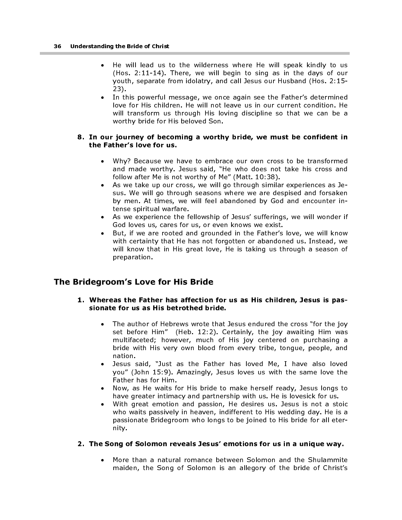- He will lead us to the wilderness where He will speak kindly to us (Hos. 2:11-14). There, we will begin to sing as in the days of our youth, separate from idolatry, and call Jesus our Husband (Hos. 2:15- 23).
- In this powerful message, we once again see the Father's determined love for His children. He will not leave us in our current condition. He will transform us through His loving discipline so that we can be a worthy bride for His beloved Son.

#### 8. In our journey of becoming a worthy bride, we must be confident in the Father's love for us.

- Why? Because we have to embrace our own cross to be transformed and made worthy. Jesus said, "He who does not take his cross and follow after Me is not worthy of Me" (Matt. 10:38).
- As we take up our cross, we will go through similar experiences as Jesus. We will go through seasons where we are despised and forsaken by men. At times, we will feel abandoned by God and encounter intense spiritual warfare.
- As we experience the fellowship of Jesus' sufferings, we will wonder if God loves us, cares for us, or even knows we exist.
- But, if we are rooted and grounded in the Father's love, we will know with certainty that He has not forgotten or abandoned us. Instead, we will know that in His great love, He is taking us through a season of preparation.

# The Bridegroom's Love for His Bride

#### 1. Whereas the Father has affection for us as His children, Jesus is passionate for us as His betrothed bride.

- The author of Hebrews wrote that Jesus endured the cross "for the joy set before Him" (Heb. 12:2). Certainly, the joy awaiting Him was multifaceted; however, much of His joy centered on purchasing a bride with His very own blood from every tribe, tongue, people, and nation.
- Jesus said, "Just as the Father has loved Me, I have also loved you" (John 15:9). Amazingly, Jesus loves us with the same love the Father has for Him.
- Now, as He waits for His bride to make herself ready, Jesus longs to have greater intimacy and partnership with us. He is lovesick for us.
- With great emotion and passion, He desires us. Jesus is not a stoic who waits passively in heaven, indifferent to His wedding day. He is a passionate Bridegroom who longs to be joined to His bride for all eternity.

#### 2. The Song of Solomon reveals Jesus' emotions for us in a unique way.

• More than a natural romance between Solomon and the Shulammite maiden, the Song of Solomon is an allegory of the bride of Christ's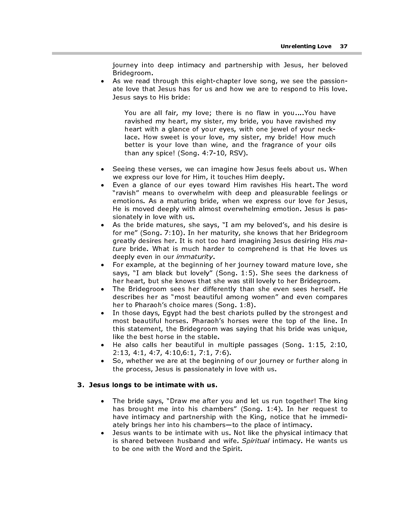journey into deep intimacy and partnership with Jesus, her beloved Bridegroom.

• As we read through this eight-chapter love song, we see the passionate love that Jesus has for us and how we are to respond to His love. Jesus says to His bride:

You are all fair, my love; there is no flaw in you....You have ravished my heart, my sister, my bride, you have ravished my heart with a glance of your eyes, with one jewel of your necklace. How sweet is your love, my sister, my bride! How much better is your love than wine, and the fragrance of your oils than any spice! (Song. 4:7-10, RSV).

- Seeing these verses, we can imagine how Jesus feels about us. When we express our love for Him, it touches Him deeply.
- Even a glance of our eyes toward Him ravishes His heart. The word "ravish" means to overwhelm with deep and pleasurable feelings or emotions. As a maturing bride, when we express our love for Jesus, He is moved deeply with almost overwhelming emotion. Jesus is passionately in love with us.
- As the bride matures, she says, "I am my beloved's, and his desire is for me" (Song. 7:10). In her maturity, she knows that her Bridegroom greatly desires her. It is not too hard imagining Jesus desiring His mature bride. What is much harder to comprehend is that He loves us deeply even in our immaturity.
- For example, at the beginning of her journey toward mature love, she says, "I am black but lovely" (Song. 1:5). She sees the darkness of her heart, but she knows that she was still lovely to her Bridegroom.
- The Bridegroom sees her differently than she even sees herself. He describes her as "most beautiful among women" and even compares her to Pharaoh's choice mares (Song. 1:8).
- In those days, Egypt had the best chariots pulled by the strongest and most beautiful horses. Pharaoh's horses were the top of the line. In this statement, the Bridegroom was saying that his bride was unique, like the best horse in the stable.
- He also calls her beautiful in multiple passages (Song. 1:15, 2:10, 2:13, 4:1, 4:7, 4:10,6:1, 7:1, 7:6).
- So, whether we are at the beginning of our journey or further along in the process, Jesus is passionately in love with us.

## 3. Jesus longs to be intimate with us.

- The bride says, "Draw me after you and let us run together! The king has brought me into his chambers" (Song. 1:4). In her request to have intimacy and partnership with the King, notice that he immediately brings her into his chambers—to the place of intimacy.
- Jesus wants to be intimate with us. Not like the physical intimacy that is shared between husband and wife. Spiritual intimacy. He wants us to be one with the Word and the Spirit.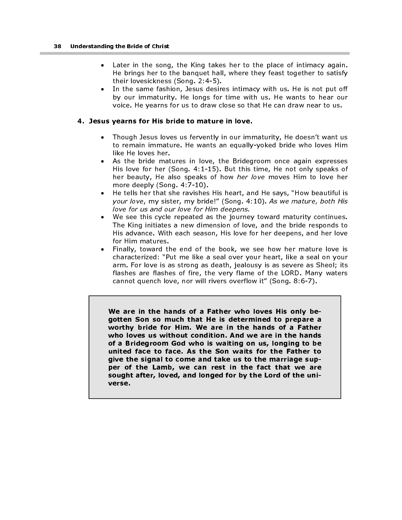- Later in the song, the King takes her to the place of intimacy again. He brings her to the banquet hall, where they feast together to satisfy their lovesickness (Song. 2:4-5).
- In the same fashion, Jesus desires intimacy with us. He is not put off by our immaturity. He longs for time with us. He wants to hear our voice. He yearns for us to draw close so that He can draw near to us.

## 4. Jesus yearns for His bride to mature in love.

- Though Jesus loves us fervently in our immaturity, He doesn't want us to remain immature. He wants an equally-yoked bride who loves Him like He loves her.
- As the bride matures in love, the Bridegroom once again expresses His love for her (Song. 4:1-15). But this time, He not only speaks of her beauty, He also speaks of how her love moves Him to love her more deeply (Song. 4:7-10).
- He tells her that she ravishes His heart, and He says, "How beautiful is your love, my sister, my bride!" (Song. 4:10). As we mature, both His love for us and our love for Him deepens.
- We see this cycle repeated as the journey toward maturity continues. The King initiates a new dimension of love, and the bride responds to His advance. With each season, His love for her deepens, and her love for Him matures.
- Finally, toward the end of the book, we see how her mature love is characterized: "Put me like a seal over your heart, like a seal on your arm. For love is as strong as death, jealousy is as severe as Sheol; its flashes are flashes of fire, the very flame of the LORD. Many waters cannot quench love, nor will rivers overflow it" (Song. 8:6-7).

We are in the hands of a Father who loves His only begotten Son so much that He is determined to prepare a worthy bride for Him. We are in the hands of a Father who loves us without condition. And we are in the hands of a Bridegroom God who is waiting on us, longing to be united face to face. As the Son waits for the Father to give the signal to come and take us to the marriage supper of the Lamb, we can rest in the fact that we are sought after, loved, and longed for by the Lord of the universe.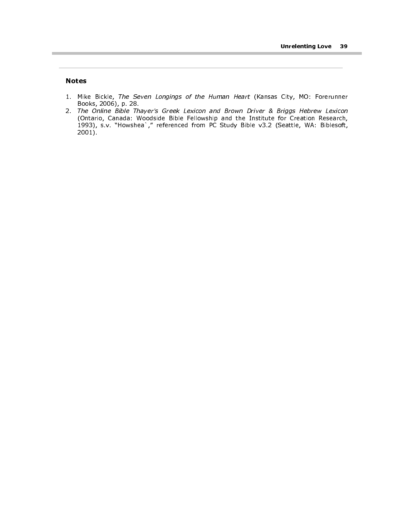## Notes

- 1. Mike Bickle, The Seven Longings of the Human Heart (Kansas City, MO: Forerunner Books, 2006), p. 28.
- 2. The Online Bible Thayer's Greek Lexicon and Brown Driver & Briggs Hebrew Lexicon (Ontario, Canada: Woodside Bible Fellowship and the Institute for Creation Research, 1993), s.v. "Howshea`," referenced from PC Study Bible v3.2 (Seattle, WA: Biblesoft, 2001).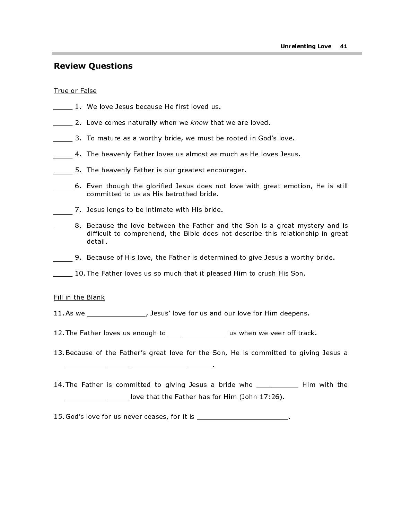## Review Questions

## True or False

- 1. We love Jesus because He first loved us.
- 2. Love comes naturally when we know that we are loved.
- 3. To mature as a worthy bride, we must be rooted in God's love.
- 4. The heavenly Father loves us almost as much as He loves Jesus.
- 5. The heavenly Father is our greatest encourager.
- 6. Even though the glorified Jesus does not love with great emotion, He is still committed to us as His betrothed bride.
- 7. Jesus longs to be intimate with His bride.

\_\_\_\_\_\_\_\_\_\_\_\_\_\_\_ \_\_\_\_\_\_\_\_\_\_\_\_\_\_\_\_\_\_\_.

- 8. Because the love between the Father and the Son is a great mystery and is difficult to comprehend, the Bible does not describe this relationship in great detail.
- 9. Because of His love, the Father is determined to give Jesus a worthy bride.
- 10. The Father loves us so much that it pleased Him to crush His Son.

#### Fill in the Blank

- 11. As we \_\_\_\_\_\_\_\_\_\_\_\_\_\_\_, Jesus' love for us and our love for Him deepens.
- 12. The Father loves us enough to \_\_\_\_\_\_\_\_\_\_\_\_\_\_\_ us when we veer off track.
- 13. Because of the Father's great love for the Son, He is committed to giving Jesus a
- 14. The Father is committed to giving Jesus a bride who \_\_\_\_\_\_\_\_\_\_\_ Him with the \_\_\_\_\_\_\_\_\_\_\_\_\_\_\_\_ love that the Father has for Him (John 17:26).

15. God's love for us never ceases, for it is \_\_\_\_\_\_\_\_\_\_\_\_\_\_\_\_\_\_\_\_\_\_\_\_\_\_.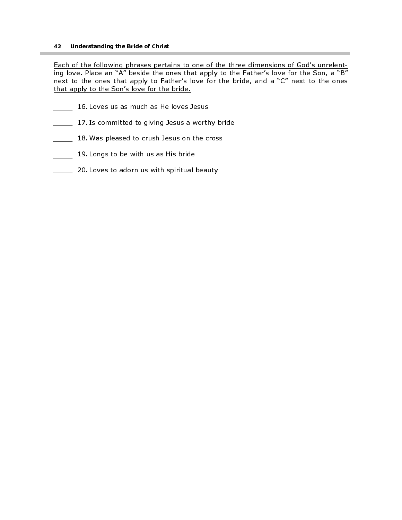#### 42 Understanding the Bride of Christ

Each of the following phrases pertains to one of the three dimensions of God's unrelenting love. Place an "A" beside the ones that apply to the Father's love for the Son, a "B" next to the ones that apply to Father's love for the bride, and a "C" next to the ones that apply to the Son's love for the bride.

- 16. Loves us as much as He loves Jesus
- 17. Is committed to giving Jesus a worthy bride
- 18. Was pleased to crush Jesus on the cross
- 19. Longs to be with us as His bride
- **20. Loves to adorn us with spiritual beauty**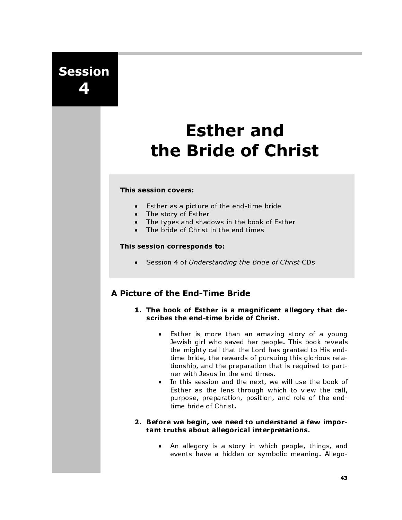Session 4

# Esther and the Bride of Christ

## This session covers:

- Esther as a picture of the end-time bride<br>• The story of Esther
- The story of Esther<br>• The tynes and shad
- The types and shadows in the book of Esther<br>• The bride of Christ in the end times
- The bride of Christ in the end times

## This session corresponds to:

• Session 4 of Understanding the Bride of Christ CDs

# A Picture of the End-Time Bride

- 1. The book of Esther is a magnificent allegory that describes the end-time bride of Christ.
	- Esther is more than an amazing story of a young Jewish girl who saved her people. This book reveals the mighty call that the Lord has granted to His endtime bride, the rewards of pursuing this glorious relationship, and the preparation that is required to partner with Jesus in the end times.
	- In this session and the next, we will use the book of Esther as the lens through which to view the call, purpose, preparation, position, and role of the endtime bride of Christ.

## 2. Before we begin, we need to understand a few important truths about allegorical interpretations.

• An allegory is a story in which people, things, and events have a hidden or symbolic meaning. Allego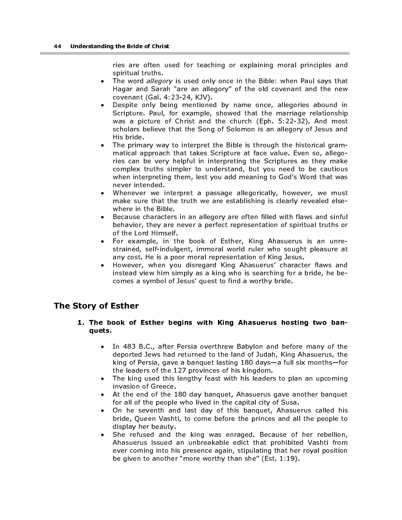ries are often used for teaching or explaining moral principles and spiritual truths.

- The word *allegory* is used only once in the Bible: when Paul says that Hagar and Sarah "are an allegory" of the old covenant and the new covenant (Gal. 4:23-24, KJV).
- Despite only being mentioned by name once, allegories abound in Scripture. Paul, for example, showed that the marriage relationship was a picture of Christ and the church (Eph. 5:22-32). And most scholars believe that the Song of Solomon is an allegory of Jesus and His bride.
- The primary way to interpret the Bible is through the historical grammatical approach that takes Scripture at face value. Even so, allegories can be very helpful in interpreting the Scriptures as they make complex truths simpler to understand, but you need to be cautious when interpreting them, lest you add meaning to God's Word that was never intended.
- Whenever we interpret a passage allegorically, however, we must make sure that the truth we are establishing is clearly revealed elsewhere in the Bible.
- Because characters in an allegory are often filled with flaws and sinful behavior, they are never a perfect representation of spiritual truths or of the Lord Himself.
- For example, in the book of Esther, King Ahasuerus is an unrestrained, self-indulgent, immoral world ruler who sought pleasure at any cost. He is a poor moral representation of King Jesus.
- However, when you disregard King Ahasuerus' character flaws and instead view him simply as a king who is searching for a bride, he becomes a symbol of Jesus' quest to find a worthy bride.

# The Story of Esther

## 1. The book of Esther begins with King Ahasuerus hosting two banquets.

- In 483 B.C., after Persia overthrew Babylon and before many of the deported Jews had returned to the land of Judah, King Ahasuerus, the king of Persia, gave a banquet lasting 180 days—a full six months—for the leaders of the 127 provinces of his kingdom.
- The king used this lengthy feast with his leaders to plan an upcoming invasion of Greece.
- At the end of the 180 day banquet, Ahasuerus gave another banquet for all of the people who lived in the capital city of Susa.
- On he seventh and last day of this banquet, Ahasuerus called his bride, Queen Vashti, to come before the princes and all the people to display her beauty.
- She refused and the king was enraged. Because of her rebellion, Ahasuerus issued an unbreakable edict that prohibited Vashti from ever coming into his presence again, stipulating that her royal position be given to another "more worthy than she" (Est. 1:19).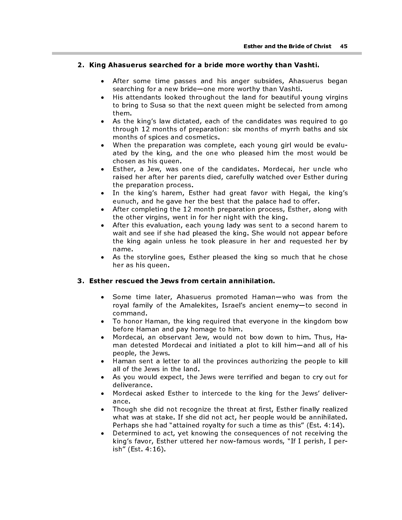## 2. King Ahasuerus searched for a bride more worthy than Vashti.

- After some time passes and his anger subsides, Ahasuerus began searching for a new bride—one more worthy than Vashti.
- His attendants looked throughout the land for beautiful young virgins to bring to Susa so that the next queen might be selected from among them.
- As the king's law dictated, each of the candidates was required to go through 12 months of preparation: six months of myrrh baths and six months of spices and cosmetics.
- When the preparation was complete, each young girl would be evaluated by the king, and the one who pleased him the most would be chosen as his queen.
- Esther, a Jew, was one of the candidates. Mordecai, her uncle who raised her after her parents died, carefully watched over Esther during the preparation process.
- In the king's harem, Esther had great favor with Hegai, the king's eunuch, and he gave her the best that the palace had to offer.
- After completing the 12 month preparation process, Esther, along with the other virgins, went in for her night with the king.
- After this evaluation, each young lady was sent to a second harem to wait and see if she had pleased the king. She would not appear before the king again unless he took pleasure in her and requested her by name.
- As the storyline goes, Esther pleased the king so much that he chose her as his queen.

## 3. Esther rescued the Jews from certain annihilation.

- Some time later, Ahasuerus promoted Haman—who was from the royal family of the Amalekites, Israel's ancient enemy—to second in command.
- To honor Haman, the king required that everyone in the kingdom bow before Haman and pay homage to him.
- Mordecai, an observant Jew, would not bow down to him. Thus, Haman detested Mordecai and initiated a plot to kill him—and all of his people, the Jews.
- Haman sent a letter to all the provinces authorizing the people to kill all of the Jews in the land.
- As you would expect, the Jews were terrified and began to cry out for deliverance.
- Mordecai asked Esther to intercede to the king for the Jews' deliverance.
- Though she did not recognize the threat at first, Esther finally realized what was at stake. If she did not act, her people would be annihilated. Perhaps she had "attained royalty for such a time as this" (Est. 4:14).
- Determined to act, yet knowing the consequences of not receiving the king's favor, Esther uttered her now-famous words, "If I perish, I perish" (Est. 4:16).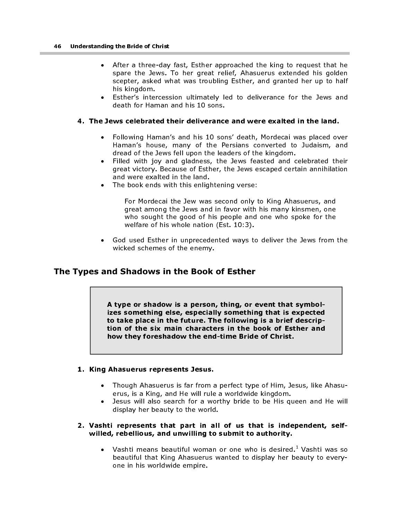- After a three-day fast, Esther approached the king to request that he spare the Jews. To her great relief, Ahasuerus extended his golden scepter, asked what was troubling Esther, and granted her up to half his kingdom.
- Esther's intercession ultimately led to deliverance for the Jews and death for Haman and his 10 sons.

## 4. The Jews celebrated their deliverance and were exalted in the land.

- Following Haman's and his 10 sons' death, Mordecai was placed over Haman's house, many of the Persians converted to Judaism, and dread of the Jews fell upon the leaders of the kingdom.
- Filled with joy and gladness, the Jews feasted and celebrated their great victory. Because of Esther, the Jews escaped certain annihilation and were exalted in the land.
- The book ends with this enlightening verse:

For Mordecai the Jew was second only to King Ahasuerus, and great among the Jews and in favor with his many kinsmen, one who sought the good of his people and one who spoke for the welfare of his whole nation (Est. 10:3).

• God used Esther in unprecedented ways to deliver the Jews from the wicked schemes of the enemy.

## The Types and Shadows in the Book of Esther

A type or shadow is a person, thing, or event that symbolizes something else, especially something that is expected to take place in the future. The following is a brief description of the six main characters in the book of Esther and how they foreshadow the end-time Bride of Christ.

#### 1. King Ahasuerus represents Jesus.

- Though Ahasuerus is far from a perfect type of Him, Jesus, like Ahasuerus, is a King, and He will rule a worldwide kingdom.
- Jesus will also search for a worthy bride to be His queen and He will display her beauty to the world.

## 2. Vashti represents that part in all of us that is independent, selfwilled, rebellious, and unwilling to submit to authority.

• Vashti means beautiful woman or one who is desired.<sup>1</sup> Vashti was so<br>beautiful that King Abasuerus wanted to display her beauty to every. beautiful that King Ahasuerus wanted to display her beauty to everyone in his worldwide empire.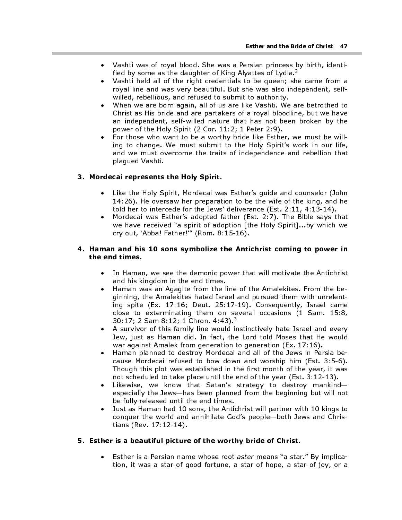- Vashti was of royal blood. She was a Persian princess by birth, identified by some as the daughter of King Alyattes of Lydia. $^2$
- Vashti held all of the right credentials to be queen; she came from a royal line and was very beautiful. But she was also independent, selfwilled, rebellious, and refused to submit to authority.
- When we are born again, all of us are like Vashti. We are betrothed to Christ as His bride and are partakers of a royal bloodline, but we have an independent, self-willed nature that has not been broken by the power of the Holy Spirit (2 Cor. 11:2; 1 Peter 2:9).
- For those who want to be a worthy bride like Esther, we must be willing to change. We must submit to the Holy Spirit's work in our life, and we must overcome the traits of independence and rebellion that plagued Vashti.

## 3. Mordecai represents the Holy Spirit.

- Like the Holy Spirit, Mordecai was Esther's guide and counselor (John 14:26). He oversaw her preparation to be the wife of the king, and he told her to intercede for the Jews' deliverance (Est. 2:11, 4:13-14).
- Mordecai was Esther's adopted father (Est. 2:7). The Bible says that we have received "a spirit of adoption [the Holy Spirit]...by which we cry out, 'Abba! Father!'" (Rom. 8:15-16).

## 4. Haman and his 10 sons symbolize the Antichrist coming to power in the end times.

- In Haman, we see the demonic power that will motivate the Antichrist and his kingdom in the end times.
- Haman was an Agagite from the line of the Amalekites. From the beginning, the Amalekites hated Israel and pursued them with unrelenting spite (Ex. 17:16; Deut. 25:17-19). Consequently, Israel came close to exterminating them on several occasions (1 Sam. 15:8, 30:17; 2 Sam 8:12; 1 Chron. 4:43).<sup>3</sup>
- A survivor of this family line would instinctively hate Israel and every Jew, just as Haman did. In fact, the Lord told Moses that He would war against Amalek from generation to generation (Ex. 17:16).
- Haman planned to destroy Mordecai and all of the Jews in Persia because Mordecai refused to bow down and worship him (Est. 3:5-6). Though this plot was established in the first month of the year, it was not scheduled to take place until the end of the year (Est. 3:12-13).
- Likewise, we know that Satan's strategy to destroy mankindespecially the Jews—has been planned from the beginning but will not be fully released until the end times.
- Just as Haman had 10 sons, the Antichrist will partner with 10 kings to conquer the world and annihilate God's people—both Jews and Christians (Rev. 17:12-14).

## 5. Esther is a beautiful picture of the worthy bride of Christ.

Esther is a Persian name whose root aster means "a star." By implication, it was a star of good fortune, a star of hope, a star of joy, or a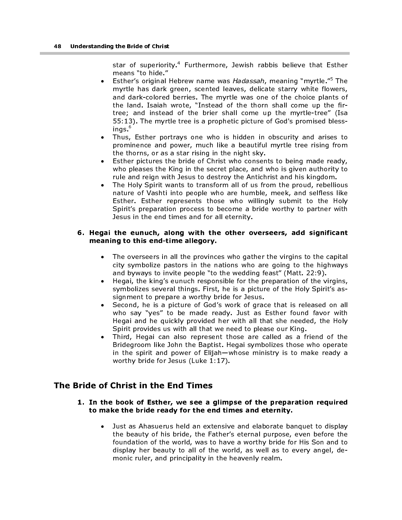star of superiority.<sup>4</sup> Furthermore, Jewish rabbis believe that Esther means "to hide."

- Esther's original Hebrew name was Hadassah, meaning "myrtle."<sup>5</sup> The<br>myrtle has dark green, scented leaves, delicate starry white flowers myrtle has dark green, scented leaves, delicate starry white flowers, and dark-colored berries. The myrtle was one of the choice plants of the land. Isaiah wrote, "Instead of the thorn shall come up the firtree; and instead of the brier shall come up the myrtle-tree" (Isa 55:13). The myrtle tree is a prophetic picture of God's promised blessings.<sup>6</sup>
- Thus, Esther portrays one who is hidden in obscurity and arises to prominence and power, much like a beautiful myrtle tree rising from the thorns, or as a star rising in the night sky.
- Esther pictures the bride of Christ who consents to being made ready, who pleases the King in the secret place, and who is given authority to rule and reign with Jesus to destroy the Antichrist and his kingdom.
- The Holy Spirit wants to transform all of us from the proud, rebellious nature of Vashti into people who are humble, meek, and selfless like Esther. Esther represents those who willingly submit to the Holy Spirit's preparation process to become a bride worthy to partner with Jesus in the end times and for all eternity.

## 6. Hegai the eunuch, along with the other overseers, add significant meaning to this end-time allegory.

- The overseers in all the provinces who gather the virgins to the capital city symbolize pastors in the nations who are going to the highways and byways to invite people "to the wedding feast" (Matt. 22:9).
- Hegai, the king's eunuch responsible for the preparation of the virgins, symbolizes several things. First, he is a picture of the Holy Spirit's assignment to prepare a worthy bride for Jesus.
- Second, he is a picture of God's work of grace that is released on all who say "yes" to be made ready. Just as Esther found favor with Hegai and he quickly provided her with all that she needed, the Holy Spirit provides us with all that we need to please our King.
- Third, Hegai can also represent those are called as a friend of the Bridegroom like John the Baptist. Hegai symbolizes those who operate in the spirit and power of Elijah—whose ministry is to make ready a worthy bride for Jesus (Luke 1:17).

# The Bride of Christ in the End Times

## 1. In the book of Esther, we see a glimpse of the preparation required to make the bride ready for the end times and eternity.

• Just as Ahasuerus held an extensive and elaborate banquet to display the beauty of his bride, the Father's eternal purpose, even before the foundation of the world, was to have a worthy bride for His Son and to display her beauty to all of the world, as well as to every angel, demonic ruler, and principality in the heavenly realm.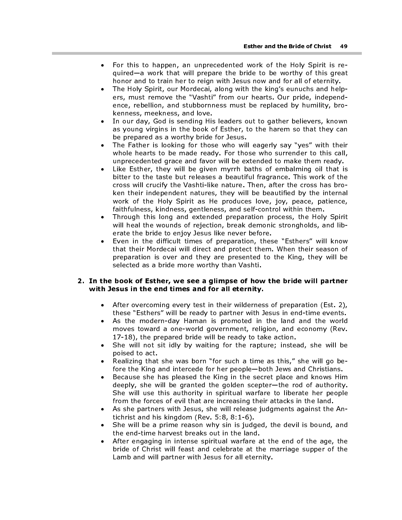- For this to happen, an unprecedented work of the Holy Spirit is required—a work that will prepare the bride to be worthy of this great honor and to train her to reign with Jesus now and for all of eternity.
- The Holy Spirit, our Mordecai, along with the king's eunuchs and helpers, must remove the "Vashti" from our hearts. Our pride, independence, rebellion, and stubbornness must be replaced by humility, brokenness, meekness, and love.
- In our day, God is sending His leaders out to gather believers, known as young virgins in the book of Esther, to the harem so that they can be prepared as a worthy bride for Jesus.
- The Father is looking for those who will eagerly say "yes" with their whole hearts to be made ready. For those who surrender to this call, unprecedented grace and favor will be extended to make them ready.
- Like Esther, they will be given myrrh baths of embalming oil that is bitter to the taste but releases a beautiful fragrance. This work of the cross will crucify the Vashti-like nature. Then, after the cross has broken their independent natures, they will be beautified by the internal work of the Holy Spirit as He produces love, joy, peace, patience, faithfulness, kindness, gentleness, and self-control within them.
- Through this long and extended preparation process, the Holy Spirit will heal the wounds of rejection, break demonic strongholds, and liberate the bride to enjoy Jesus like never before.
- Even in the difficult times of preparation, these "Esthers" will know that their Mordecai will direct and protect them. When their season of preparation is over and they are presented to the King, they will be selected as a bride more worthy than Vashti.

## 2. In the book of Esther, we see a glimpse of how the bride will partner with Jesus in the end times and for all eternity.

- After overcoming every test in their wilderness of preparation (Est. 2), these "Esthers" will be ready to partner with Jesus in end-time events.
- As the modern-day Haman is promoted in the land and the world moves toward a one-world government, religion, and economy (Rev. 17-18), the prepared bride will be ready to take action.
- She will not sit idly by waiting for the rapture; instead, she will be poised to act.
- Realizing that she was born "for such a time as this," she will go before the King and intercede for her people—both Jews and Christians.
- Because she has pleased the King in the secret place and knows Him deeply, she will be granted the golden scepter—the rod of authority. She will use this authority in spiritual warfare to liberate her people from the forces of evil that are increasing their attacks in the land.
- As she partners with Jesus, she will release judgments against the Antichrist and his kingdom (Rev. 5:8, 8:1-6).
- She will be a prime reason why sin is judged, the devil is bound, and the end-time harvest breaks out in the land.
- After engaging in intense spiritual warfare at the end of the age, the bride of Christ will feast and celebrate at the marriage supper of the Lamb and will partner with Jesus for all eternity.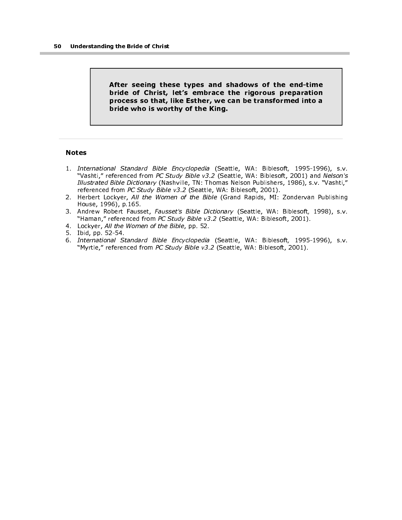After seeing these types and shadows of the end-time bride of Christ, let's embrace the rigorous preparation process so that, like Esther, we can be transformed into a bride who is worthy of the King.

#### Notes

- 1. International Standard Bible Encyclopedia (Seattle, WA: Biblesoft, 1995-1996), s.v. "Vashti," referenced from PC Study Bible v3.2 (Seattle, WA: Biblesoft, 2001) and Nelson's Illustrated Bible Dictionary (Nashville, TN: Thomas Nelson Publishers, 1986), s.v. "Vashti," referenced from PC Study Bible v3.2 (Seattle, WA: Biblesoft, 2001).
- 2. Herbert Lockyer, All the Women of the Bible (Grand Rapids, MI: Zondervan Publishing House, 1996), p.165.
- 3. Andrew Robert Fausset, Fausset's Bible Dictionary (Seattle, WA: Biblesoft, 1998), s.v. "Haman," referenced from PC Study Bible v3.2 (Seattle, WA: Biblesoft, 2001).
- 4. Lockyer, All the Women of the Bible, pp. 52.
- 5. Ibid, pp. 52-54.

l

6. International Standard Bible Encyclopedia (Seattle, WA: Biblesoft, 1995-1996), s.v. "Myrtle," referenced from PC Study Bible v3.2 (Seattle, WA: Biblesoft, 2001).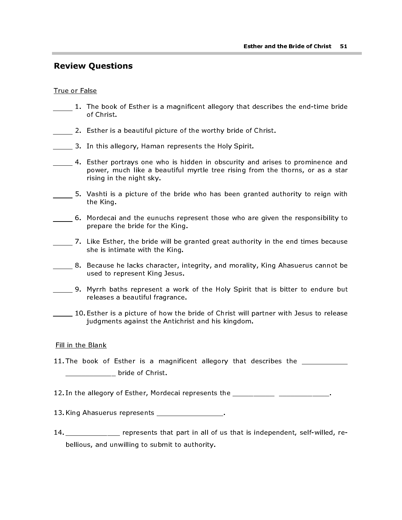## Review Questions

## True or False

- 1. The book of Esther is a magnificent allegory that describes the end-time bride of Christ.
- 2. Esther is a beautiful picture of the worthy bride of Christ.
- **3.** In this allegory, Haman represents the Holy Spirit.
- 4. Esther portrays one who is hidden in obscurity and arises to prominence and power, much like a beautiful myrtle tree rising from the thorns, or as a star rising in the night sky.
- 5. Vashti is a picture of the bride who has been granted authority to reign with the King.
- 6. Mordecai and the eunuchs represent those who are given the responsibility to prepare the bride for the King.
- 7. Like Esther, the bride will be granted great authority in the end times because she is intimate with the King.
- 8. Because he lacks character, integrity, and morality, King Ahasuerus cannot be used to represent King Jesus.
- **9.** Myrrh baths represent a work of the Holy Spirit that is bitter to endure but releases a beautiful fragrance.
- 10. Esther is a picture of how the bride of Christ will partner with Jesus to release judgments against the Antichrist and his kingdom.

#### Fill in the Blank

- 11. The book of Esther is a magnificent allegory that describes the \_\_\_\_\_\_\_\_\_\_\_ end and bride of Christ.
- 12. In the allegory of Esther, Mordecai represents the \_\_\_\_\_\_\_\_\_\_\_\_ \_\_\_\_\_\_\_\_\_\_\_\_.
- 13. King Ahasuerus represents \_\_\_\_\_\_\_\_\_\_\_\_\_\_\_\_\_.
- 14. \_\_\_\_\_\_\_\_\_\_\_\_\_ represents that part in all of us that is independent, self-willed, rebellious, and unwilling to submit to authority.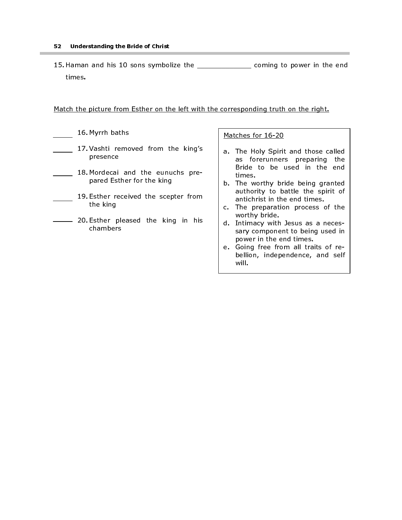15. Haman and his 10 sons symbolize the \_\_\_\_\_\_\_\_\_\_\_\_\_ coming to power in the end times.

#### Match the picture from Esther on the left with the corresponding truth on the right.

16. Myrrh baths

- 17. Vashti removed from the king's presence
- 18. Mordecai and the eunuchs prepared Esther for the king
- 19. Esther received the scepter from the king
- **20. Esther pleased the king in his** chambers

Matches for 16-20

- a. The Holy Spirit and those called as forerunners preparing the Bride to be used in the end times.
- b. The worthy bride being granted authority to battle the spirit of antichrist in the end times.
- c. The preparation process of the worthy bride.
- d. Intimacy with Jesus as a necessary component to being used in power in the end times.
- e. Going free from all traits of rebellion, independence, and self will.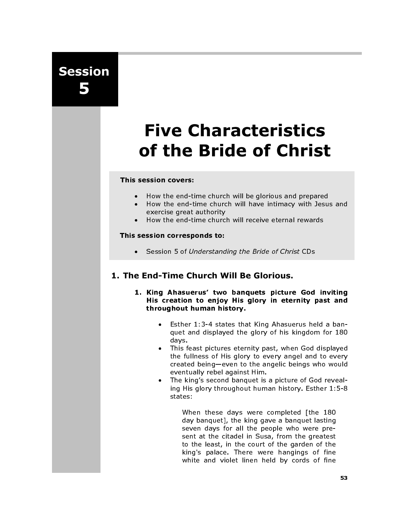Session 5

# Five Characteristics of the Bride of Christ

## This session covers:

- How the end-time church will be glorious and prepared<br>• How the end-time church will have intimacy with Jesu
- How the end-time church will have intimacy with Jesus and exercise great authority
- How the end-time church will receive eternal rewards

## This session corresponds to:

• Session 5 of Understanding the Bride of Christ CDs

# 1. The End-Time Church Will Be Glorious.

- 1. King Ahasuerus' two banquets picture God inviting His creation to enjoy His glory in eternity past and throughout human history.
	- Esther 1:3-4 states that King Ahasuerus held a banquet and displayed the glory of his kingdom for 180 days.
	- This feast pictures eternity past, when God displayed the fullness of His glory to every angel and to every created being—even to the angelic beings who would eventually rebel against Him.
	- The king's second banquet is a picture of God revealing His glory throughout human history. Esther 1:5-8 states:

When these days were completed [the 180 day banquet], the king gave a banquet lasting seven days for all the people who were present at the citadel in Susa, from the greatest to the least, in the court of the garden of the king's palace. There were hangings of fine white and violet linen held by cords of fine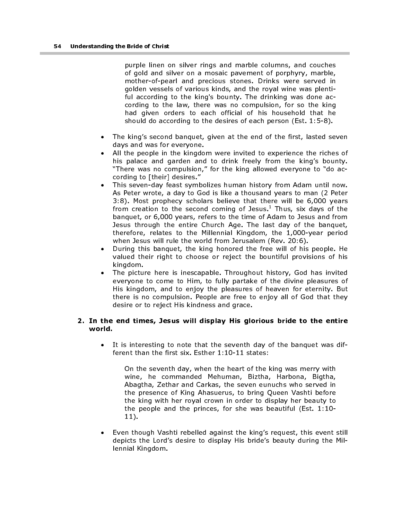purple linen on silver rings and marble columns, and couches of gold and silver on a mosaic pavement of porphyry, marble, mother-of-pearl and precious stones. Drinks were served in golden vessels of various kinds, and the royal wine was plentiful according to the king's bounty. The drinking was done according to the law, there was no compulsion, for so the king had given orders to each official of his household that he should do according to the desires of each person (Est. 1:5-8).

- The king's second banquet, given at the end of the first, lasted seven days and was for everyone.
- All the people in the kingdom were invited to experience the riches of his palace and garden and to drink freely from the king's bounty. "There was no compulsion," for the king allowed everyone to "do according to [their] desires."
- This seven-day feast symbolizes human history from Adam until now. As Peter wrote, a day to God is like a thousand years to man (2 Peter 3:8). Most prophecy scholars believe that there will be 6,000 years from creation to the second coming of Jesus.<sup>1</sup> Thus, six days of the banquet, or 6,000 years, refers to the time of Adam to Jesus and from Jesus through the entire Church Age. The last day of the banquet, therefore, relates to the Millennial Kingdom, the 1,000-year period when Jesus will rule the world from Jerusalem (Rev. 20:6).
- During this banquet, the king honored the free will of his people. He valued their right to choose or reject the bountiful provisions of his kingdom.
- The picture here is inescapable. Throughout history, God has invited everyone to come to Him, to fully partake of the divine pleasures of His kingdom, and to enjoy the pleasures of heaven for eternity. But there is no compulsion. People are free to enjoy all of God that they desire or to reject His kindness and grace.

## 2. In the end times, Jesus will display His glorious bride to the entire world.

It is interesting to note that the seventh day of the banquet was different than the first six. Esther 1:10-11 states:

On the seventh day, when the heart of the king was merry with wine, he commanded Mehuman, Biztha, Harbona, Bigtha, Abagtha, Zethar and Carkas, the seven eunuchs who served in the presence of King Ahasuerus, to bring Queen Vashti before the king with her royal crown in order to display her beauty to the people and the princes, for she was beautiful (Est. 1:10- 11).

• Even though Vashti rebelled against the king's request, this event still depicts the Lord's desire to display His bride's beauty during the Millennial Kingdom.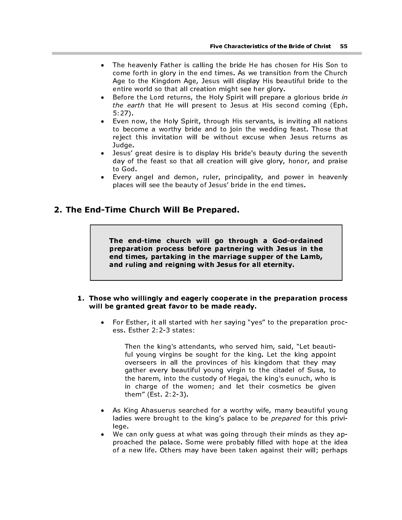- The heavenly Father is calling the bride He has chosen for His Son to come forth in glory in the end times. As we transition from the Church Age to the Kingdom Age, Jesus will display His beautiful bride to the entire world so that all creation might see her glory. Five Characteristics of the Bride of Christ<br>The heavenly Father is calling the bride He has chosen for His Sc<br>come forth in glory in the end times. As we transition from the Ch<br>Age to the Kingdom Age, Jesus will display Hi
- Before the Lord returns, the Holy Spirit will prepare a glorious bride in the earth that He will present to Jesus at His second coming (Eph. 5:27).
- Even now, the Holy Spirit, through His servants, is inviting all nations to become a worthy bride and to join the wedding feast. Those that reject this invitation will be without excuse when Jesus returns as Judge.
- Jesus' great desire is to display His bride's beauty during the seventh day of the feast so that all creation will give glory, honor, and praise to God.
- Every angel and demon, ruler, principality, and power in heavenly places will see the beauty of Jesus' bride in the end times.

## 2. The End-Time Church Will Be Prepared.

preparation process before partnering with Jesus in the end times, partaking in the marriage supper of the Lamb, and ruling and reigning with Jesus for all eternity.

## 1. Those who willingly and eagerly cooperate in the preparation process will be granted great favor to be made ready.

• For Esther, it all started with her saying "yes" to the preparation process. Esther 2:2-3 states:

Then the king's attendants, who served him, said, "Let beautiful young virgins be sought for the king. Let the king appoint overseers in all the provinces of his kingdom that they may gather every beautiful young virgin to the citadel of Susa, to the harem, into the custody of Hegai, the king's eunuch, who is in charge of the women; and let their cosmetics be given them" (Est. 2:2-3).

- As King Ahasuerus searched for a worthy wife, many beautiful young ladies were brought to the king's palace to be *prepared* for this privilege.
- We can only guess at what was going through their minds as they approached the palace. Some were probably filled with hope at the idea of a new life. Others may have been taken against their will; perhaps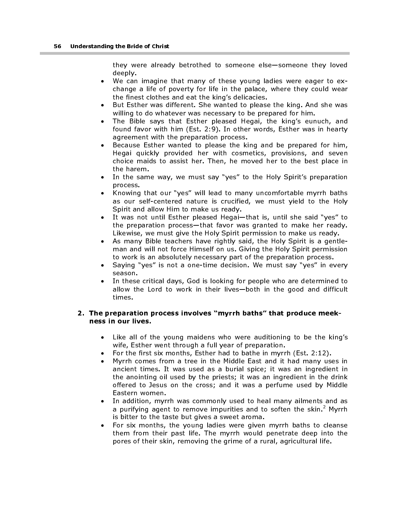they were already betrothed to someone else—someone they loved deeply.

- We can imagine that many of these young ladies were eager to exchange a life of poverty for life in the palace, where they could wear the finest clothes and eat the king's delicacies.
- But Esther was different. She wanted to please the king. And she was willing to do whatever was necessary to be prepared for him.
- The Bible says that Esther pleased Hegai, the king's eunuch, and found favor with him (Est. 2:9). In other words, Esther was in hearty agreement with the preparation process.
- Because Esther wanted to please the king and be prepared for him, Hegai quickly provided her with cosmetics, provisions, and seven choice maids to assist her. Then, he moved her to the best place in the harem.
- In the same way, we must say "yes" to the Holy Spirit's preparation process.
- Knowing that our "yes" will lead to many uncomfortable myrrh baths as our self-centered nature is crucified, we must yield to the Holy Spirit and allow Him to make us ready.
- It was not until Esther pleased Hegai—that is, until she said "yes" to the preparation process—that favor was granted to make her ready. Likewise, we must give the Holy Spirit permission to make us ready.
- As many Bible teachers have rightly said, the Holy Spirit is a gentleman and will not force Himself on us. Giving the Holy Spirit permission to work is an absolutely necessary part of the preparation process.
- Saying "yes" is not a one-time decision. We must say "yes" in every season.
- In these critical days, God is looking for people who are determined to allow the Lord to work in their lives—both in the good and difficult times.

## 2. The preparation process involves "myrrh baths" that produce meekness in our lives.

- Like all of the young maidens who were auditioning to be the king's wife, Esther went through a full year of preparation.
- For the first six months, Esther had to bathe in myrrh (Est. 2:12).
- Myrrh comes from a tree in the Middle East and it had many uses in ancient times. It was used as a burial spice; it was an ingredient in the anointing oil used by the priests; it was an ingredient in the drink offered to Jesus on the cross; and it was a perfume used by Middle Eastern women.
- In addition, myrrh was commonly used to heal many ailments and as a purifying agent to remove impurities and to soften the skin.<sup>2</sup> Myrrh is bitter to the taste but gives a sweet aroma.
- For six months, the young ladies were given myrrh baths to cleanse them from their past life. The myrrh would penetrate deep into the pores of their skin, removing the grime of a rural, agricultural life.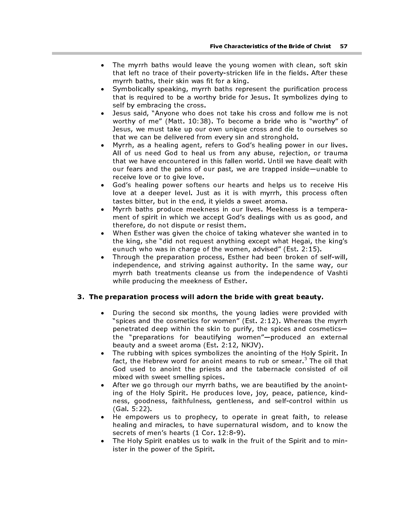- The myrrh baths would leave the young women with clean, soft skin that left no trace of their poverty-stricken life in the fields. After these myrrh baths, their skin was fit for a king.
- Symbolically speaking, myrrh baths represent the purification process that is required to be a worthy bride for Jesus. It symbolizes dying to self by embracing the cross.
- Jesus said, "Anyone who does not take his cross and follow me is not worthy of me" (Matt. 10:38). To become a bride who is "worthy" of Jesus, we must take up our own unique cross and die to ourselves so that we can be delivered from every sin and stronghold.
- Myrrh, as a healing agent, refers to God's healing power in our lives. All of us need God to heal us from any abuse, rejection, or trauma that we have encountered in this fallen world. Until we have dealt with our fears and the pains of our past, we are trapped inside—unable to receive love or to give love.
- God's healing power softens our hearts and helps us to receive His love at a deeper level. Just as it is with myrrh, this process often tastes bitter, but in the end, it yields a sweet aroma.
- Myrrh baths produce meekness in our lives. Meekness is a temperament of spirit in which we accept God's dealings with us as good, and therefore, do not dispute or resist them.
- When Esther was given the choice of taking whatever she wanted in to the king, she "did not request anything except what Hegai, the king's eunuch who was in charge of the women, advised" (Est. 2:15).
- Through the preparation process, Esther had been broken of self-will, independence, and striving against authority. In the same way, our myrrh bath treatments cleanse us from the independence of Vashti while producing the meekness of Esther.

## 3. The preparation process will adorn the bride with great beauty.

- During the second six months, the young ladies were provided with "spices and the cosmetics for women" (Est. 2:12). Whereas the myrrh penetrated deep within the skin to purify, the spices and cosmetics the "preparations for beautifying women"—produced an external beauty and a sweet aroma (Est. 2:12, NKJV).
- The rubbing with spices symbolizes the anointing of the Holy Spirit. In fact, the Hebrew word for anoint means to rub or smear.<sup>3</sup> The oil that God used to anoint the priests and the tabernacle consisted of oil mixed with sweet smelling spices.
- After we go through our myrrh baths, we are beautified by the anointing of the Holy Spirit. He produces love, joy, peace, patience, kindness, goodness, faithfulness, gentleness, and self-control within us (Gal. 5:22).
- He empowers us to prophecy, to operate in great faith, to release healing and miracles, to have supernatural wisdom, and to know the secrets of men's hearts (1 Cor. 12:8-9).
- The Holy Spirit enables us to walk in the fruit of the Spirit and to minister in the power of the Spirit.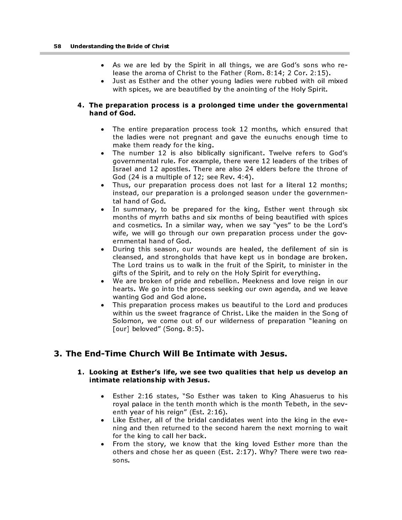- As we are led by the Spirit in all things, we are God's sons who release the aroma of Christ to the Father (Rom. 8:14; 2 Cor. 2:15).
- Just as Esther and the other young ladies were rubbed with oil mixed with spices, we are beautified by the anointing of the Holy Spirit.

## 4. The preparation process is a prolonged time under the governmental hand of God.

- The entire preparation process took 12 months, which ensured that the ladies were not pregnant and gave the eunuchs enough time to make them ready for the king.
- The number 12 is also biblically significant. Twelve refers to God's governmental rule. For example, there were 12 leaders of the tribes of Israel and 12 apostles. There are also 24 elders before the throne of God (24 is a multiple of 12; see Rev. 4:4).
- Thus, our preparation process does not last for a literal 12 months; instead, our preparation is a prolonged season under the governmental hand of God.
- In summary, to be prepared for the king, Esther went through six months of myrrh baths and six months of being beautified with spices and cosmetics. In a similar way, when we say "yes" to be the Lord's wife, we will go through our own preparation process under the governmental hand of God.
- During this season, our wounds are healed, the defilement of sin is cleansed, and strongholds that have kept us in bondage are broken. The Lord trains us to walk in the fruit of the Spirit, to minister in the gifts of the Spirit, and to rely on the Holy Spirit for everything.
- We are broken of pride and rebellion. Meekness and love reign in our hearts. We go into the process seeking our own agenda, and we leave wanting God and God alone.
- This preparation process makes us beautiful to the Lord and produces within us the sweet fragrance of Christ. Like the maiden in the Song of Solomon, we come out of our wilderness of preparation "leaning on [our] beloved" (Song. 8:5).

# 3. The End-Time Church Will Be Intimate with Jesus.

## 1. Looking at Esther's life, we see two qualities that help us develop an intimate relationship with Jesus.

- Esther 2:16 states, "So Esther was taken to King Ahasuerus to his royal palace in the tenth month which is the month Tebeth, in the seventh year of his reign" (Est. 2:16).
- Like Esther, all of the bridal candidates went into the king in the evening and then returned to the second harem the next morning to wait for the king to call her back.
- From the story, we know that the king loved Esther more than the others and chose her as queen (Est. 2:17). Why? There were two reasons.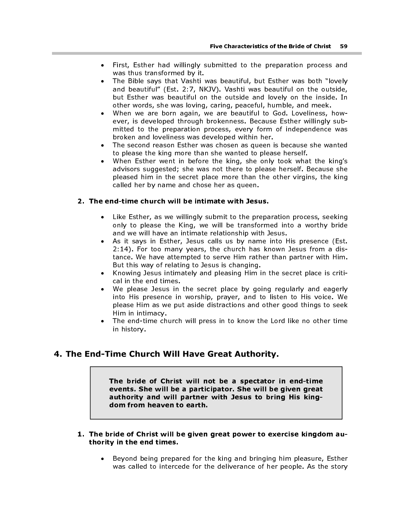- First, Esther had willingly submitted to the preparation process and was thus transformed by it.
- The Bible says that Vashti was beautiful, but Esther was both "lovely and beautiful" (Est. 2:7, NKJV). Vashti was beautiful on the outside, but Esther was beautiful on the outside and lovely on the inside. In other words, she was loving, caring, peaceful, humble, and meek.
- When we are born again, we are beautiful to God. Loveliness, however, is developed through brokenness. Because Esther willingly submitted to the preparation process, every form of independence was broken and loveliness was developed within her.
- The second reason Esther was chosen as queen is because she wanted to please the king more than she wanted to please herself.
- When Esther went in before the king, she only took what the king's advisors suggested; she was not there to please herself. Because she pleased him in the secret place more than the other virgins, the king called her by name and chose her as queen. First, Esther had Willingy submitted to the Bride of Christ<br>
was thus transformed by it. which was beautiful, but Esther was both "lc<br>
and beautiful" (Est. 2.?, NKV). Veshtil was beautiful on the outside<br>
but Esther was b

## 2. The end-time church will be intimate with Jesus.

- Like Esther, as we willingly submit to the preparation process, seeking only to please the King, we will be transformed into a worthy bride and we will have an intimate relationship with Jesus.
- As it says in Esther, Jesus calls us by name into His presence (Est. 2:14). For too many years, the church has known Jesus from a distance. We have attempted to serve Him rather than partner with Him. But this way of relating to Jesus is changing.
- Knowing Jesus intimately and pleasing Him in the secret place is critical in the end times.
- We please Jesus in the secret place by going regularly and eagerly into His presence in worship, prayer, and to listen to His voice. We please Him as we put aside distractions and other good things to seek Him in intimacy.
- The end-time church will press in to know the Lord like no other time in history.

## 4. The End-Time Church Will Have Great Authority.

events. She will be a participator. She will be given great authority and will partner with Jesus to bring His kingdom from heaven to earth.

- 1. The bride of Christ will be given great power to exercise kingdom authority in the end times.
	- Beyond being prepared for the king and bringing him pleasure, Esther was called to intercede for the deliverance of her people. As the story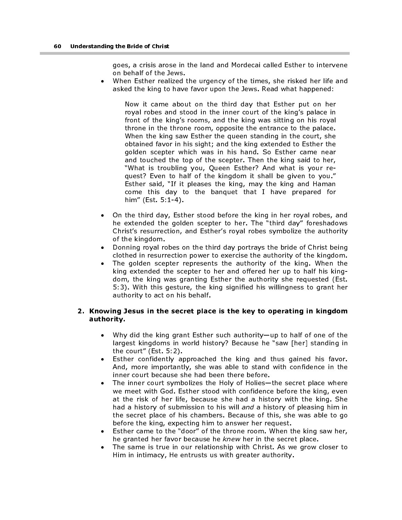goes, a crisis arose in the land and Mordecai called Esther to intervene on behalf of the Jews.

• When Esther realized the urgency of the times, she risked her life and asked the king to have favor upon the Jews. Read what happened:

Now it came about on the third day that Esther put on her royal robes and stood in the inner court of the king's palace in front of the king's rooms, and the king was sitting on his royal throne in the throne room, opposite the entrance to the palace. When the king saw Esther the queen standing in the court, she obtained favor in his sight; and the king extended to Esther the golden scepter which was in his hand. So Esther came near and touched the top of the scepter. Then the king said to her, "What is troubling you, Queen Esther? And what is your request? Even to half of the kingdom it shall be given to you." Esther said, "If it pleases the king, may the king and Haman come this day to the banquet that I have prepared for him" (Est. 5:1-4).

- On the third day, Esther stood before the king in her royal robes, and he extended the golden scepter to her. The "third day" foreshadows Christ's resurrection, and Esther's royal robes symbolize the authority of the kingdom.
- Donning royal robes on the third day portrays the bride of Christ being clothed in resurrection power to exercise the authority of the kingdom.
- The golden scepter represents the authority of the king. When the king extended the scepter to her and offered her up to half his kingdom, the king was granting Esther the authority she requested (Est. 5:3). With this gesture, the king signified his willingness to grant her authority to act on his behalf.

## 2. Knowing Jesus in the secret place is the key to operating in kingdom authority.

- Why did the king grant Esther such authority—up to half of one of the largest kingdoms in world history? Because he "saw [her] standing in the court" (Est. 5:2).
- Esther confidently approached the king and thus gained his favor. And, more importantly, she was able to stand with confidence in the inner court because she had been there before.
- The inner court symbolizes the Holy of Holies—the secret place where we meet with God. Esther stood with confidence before the king, even at the risk of her life, because she had a history with the king. She had a history of submission to his will and a history of pleasing him in the secret place of his chambers. Because of this, she was able to go before the king, expecting him to answer her request.
- Esther came to the "door" of the throne room. When the king saw her, he granted her favor because he knew her in the secret place.
- The same is true in our relationship with Christ. As we grow closer to Him in intimacy, He entrusts us with greater authority.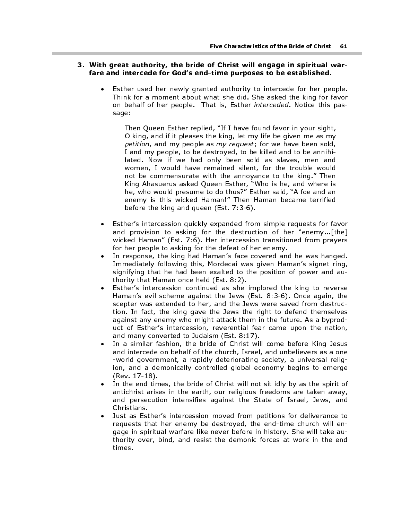#### 3. With great authority, the bride of Christ will engage in spiritual warfare and intercede for God's end-time purposes to be established.

• Esther used her newly granted authority to intercede for her people. Think for a moment about what she did. She asked the king for favor on behalf of her people. That is, Esther interceded. Notice this passage:

Then Queen Esther replied, "If I have found favor in your sight, O king, and if it pleases the king, let my life be given me as my petition, and my people as my request; for we have been sold, I and my people, to be destroyed, to be killed and to be annihilated. Now if we had only been sold as slaves, men and women, I would have remained silent, for the trouble would not be commensurate with the annoyance to the king." Then King Ahasuerus asked Queen Esther, "Who is he, and where is he, who would presume to do thus?" Esther said, "A foe and an enemy is this wicked Haman!" Then Haman became terrified before the king and queen (Est. 7:3-6).

- Esther's intercession quickly expanded from simple requests for favor and provision to asking for the destruction of her "enemy...[the] wicked Haman" (Est. 7:6). Her intercession transitioned from prayers for her people to asking for the defeat of her enemy.
- In response, the king had Haman's face covered and he was hanged. Immediately following this, Mordecai was given Haman's signet ring, signifying that he had been exalted to the position of power and authority that Haman once held (Est. 8:2).
- Esther's intercession continued as she implored the king to reverse Haman's evil scheme against the Jews (Est. 8:3-6). Once again, the scepter was extended to her, and the Jews were saved from destruction. In fact, the king gave the Jews the right to defend themselves against any enemy who might attack them in the future. As a byproduct of Esther's intercession, reverential fear came upon the nation, and many converted to Judaism (Est. 8:17).
- In a similar fashion, the bride of Christ will come before King Jesus and intercede on behalf of the church, Israel, and unbelievers as a one -world government, a rapidly deteriorating society, a universal religion, and a demonically controlled global economy begins to emerge (Rev. 17-18).
- In the end times, the bride of Christ will not sit idly by as the spirit of antichrist arises in the earth, our religious freedoms are taken away, and persecution intensifies against the State of Israel, Jews, and Christians.
- Just as Esther's intercession moved from petitions for deliverance to requests that her enemy be destroyed, the end-time church will engage in spiritual warfare like never before in history. She will take authority over, bind, and resist the demonic forces at work in the end times.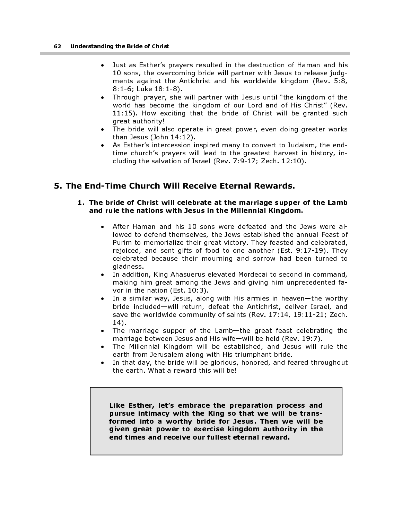- Just as Esther's prayers resulted in the destruction of Haman and his 10 sons, the overcoming bride will partner with Jesus to release judgments against the Antichrist and his worldwide kingdom (Rev. 5:8, 8:1-6; Luke 18:1-8).
- Through prayer, she will partner with Jesus until "the kingdom of the world has become the kingdom of our Lord and of His Christ" (Rev. 11:15). How exciting that the bride of Christ will be granted such great authority!
- The bride will also operate in great power, even doing greater works than Jesus (John 14:12).
- As Esther's intercession inspired many to convert to Judaism, the endtime church's prayers will lead to the greatest harvest in history, including the salvation of Israel (Rev. 7:9-17; Zech. 12:10).

# 5. The End-Time Church Will Receive Eternal Rewards.

## 1. The bride of Christ will celebrate at the marriage supper of the Lamb and rule the nations with Jesus in the Millennial Kingdom.

- After Haman and his 10 sons were defeated and the Jews were allowed to defend themselves, the Jews established the annual Feast of Purim to memorialize their great victory. They feasted and celebrated, rejoiced, and sent gifts of food to one another (Est. 9:17-19). They celebrated because their mourning and sorrow had been turned to gladness.
- In addition, King Ahasuerus elevated Mordecai to second in command, making him great among the Jews and giving him unprecedented favor in the nation (Est. 10:3).
- In a similar way, Jesus, along with His armies in heaven-the worthy bride included—will return, defeat the Antichrist, deliver Israel, and save the worldwide community of saints (Rev. 17:14, 19:11-21; Zech. 14).
- The marriage supper of the Lamb-the great feast celebrating the marriage between Jesus and His wife—will be held (Rev. 19:7).
- The Millennial Kingdom will be established, and Jesus will rule the earth from Jerusalem along with His triumphant bride.
- In that day, the bride will be glorious, honored, and feared throughout the earth. What a reward this will be!

Like Esther, let's embrace the preparation process and pursue intimacy with the King so that we will be transformed into a worthy bride for Jesus. Then we will be given great power to exercise kingdom authority in the end times and receive our fullest eternal reward.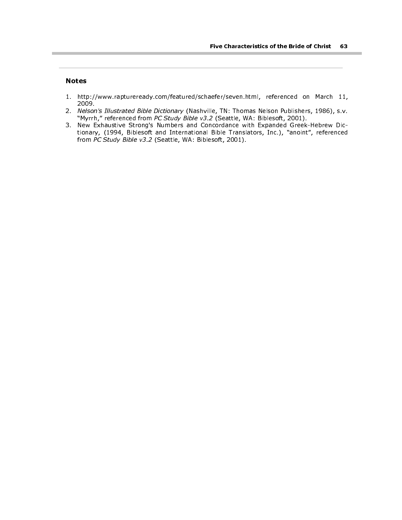## Notes

- 1. http://www.raptureready.com/featured/schaefer/seven.html, referenced on March 11, 2009.
- 2. Nelson's Illustrated Bible Dictionary (Nashville, TN: Thomas Nelson Publishers, 1986), s.v. "Myrrh," referenced from PC Study Bible v3.2 (Seattle, WA: Biblesoft, 2001).
- 3. New Exhaustive Strong's Numbers and Concordance with Expanded Greek-Hebrew Dictionary, (1994, Biblesoft and International Bible Translators, Inc.), "anoint", referenced from PC Study Bible v3.2 (Seattle, WA: Biblesoft, 2001).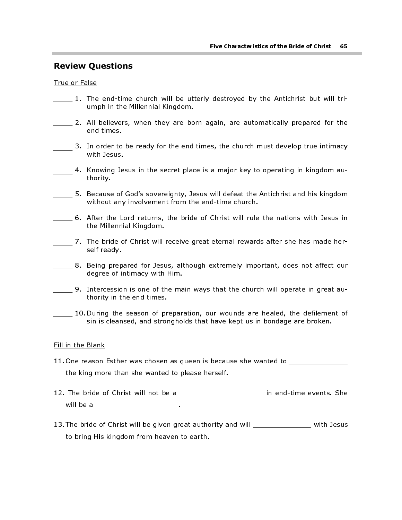## Review Questions

True or False

- 1. The end-time church will be utterly destroyed by the Antichrist but will triumph in the Millennial Kingdom.
- 2. All believers, when they are born again, are automatically prepared for the end times.
- 3. In order to be ready for the end times, the church must develop true intimacy with Jesus.
- 4. Knowing Jesus in the secret place is a major key to operating in kingdom authority.
- 5. Because of God's sovereignty, Jesus will defeat the Antichrist and his kingdom without any involvement from the end-time church.
- 6. After the Lord returns, the bride of Christ will rule the nations with Jesus in the Millennial Kingdom.
- 7. The bride of Christ will receive great eternal rewards after she has made herself ready.
- 8. Being prepared for Jesus, although extremely important, does not affect our degree of intimacy with Him.
- 9. Intercession is one of the main ways that the church will operate in great authority in the end times.
- 10. During the season of preparation, our wounds are healed, the defilement of sin is cleansed, and strongholds that have kept us in bondage are broken.

## Fill in the Blank

- 11. One reason Esther was chosen as queen is because she wanted to \_\_\_\_\_\_\_\_\_\_\_\_\_ the king more than she wanted to please herself.
- 12. The bride of Christ will not be a \_\_\_\_\_\_\_\_\_\_\_\_\_\_\_\_\_\_\_\_\_\_ in end-time events. She will be a  $\qquad \qquad \ldots \qquad \qquad \ldots$
- 13. The bride of Christ will be given great authority and will \_\_\_\_\_\_\_\_\_\_\_\_\_\_\_\_ with Jesus to bring His kingdom from heaven to earth.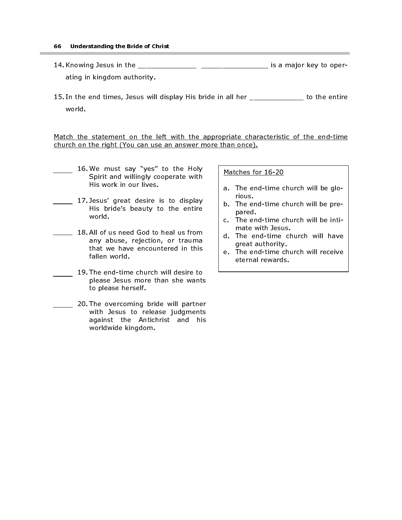#### 66 Understanding the Bride of Christ

- 14. Knowing Jesus in the \_\_\_\_\_\_\_\_\_\_\_\_\_\_ \_\_\_\_\_\_\_\_\_\_\_\_\_\_\_\_ is a major key to operating in kingdom authority.
- 15. In the end times, Jesus will display His bride in all her \_\_\_\_\_\_\_\_\_\_\_\_\_\_ to the entire world.

Match the statement on the left with the appropriate characteristic of the end-time church on the right (You can use an answer more than once).

- 16. We must say "yes" to the Holy Spirit and willingly cooperate with His work in our lives.
- 17. Jesus' great desire is to display His bride's beauty to the entire world.
- 18. All of us need God to heal us from any abuse, rejection, or trauma that we have encountered in this fallen world.
- 19. The end-time church will desire to please Jesus more than she wants to please herself.
- 20. The overcoming bride will partner with Jesus to release judgments against the Antichrist and his worldwide kingdom.

## Matches for 16-20

- a. The end-time church will be glorious.
- b. The end-time church will be prepared.
- c. The end-time church will be intimate with Jesus.
- d. The end-time church will have great authority.
- e. The end-time church will receive eternal rewards.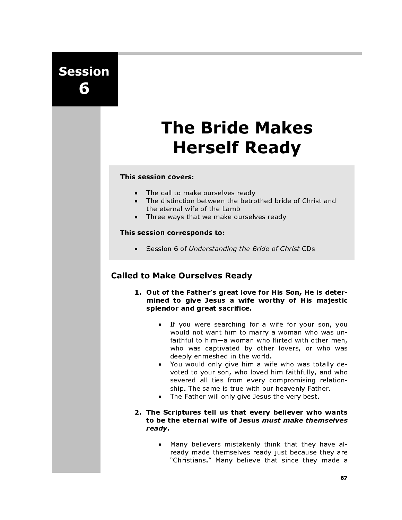Session 6

# The Bride Makes Herself Ready

## This session covers:

- The call to make ourselves ready
- The distinction between the betrothed bride of Christ and the eternal wife of the Lamb
- Three ways that we make ourselves ready

## This session corresponds to:

• Session 6 of Understanding the Bride of Christ CDs

# Called to Make Ourselves Ready

- 1. Out of the Father's great love for His Son, He is determined to give Jesus a wife worthy of His majestic splendor and great sacrifice.
	- If you were searching for a wife for your son, you would not want him to marry a woman who was unfaithful to him—a woman who flirted with other men, who was captivated by other lovers, or who was deeply enmeshed in the world.
	- You would only give him a wife who was totally devoted to your son, who loved him faithfully, and who severed all ties from every compromising relationship. The same is true with our heavenly Father.
	- The Father will only give Jesus the very best.
- 2. The Scriptures tell us that every believer who wants to be the eternal wife of Jesus must make themselves ready.
	- Many believers mistakenly think that they have already made themselves ready just because they are "Christians." Many believe that since they made a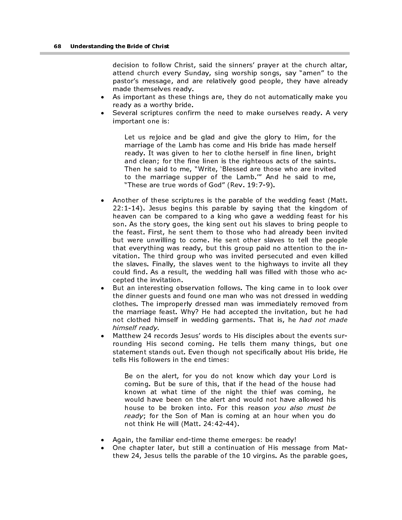decision to follow Christ, said the sinners' prayer at the church altar, attend church every Sunday, sing worship songs, say "amen" to the pastor's message, and are relatively good people, they have already made themselves ready.

- As important as these things are, they do not automatically make you ready as a worthy bride.
- Several scriptures confirm the need to make ourselves ready. A very important one is:

Let us rejoice and be glad and give the glory to Him, for the marriage of the Lamb has come and His bride has made herself ready. It was given to her to clothe herself in fine linen, bright and clean; for the fine linen is the righteous acts of the saints. Then he said to me, "Write, 'Blessed are those who are invited to the marriage supper of the Lamb.'" And he said to me, "These are true words of God" (Rev. 19:7-9).

- Another of these scriptures is the parable of the wedding feast (Matt. 22:1-14). Jesus begins this parable by saying that the kingdom of heaven can be compared to a king who gave a wedding feast for his son. As the story goes, the king sent out his slaves to bring people to the feast. First, he sent them to those who had already been invited but were unwilling to come. He sent other slaves to tell the people that everything was ready, but this group paid no attention to the invitation. The third group who was invited persecuted and even killed the slaves. Finally, the slaves went to the highways to invite all they could find. As a result, the wedding hall was filled with those who accepted the invitation.
- But an interesting observation follows. The king came in to look over the dinner guests and found one man who was not dressed in wedding clothes. The improperly dressed man was immediately removed from the marriage feast. Why? He had accepted the invitation, but he had not clothed himself in wedding garments. That is, he had not made himself ready.
- Matthew 24 records Jesus' words to His disciples about the events surrounding His second coming. He tells them many things, but one statement stands out. Even though not specifically about His bride, He tells His followers in the end times:

Be on the alert, for you do not know which day your Lord is coming. But be sure of this, that if the head of the house had known at what time of the night the thief was coming, he would have been on the alert and would not have allowed his house to be broken into. For this reason you also must be ready; for the Son of Man is coming at an hour when you do not think He will (Matt. 24:42-44).

- Again, the familiar end-time theme emerges: be ready!
- One chapter later, but still a continuation of His message from Matthew 24, Jesus tells the parable of the 10 virgins. As the parable goes,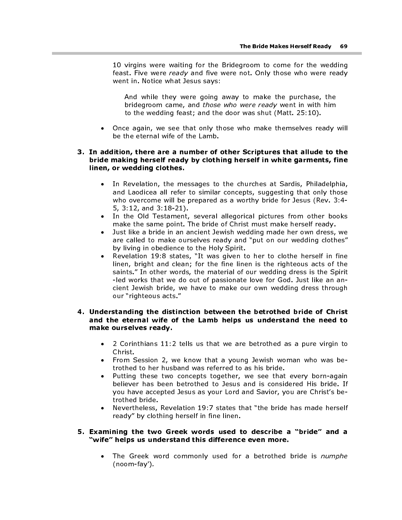10 virgins were waiting for the Bridegroom to come for the wedding feast. Five were ready and five were not. Only those who were ready went in. Notice what Jesus says:

And while they were going away to make the purchase, the bridegroom came, and those who were ready went in with him to the wedding feast; and the door was shut (Matt. 25:10).

• Once again, we see that only those who make themselves ready will be the eternal wife of the Lamb.

## 3. In addition, there are a number of other Scriptures that allude to the bride making herself ready by clothing herself in white garments, fine linen, or wedding clothes.

- In Revelation, the messages to the churches at Sardis, Philadelphia, and Laodicea all refer to similar concepts, suggesting that only those who overcome will be prepared as a worthy bride for Jesus (Rev. 3:4-5, 3:12, and 3:18-21).
- In the Old Testament, several allegorical pictures from other books make the same point. The bride of Christ must make herself ready.
- Just like a bride in an ancient Jewish wedding made her own dress, we are called to make ourselves ready and "put on our wedding clothes" by living in obedience to the Holy Spirit.
- Revelation 19:8 states, "It was given to her to clothe herself in fine linen, bright and clean; for the fine linen is the righteous acts of the saints." In other words, the material of our wedding dress is the Spirit -led works that we do out of passionate love for God. Just like an ancient Jewish bride, we have to make our own wedding dress through our "righteous acts."

## 4. Understanding the distinction between the betrothed bride of Christ and the eternal wife of the Lamb helps us understand the need to make ourselves ready.

- 2 Corinthians 11:2 tells us that we are betrothed as a pure virgin to Christ.
- From Session 2, we know that a young Jewish woman who was betrothed to her husband was referred to as his bride.
- Putting these two concepts together, we see that every born-again believer has been betrothed to Jesus and is considered His bride. If you have accepted Jesus as your Lord and Savior, you are Christ's betrothed bride.
- Nevertheless, Revelation 19:7 states that "the bride has made herself ready" by clothing herself in fine linen.

## 5. Examining the two Greek words used to describe a "bride" and a "wife" helps us understand this difference even more.

The Greek word commonly used for a betrothed bride is numphe (noom-fay').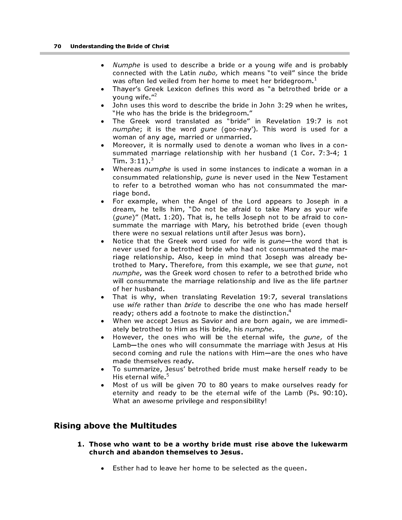- Numphe is used to describe a bride or a young wife and is probably connected with the Latin nubo, which means "to veil" since the bride was often led veiled from her home to meet her bridegroom. $^\mathfrak{t}$
- Thayer's Greek Lexicon defines this word as "a betrothed bride or a young wife."<sup>2</sup>
- John uses this word to describe the bride in John 3:29 when he writes, "He who has the bride is the bridegroom."
- The Greek word translated as "bride" in Revelation 19:7 is not numphe; it is the word gune (goo-nay'). This word is used for a woman of any age, married or unmarried.
- Moreover, it is normally used to denote a woman who lives in a consummated marriage relationship with her husband (1 Cor. 7:3-4; 1 Tim. 3:11). $^3$
- Whereas *numphe* is used in some instances to indicate a woman in a consummated relationship, *qune* is never used in the New Testament to refer to a betrothed woman who has not consummated the marriage bond.
- For example, when the Angel of the Lord appears to Joseph in a dream, he tells him, "Do not be afraid to take Mary as your wife (gune)" (Matt. 1:20). That is, he tells Joseph not to be afraid to consummate the marriage with Mary, his betrothed bride (even though there were no sexual relations until after Jesus was born).
- Notice that the Greek word used for wife is gune-the word that is never used for a betrothed bride who had not consummated the marriage relationship. Also, keep in mind that Joseph was already betrothed to Mary. Therefore, from this example, we see that gune, not numphe, was the Greek word chosen to refer to a betrothed bride who will consummate the marriage relationship and live as the life partner of her husband.
- That is why, when translating Revelation 19:7, several translations use wife rather than bride to describe the one who has made herself ready; others add a footnote to make the distinction.<sup>4</sup>
- When we accept Jesus as Savior and are born again, we are immediately betrothed to Him as His bride, his numphe.
- However, the ones who will be the eternal wife, the *qune*, of the Lamb—the ones who will consummate the marriage with Jesus at His second coming and rule the nations with Him—are the ones who have made themselves ready.
- To summarize, Jesus' betrothed bride must make herself ready to be His eternal wife.<sup>5</sup>
- Most of us will be given 70 to 80 years to make ourselves ready for eternity and ready to be the eternal wife of the Lamb (Ps. 90:10). What an awesome privilege and responsibility!

# Rising above the Multitudes

- 1. Those who want to be a worthy bride must rise above the lukewarm church and abandon themselves to Jesus.
	- Esther had to leave her home to be selected as the queen.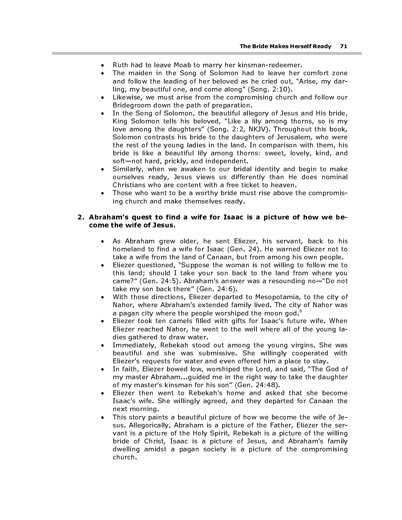- Ruth had to leave Moab to marry her kinsman-redeemer.<br>• The maiden in the Song of Solomon had to leave her
- The maiden in the Song of Solomon had to leave her comfort zone and follow the leading of her beloved as he cried out, "Arise, my darling, my beautiful one, and come along" (Song. 2:10).
- Likewise, we must arise from the compromising church and follow our Bridegroom down the path of preparation.
- In the Song of Solomon, the beautiful allegory of Jesus and His bride, King Solomon tells his beloved, "Like a lily among thorns, so is my love among the daughters" (Song. 2:2, NKJV). Throughout this book, Solomon contrasts his bride to the daughters of Jerusalem, who were the rest of the young ladies in the land. In comparison with them, his bride is like a beautiful lily among thorns: sweet, lovely, kind, and soft—not hard, prickly, and independent.
- Similarly, when we awaken to our bridal identity and begin to make ourselves ready, Jesus views us differently than He does nominal Christians who are content with a free ticket to heaven.
- Those who want to be a worthy bride must rise above the compromising church and make themselves ready.

#### 2. Abraham's quest to find a wife for Isaac is a picture of how we become the wife of Jesus.

- As Abraham grew older, he sent Eliezer, his servant, back to his homeland to find a wife for Isaac (Gen. 24). He warned Eliezer not to take a wife from the land of Canaan, but from among his own people.
- Eliezer questioned, "Suppose the woman is not willing to follow me to this land; should I take your son back to the land from where you came?" (Gen. 24:5). Abraham's answer was a resounding no—"Do not take my son back there" (Gen. 24:6).
- With those directions, Eliezer departed to Mesopotamia, to the city of Nahor, where Abraham's extended family lived. The city of Nahor was a pagan city where the people worshiped the moon god. $^\circ$
- Eliezer took ten camels filled with gifts for Isaac's future wife. When Eliezer reached Nahor, he went to the well where all of the young ladies gathered to draw water.
- Immediately, Rebekah stood out among the young virgins. She was beautiful and she was submissive. She willingly cooperated with Eliezer's requests for water and even offered him a place to stay.
- In faith, Eliezer bowed low, worshiped the Lord, and said, "The God of my master Abraham...guided me in the right way to take the daughter of my master's kinsman for his son" (Gen. 24:48).
- Eliezer then went to Rebekah's home and asked that she become Isaac's wife. She willingly agreed, and they departed for Canaan the next morning.
- This story paints a beautiful picture of how we become the wife of Jesus. Allegorically, Abraham is a picture of the Father, Eliezer the servant is a picture of the Holy Spirit, Rebekah is a picture of the willing bride of Christ, Isaac is a picture of Jesus, and Abraham's family dwelling amidst a pagan society is a picture of the compromising church.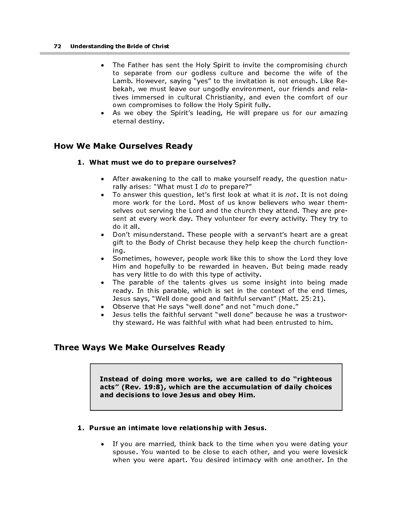- The Father has sent the Holy Spirit to invite the compromising church to separate from our godless culture and become the wife of the Lamb. However, saying "yes" to the invitation is not enough. Like Rebekah, we must leave our ungodly environment, our friends and relatives immersed in cultural Christianity, and even the comfort of our own compromises to follow the Holy Spirit fully.
- As we obey the Spirit's leading, He will prepare us for our amazing eternal destiny.

# How We Make Ourselves Ready

## 1. What must we do to prepare ourselves?

- After awakening to the call to make yourself ready, the question naturally arises: "What must I do to prepare?"
- To answer this question, let's first look at what it is not. It is not doing more work for the Lord. Most of us know believers who wear themselves out serving the Lord and the church they attend. They are present at every work day. They volunteer for every activity. They try to do it all.
- Don't misunderstand. These people with a servant's heart are a great gift to the Body of Christ because they help keep the church functioning.
- Sometimes, however, people work like this to show the Lord they love Him and hopefully to be rewarded in heaven. But being made ready has very little to do with this type of activity.
- The parable of the talents gives us some insight into being made ready. In this parable, which is set in the context of the end times, Jesus says, "Well done good and faithful servant" (Matt. 25:21).
- Observe that He says "well done" and not "much done."
- Jesus tells the faithful servant "well done" because he was a trustworthy steward. He was faithful with what had been entrusted to him.

# Three Ways We Make Ourselves Ready

Instead of doing more works, we are called to do "righteous acts" (Rev. 19:8), which are the accumulation of daily choices and decisions to love Jesus and obey Him.

## 1. Pursue an intimate love relationship with Jesus.

• If you are married, think back to the time when you were dating your spouse. You wanted to be close to each other, and you were lovesick when you were apart. You desired intimacy with one another. In the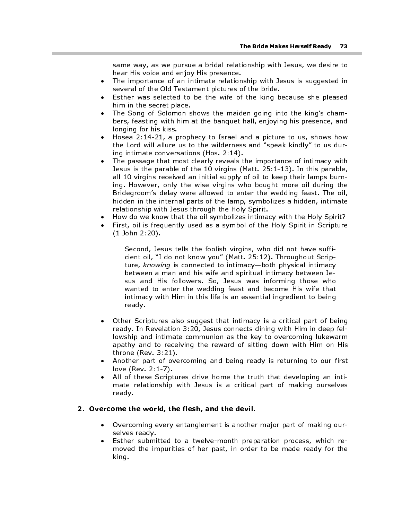same way, as we pursue a bridal relationship with Jesus, we desire to hear His voice and enjoy His presence.

- The importance of an intimate relationship with Jesus is suggested in several of the Old Testament pictures of the bride.
- Esther was selected to be the wife of the king because she pleased him in the secret place.
- The Song of Solomon shows the maiden going into the king's chambers, feasting with him at the banquet hall, enjoying his presence, and longing for his kiss.
- Hosea 2:14-21, a prophecy to Israel and a picture to us, shows how the Lord will allure us to the wilderness and "speak kindly" to us during intimate conversations (Hos. 2:14).
- The passage that most clearly reveals the importance of intimacy with Jesus is the parable of the 10 virgins (Matt. 25:1-13). In this parable, all 10 virgins received an initial supply of oil to keep their lamps burning. However, only the wise virgins who bought more oil during the Bridegroom's delay were allowed to enter the wedding feast. The oil, hidden in the internal parts of the lamp, symbolizes a hidden, intimate relationship with Jesus through the Holy Spirit.
- How do we know that the oil symbolizes intimacy with the Holy Spirit?
- First, oil is frequently used as a symbol of the Holy Spirit in Scripture (1 John 2:20).

Second, Jesus tells the foolish virgins, who did not have sufficient oil, "I do not know you" (Matt. 25:12). Throughout Scripture, knowing is connected to intimacy—both physical intimacy between a man and his wife and spiritual intimacy between Jesus and His followers. So, Jesus was informing those who wanted to enter the wedding feast and become His wife that intimacy with Him in this life is an essential ingredient to being ready.

- Other Scriptures also suggest that intimacy is a critical part of being ready. In Revelation 3:20, Jesus connects dining with Him in deep fellowship and intimate communion as the key to overcoming lukewarm apathy and to receiving the reward of sitting down with Him on His throne (Rev. 3:21).
- Another part of overcoming and being ready is returning to our first love (Rev. 2:1-7).
- All of these Scriptures drive home the truth that developing an intimate relationship with Jesus is a critical part of making ourselves ready.

#### 2. Overcome the world, the flesh, and the devil.

- Overcoming every entanglement is another major part of making ourselves ready.
- Esther submitted to a twelve-month preparation process, which removed the impurities of her past, in order to be made ready for the king.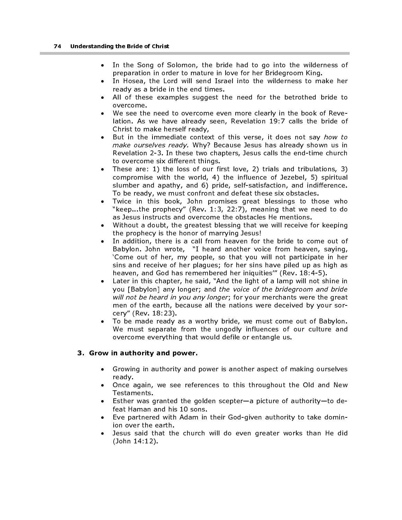- In the Song of Solomon, the bride had to go into the wilderness of preparation in order to mature in love for her Bridegroom King.
- In Hosea, the Lord will send Israel into the wilderness to make her ready as a bride in the end times.
- All of these examples suggest the need for the betrothed bride to overcome.
- We see the need to overcome even more clearly in the book of Revelation. As we have already seen, Revelation 19:7 calls the bride of Christ to make herself ready,
- But in the immediate context of this verse, it does not say how to make ourselves ready. Why? Because Jesus has already shown us in Revelation 2-3. In these two chapters, Jesus calls the end-time church to overcome six different things.
- These are: 1) the loss of our first love, 2) trials and tribulations, 3) compromise with the world, 4) the influence of Jezebel, 5) spiritual slumber and apathy, and 6) pride, self-satisfaction, and indifference. To be ready, we must confront and defeat these six obstacles.
- Twice in this book, John promises great blessings to those who "keep...the prophecy" (Rev. 1:3, 22:7), meaning that we need to do as Jesus instructs and overcome the obstacles He mentions.
- Without a doubt, the greatest blessing that we will receive for keeping the prophecy is the honor of marrying Jesus!
- In addition, there is a call from heaven for the bride to come out of Babylon. John wrote, "I heard another voice from heaven, saying, 'Come out of her, my people, so that you will not participate in her sins and receive of her plagues; for her sins have piled up as high as heaven, and God has remembered her iniquities'" (Rev. 18:4-5).
- Later in this chapter, he said, "And the light of a lamp will not shine in you [Babylon] any longer; and the voice of the bridegroom and bride will not be heard in you any longer; for your merchants were the great men of the earth, because all the nations were deceived by your sorcery" (Rev. 18:23).
- To be made ready as a worthy bride, we must come out of Babylon. We must separate from the ungodly influences of our culture and overcome everything that would defile or entangle us.

#### 3. Grow in authority and power.

- Growing in authority and power is another aspect of making ourselves ready.
- Once again, we see references to this throughout the Old and New Testaments.
- Esther was granted the golden scepter—a picture of authority—to defeat Haman and his 10 sons.
- Eve partnered with Adam in their God-given authority to take dominion over the earth.
- Jesus said that the church will do even greater works than He did (John 14:12).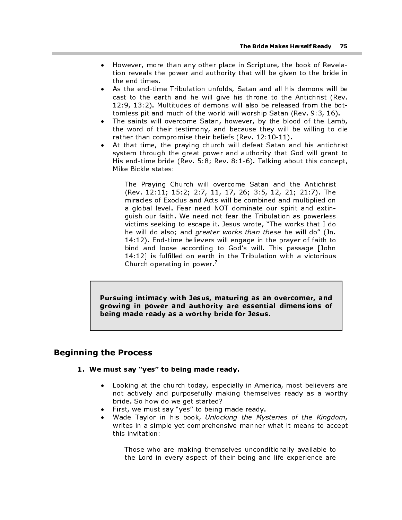- However, more than any other place in Scripture, the book of Revelation reveals the power and authority that will be given to the bride in the end times.
- As the end-time Tribulation unfolds, Satan and all his demons will be cast to the earth and he will give his throne to the Antichrist (Rev. 12:9, 13:2). Multitudes of demons will also be released from the bottomless pit and much of the world will worship Satan (Rev. 9:3, 16).
- The saints will overcome Satan, however, by the blood of the Lamb, the word of their testimony, and because they will be willing to die rather than compromise their beliefs (Rev. 12:10-11).
- At that time, the praying church will defeat Satan and his antichrist system through the great power and authority that God will grant to His end-time bride (Rev. 5:8; Rev. 8:1-6). Talking about this concept, Mike Bickle states:

The Praying Church will overcome Satan and the Antichrist (Rev. 12:11; 15:2; 2:7, 11, 17, 26; 3:5, 12, 21; 21:7). The miracles of Exodus and Acts will be combined and multiplied on a global level. Fear need NOT dominate our spirit and extinguish our faith. We need not fear the Tribulation as powerless victims seeking to escape it. Jesus wrote, "The works that I do he will do also; and *greater works than these* he will do" (Jn. 14:12). End-time believers will engage in the prayer of faith to bind and loose according to God's will. This passage [John 14:12] is fulfilled on earth in the Tribulation with a victorious Church operating in power. $'$ The Bride Makes Herself Ready<br>
in Bride Makes Herself Ready<br>
to reveals the power and authority that will be given to the brid<br>
the end times.<br>
As the end times.<br>
As the end times.<br>
As the end times<br>
cast to the extrin an

growing in power and authority are essential dimensions of being made ready as a worthy bride for Jesus.

## Beginning the Process

#### 1. We must say "yes" to being made ready.

- Looking at the church today, especially in America, most believers are not actively and purposefully making themselves ready as a worthy bride. So how do we get started?
- First, we must say "yes" to being made ready.
- Wade Taylor in his book, Unlocking the Mysteries of the Kingdom, writes in a simple yet comprehensive manner what it means to accept this invitation:

Those who are making themselves unconditionally available to the Lord in every aspect of their being and life experience are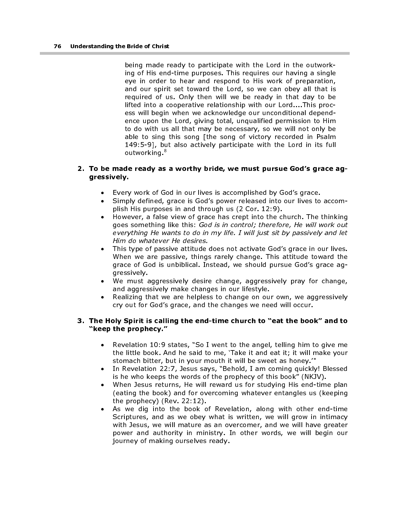being made ready to participate with the Lord in the outworking of His end-time purposes. This requires our having a single eye in order to hear and respond to His work of preparation, and our spirit set toward the Lord, so we can obey all that is required of us. Only then will we be ready in that day to be lifted into a cooperative relationship with our Lord....This process will begin when we acknowledge our unconditional dependence upon the Lord, giving total, unqualified permission to Him to do with us all that may be necessary, so we will not only be able to sing this song [the song of victory recorded in Psalm 149:5-9], but also actively participate with the Lord in its full outworking.<sup>8</sup>

#### 2. To be made ready as a worthy bride, we must pursue God's grace aggressively.

- Every work of God in our lives is accomplished by God's grace.
- Simply defined, grace is God's power released into our lives to accomplish His purposes in and through us (2 Cor. 12:9).
- However, a false view of grace has crept into the church. The thinking goes something like this: God is in control; therefore, He will work out everything He wants to do in my life. I will just sit by passively and let Him do whatever He desires.
- This type of passive attitude does not activate God's grace in our lives. When we are passive, things rarely change. This attitude toward the grace of God is unbiblical. Instead, we should pursue God's grace aggressively.
- We must aggressively desire change, aggressively pray for change, and aggressively make changes in our lifestyle.
- Realizing that we are helpless to change on our own, we aggressively cry out for God's grace, and the changes we need will occur.

#### 3. The Holy Spirit is calling the end-time church to "eat the book" and to "keep the prophecy."

- Revelation 10:9 states, "So I went to the angel, telling him to give me the little book. And he said to me, 'Take it and eat it; it will make your stomach bitter, but in your mouth it will be sweet as honey.'"
- In Revelation 22:7, Jesus says, "Behold, I am coming quickly! Blessed is he who keeps the words of the prophecy of this book" (NKJV).
- When Jesus returns, He will reward us for studying His end-time plan (eating the book) and for overcoming whatever entangles us (keeping the prophecy) (Rev. 22:12).
- As we dig into the book of Revelation, along with other end-time Scriptures, and as we obey what is written, we will grow in intimacy with Jesus, we will mature as an overcomer, and we will have greater power and authority in ministry. In other words, we will begin our journey of making ourselves ready.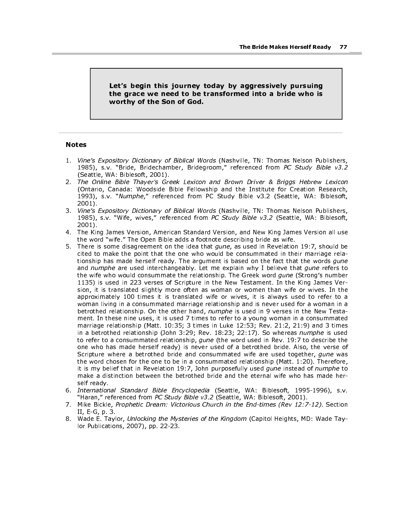#### Let's begin this journey today by aggressively pursuing the grace we need to be transformed into a bride who is worthy of the Son of God.

#### Notes

- 1. Vine's Expository Dictionary of Biblical Words (Nashville, TN: Thomas Nelson Publishers, 1985), s.v. "Bride, Bridechamber, Bridegroom," referenced from PC Study Bible v3.2 (Seattle, WA: Biblesoft, 2001).
- 2. The Online Bible Thayer's Greek Lexicon and Brown Driver & Briggs Hebrew Lexicon (Ontario, Canada: Woodside Bible Fellowship and the Institute for Creation Research, 1993), s.v. "Numphe," referenced from PC Study Bible v3.2 (Seattle, WA: Biblesoft, 2001).
- 3. Vine's Expository Dictionary of Biblical Words (Nashville, TN: Thomas Nelson Publishers, 1985), s.v. "Wife, wives," referenced from PC Study Bible v3.2 (Seattle, WA: Biblesoft, 2001).
- 4. The King James Version, American Standard Version, and New King James Version all use the word "wife." The Open Bible adds a footnote describing bride as wife.
- 5. There is some disagreement on the idea that *gune*, as used in Revelation 19:7, should be cited to make the point that the one who would be consummated in their marriage relationship has made herself ready. The argument is based on the fact that the words *qune* and *numphe* are used interchangeably. Let me explain why I believe that *qune* refers to the wife who would consummate the relationship. The Greek word *qune* (Strong's number 1135) is used in 223 verses of Scripture in the New Testament. In the King James Version, it is translated slightly more often as woman or women than wife or wives. In the approximately 100 times it is translated wife or wives, it is always used to refer to a woman living in a consummated marriage relationship and is never used for a woman in a betrothed relationship. On the other hand, numphe is used in 9 verses in the New Testament. In these nine uses, it is used 7 times to refer to a young woman in a consummated marriage relationship (Matt. 10:35; 3 times in Luke 12:53; Rev. 21:2, 21:9) and 3 times in a betrothed relationship (John 3:29; Rev. 18:23; 22:17). So whereas numphe is used to refer to a consummated relationship, gune (the word used in Rev. 19:7 to describe the one who has made herself ready) is never used of a betrothed bride. Also, the verse of Scripture where a betrothed bride and consummated wife are used together, gune was the word chosen for the one to be in a consummated relationship (Matt. 1:20). Therefore, it is my belief that in Revelation 19:7, John purposefully used *gune* instead of *numphe* to make a distinction between the betrothed bride and the eternal wife who has made herself ready.
- 6. International Standard Bible Encyclopedia (Seattle, WA: Biblesoft, 1995-1996), s.v. "Haran," referenced from PC Study Bible v3.2 (Seattle, WA: Biblesoft, 2001).
- 7. Mike Bickle, Prophetic Dream: Victorious Church in the End-times (Rev 12:7-12). Section II, E-G, p. 3.
- 8. Wade E. Taylor, Unlocking the Mysteries of the Kingdom (Capitol Heights, MD: Wade Taylor Publications, 2007), pp. 22-23.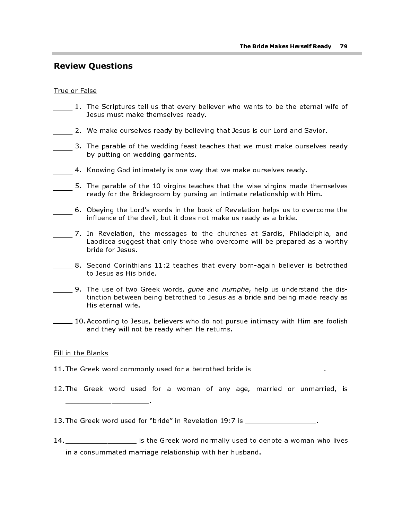## Review Questions

#### True or False

- 1. The Scriptures tell us that every believer who wants to be the eternal wife of Jesus must make themselves ready.
- 2. We make ourselves ready by believing that Jesus is our Lord and Savior.
- $\frac{1}{2}$ 3. The parable of the wedding feast teaches that we must make ourselves ready by putting on wedding garments.
- 4. Knowing God intimately is one way that we make ourselves ready.
- 5. The parable of the 10 virgins teaches that the wise virgins made themselves ready for the Bridegroom by pursing an intimate relationship with Him.
- 6. Obeying the Lord's words in the book of Revelation helps us to overcome the influence of the devil, but it does not make us ready as a bride.
- 7. In Revelation, the messages to the churches at Sardis, Philadelphia, and Laodicea suggest that only those who overcome will be prepared as a worthy bride for Jesus.
- 8. Second Corinthians 11:2 teaches that every born-again believer is betrothed to Jesus as His bride.
	- 9. The use of two Greek words, *qune* and *numphe*, help us understand the distinction between being betrothed to Jesus as a bride and being made ready as His eternal wife.
- 10. According to Jesus, believers who do not pursue intimacy with Him are foolish and they will not be ready when He returns.

#### Fill in the Blanks

\_\_\_\_\_\_\_\_\_\_\_\_\_\_\_\_\_\_\_\_.

11. The Greek word commonly used for a betrothed bride is  $\qquad \qquad$ 

12. The Greek word used for a woman of any age, married or unmarried, is

13. The Greek word used for "bride" in Revelation 19:7 is  $\qquad \qquad$ .

14. \_\_\_\_\_\_\_\_\_\_\_\_\_\_\_\_\_\_ is the Greek word normally used to denote a woman who lives in a consummated marriage relationship with her husband.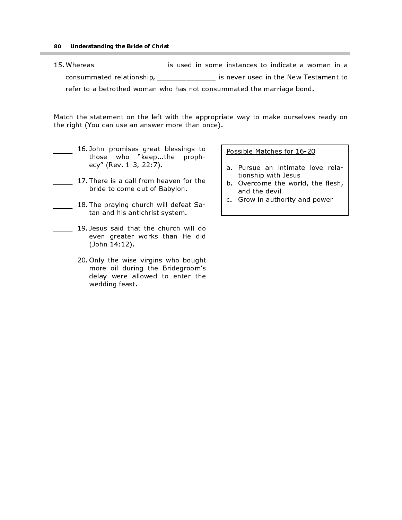#### 80 Understanding the Bride of Christ

15. Whereas \_\_\_\_\_\_\_\_\_\_\_\_\_\_\_\_ is used in some instances to indicate a woman in a consummated relationship, \_\_\_\_\_\_\_\_\_\_\_\_\_\_ is never used in the New Testament to refer to a betrothed woman who has not consummated the marriage bond.

Match the statement on the left with the appropriate way to make ourselves ready on the right (You can use an answer more than once).

- 16. John promises great blessings to those who "keep...the prophecy" (Rev. 1:3, 22:7).
	- 17. There is a call from heaven for the bride to come out of Babylon.
	- 18. The praying church will defeat Satan and his antichrist system.
- 19. Jesus said that the church will do even greater works than He did (John 14:12).
- 20. Only the wise virgins who bought more oil during the Bridegroom's delay were allowed to enter the wedding feast.

#### Possible Matches for 16-20

- a. Pursue an intimate love relationship with Jesus
- b. Overcome the world, the flesh, and the devil
- c. Grow in authority and power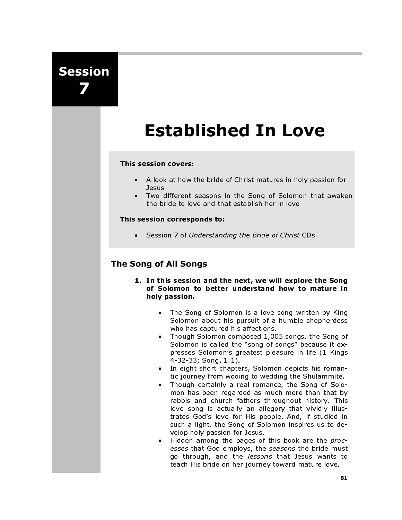## Session 7

# Established In Love

#### This session covers:

- A look at how the bride of Christ matures in holy passion for **Jesus**
- Two different seasons in the Song of Solomon that awaken the bride to love and that establish her in love

#### This session corresponds to:

• Session 7 of Understanding the Bride of Christ CDs

## The Song of All Songs

- 1. In this session and the next, we will explore the Song of Solomon to better understand how to mature in holy passion.
	- The Song of Solomon is a love song written by King Solomon about his pursuit of a humble shepherdess who has captured his affections.
	- Though Solomon composed 1,005 songs, the Song of Solomon is called the "song of songs" because it expresses Solomon's greatest pleasure in life (1 Kings 4-32-33; Song. 1:1).
	- In eight short chapters, Solomon depicts his romantic journey from wooing to wedding the Shulammite.
	- Though certainly a real romance, the Song of Solomon has been regarded as much more than that by rabbis and church fathers throughout history. This love song is actually an allegory that vividly illustrates God's love for His people. And, if studied in such a light, the Song of Solomon inspires us to develop holy passion for Jesus.
	- Hidden among the pages of this book are the processes that God employs, the seasons the bride must go through, and the lessons that Jesus wants to teach His bride on her journey toward mature love.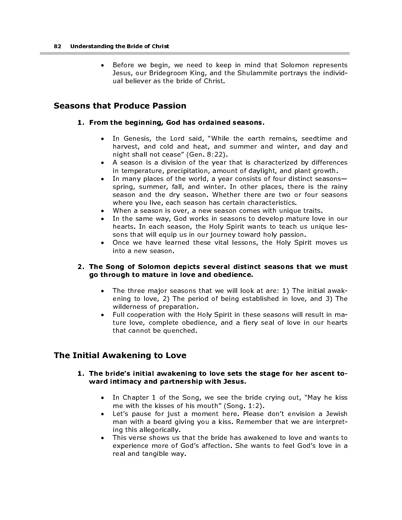Before we begin, we need to keep in mind that Solomon represents Jesus, our Bridegroom King, and the Shulammite portrays the individual believer as the bride of Christ.

## Seasons that Produce Passion

#### 1. From the beginning, God has ordained seasons.

- In Genesis, the Lord said, "While the earth remains, seedtime and harvest, and cold and heat, and summer and winter, and day and night shall not cease" (Gen. 8:22).
- A season is a division of the year that is characterized by differences in temperature, precipitation, amount of daylight, and plant growth.
- In many places of the world, a year consists of four distinct seasons spring, summer, fall, and winter. In other places, there is the rainy season and the dry season. Whether there are two or four seasons where you live, each season has certain characteristics.
- When a season is over, a new season comes with unique traits.
- In the same way, God works in seasons to develop mature love in our hearts. In each season, the Holy Spirit wants to teach us unique lessons that will equip us in our journey toward holy passion.
- Once we have learned these vital lessons, the Holy Spirit moves us into a new season.

#### 2. The Song of Solomon depicts several distinct seasons that we must go through to mature in love and obedience.

- The three major seasons that we will look at are: 1) The initial awakening to love, 2) The period of being established in love, and 3) The wilderness of preparation.
- Full cooperation with the Holy Spirit in these seasons will result in mature love, complete obedience, and a fiery seal of love in our hearts that cannot be quenched.

## The Initial Awakening to Love

#### 1. The bride's initial awakening to love sets the stage for her ascent toward intimacy and partnership with Jesus.

- In Chapter 1 of the Song, we see the bride crying out, "May he kiss me with the kisses of his mouth" (Song. 1:2).
- Let's pause for just a moment here. Please don't envision a Jewish man with a beard giving you a kiss. Remember that we are interpreting this allegorically.
- This verse shows us that the bride has awakened to love and wants to experience more of God's affection. She wants to feel God's love in a real and tangible way.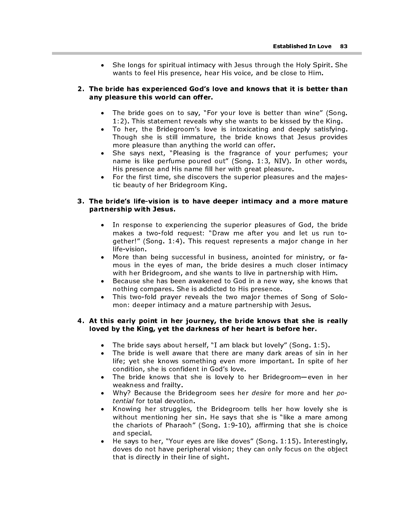She longs for spiritual intimacy with Jesus through the Holy Spirit. She wants to feel His presence, hear His voice, and be close to Him.

#### 2. The bride has experienced God's love and knows that it is better than any pleasure this world can offer.

- The bride goes on to say, "For your love is better than wine" (Song. 1:2). This statement reveals why she wants to be kissed by the King.
- To her, the Bridegroom's love is intoxicating and deeply satisfying. Though she is still immature, the bride knows that Jesus provides more pleasure than anything the world can offer.
- She says next, "Pleasing is the fragrance of your perfumes; your name is like perfume poured out" (Song. 1:3, NIV). In other words, His presence and His name fill her with great pleasure.
- For the first time, she discovers the superior pleasures and the majestic beauty of her Bridegroom King.

#### 3. The bride's life-vision is to have deeper intimacy and a more mature partnership with Jesus.

- In response to experiencing the superior pleasures of God, the bride makes a two-fold request: "Draw me after you and let us run together!" (Song. 1:4). This request represents a major change in her life-vision.
- More than being successful in business, anointed for ministry, or famous in the eyes of man, the bride desires a much closer intimacy with her Bridegroom, and she wants to live in partnership with Him.
- Because she has been awakened to God in a new way, she knows that nothing compares. She is addicted to His presence.
- This two-fold prayer reveals the two major themes of Song of Solomon: deeper intimacy and a mature partnership with Jesus.

#### 4. At this early point in her journey, the bride knows that she is really loved by the King, yet the darkness of her heart is before her.

- The bride says about herself, "I am black but lovely" (Song. 1:5).
- The bride is well aware that there are many dark areas of sin in her life; yet she knows something even more important. In spite of her condition, she is confident in God's love.
- The bride knows that she is lovely to her Bridegroom—even in her weakness and frailty.
- Why? Because the Bridegroom sees her *desire* for more and her potential for total devotion.
- Knowing her struggles, the Bridegroom tells her how lovely she is without mentioning her sin. He says that she is "like a mare among the chariots of Pharaoh" (Song. 1:9-10), affirming that she is choice and special.
- He says to her, "Your eyes are like doves" (Song. 1:15). Interestingly, doves do not have peripheral vision; they can only focus on the object that is directly in their line of sight.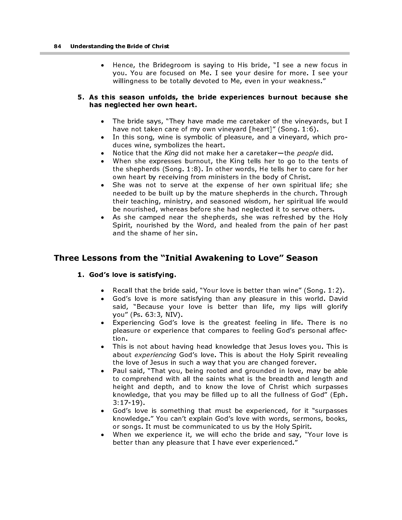• Hence, the Bridegroom is saying to His bride, "I see a new focus in you. You are focused on Me. I see your desire for more. I see your willingness to be totally devoted to Me, even in your weakness."

#### 5. As this season unfolds, the bride experiences burnout because she has neglected her own heart.

- The bride says, "They have made me caretaker of the vineyards, but I have not taken care of my own vineyard [heart]" (Song. 1:6).
- In this song, wine is symbolic of pleasure, and a vineyard, which produces wine, symbolizes the heart.
- Notice that the King did not make her a caretaker—the people did.
- When she expresses burnout, the King tells her to go to the tents of the shepherds (Song. 1:8). In other words, He tells her to care for her own heart by receiving from ministers in the body of Christ.
- She was not to serve at the expense of her own spiritual life; she needed to be built up by the mature shepherds in the church. Through their teaching, ministry, and seasoned wisdom, her spiritual life would be nourished, whereas before she had neglected it to serve others.
- As she camped near the shepherds, she was refreshed by the Holy Spirit, nourished by the Word, and healed from the pain of her past and the shame of her sin.

## Three Lessons from the "Initial Awakening to Love" Season

#### 1. God's love is satisfying.

- Recall that the bride said, "Your love is better than wine" (Song. 1:2).
- God's love is more satisfying than any pleasure in this world. David said, "Because your love is better than life, my lips will glorify you" (Ps. 63:3, NIV).
- Experiencing God's love is the greatest feeling in life. There is no pleasure or experience that compares to feeling God's personal affection.
- This is not about having head knowledge that Jesus loves you. This is about experiencing God's love. This is about the Holy Spirit revealing the love of Jesus in such a way that you are changed forever.
- Paul said, "That you, being rooted and grounded in love, may be able to comprehend with all the saints what is the breadth and length and height and depth, and to know the love of Christ which surpasses knowledge, that you may be filled up to all the fullness of God" (Eph. 3:17-19).
- God's love is something that must be experienced, for it "surpasses" knowledge." You can't explain God's love with words, sermons, books, or songs. It must be communicated to us by the Holy Spirit.
- When we experience it, we will echo the bride and say, "Your love is better than any pleasure that I have ever experienced."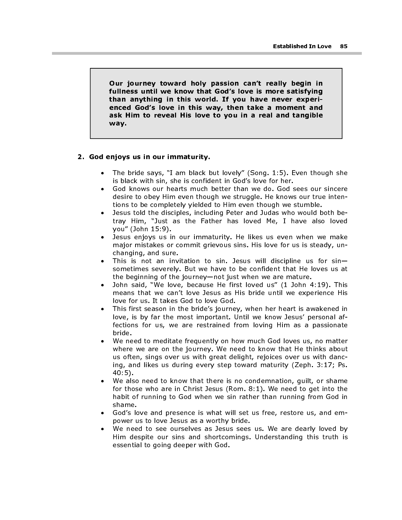Our journey toward holy passion can't really begin in fullness until we know that God's love is more satisfying than anything in this world. If you have never experienced God's love in this way, then take a moment and ask Him to reveal His love to you in a real and tangible way.

#### 2. God enjoys us in our immaturity.

- The bride says, "I am black but lovely" (Song. 1:5). Even though she is black with sin, she is confident in God's love for her.
- God knows our hearts much better than we do. God sees our sincere desire to obey Him even though we struggle. He knows our true intentions to be completely yielded to Him even though we stumble.
- Jesus told the disciples, including Peter and Judas who would both betray Him, "Just as the Father has loved Me, I have also loved you" (John 15:9).
- Jesus enjoys us in our immaturity. He likes us even when we make major mistakes or commit grievous sins. His love for us is steady, unchanging, and sure.
- This is not an invitation to sin. Jesus will discipline us for  $sin$ sometimes severely. But we have to be confident that He loves us at the beginning of the journey—not just when we are mature.
- John said, "We love, because He first loved us" (1 John 4:19). This means that we can't love Jesus as His bride until we experience His love for us. It takes God to love God.
- This first season in the bride's journey, when her heart is awakened in love, is by far the most important. Until we know Jesus' personal affections for us, we are restrained from loving Him as a passionate bride.
- We need to meditate frequently on how much God loves us, no matter where we are on the journey. We need to know that He thinks about us often, sings over us with great delight, rejoices over us with dancing, and likes us during every step toward maturity (Zeph. 3:17; Ps. 40:5).
- We also need to know that there is no condemnation, quilt, or shame for those who are in Christ Jesus (Rom. 8:1). We need to get into the habit of running to God when we sin rather than running from God in shame.
- God's love and presence is what will set us free, restore us, and empower us to love Jesus as a worthy bride.
- We need to see ourselves as Jesus sees us. We are dearly loved by Him despite our sins and shortcomings. Understanding this truth is essential to going deeper with God.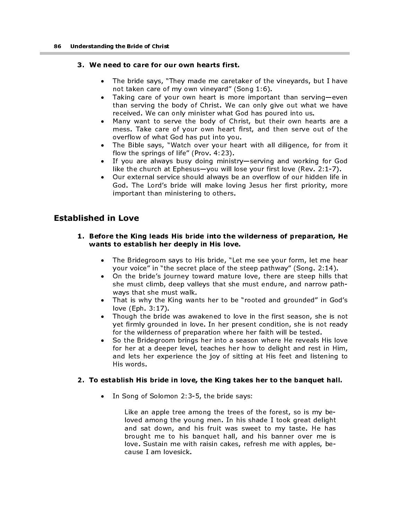#### 3. We need to care for our own hearts first.

- The bride says, "They made me caretaker of the vineyards, but I have not taken care of my own vineyard" (Song 1:6).
- Taking care of your own heart is more important than serving—even than serving the body of Christ. We can only give out what we have received. We can only minister what God has poured into us.
- Many want to serve the body of Christ, but their own hearts are a mess. Take care of your own heart first, and then serve out of the overflow of what God has put into you.
- The Bible says, "Watch over your heart with all diligence, for from it flow the springs of life" (Prov. 4:23).
- If you are always busy doing ministry—serving and working for God like the church at Ephesus—you will lose your first love (Rev. 2:1-7).
- Our external service should always be an overflow of our hidden life in God. The Lord's bride will make loving Jesus her first priority, more important than ministering to others.

## Established in Love

#### 1. Before the King leads His bride into the wilderness of preparation, He wants to establish her deeply in His love.

- The Bridegroom says to His bride, "Let me see your form, let me hear your voice" in "the secret place of the steep pathway" (Song. 2:14).
- On the bride's journey toward mature love, there are steep hills that she must climb, deep valleys that she must endure, and narrow pathways that she must walk.
- That is why the King wants her to be "rooted and grounded" in God's love (Eph. 3:17).
- Though the bride was awakened to love in the first season, she is not yet firmly grounded in love. In her present condition, she is not ready for the wilderness of preparation where her faith will be tested.
- So the Bridegroom brings her into a season where He reveals His love for her at a deeper level, teaches her how to delight and rest in Him, and lets her experience the joy of sitting at His feet and listening to His words.

#### 2. To establish His bride in love, the King takes her to the banquet hall.

• In Song of Solomon 2:3-5, the bride says:

Like an apple tree among the trees of the forest, so is my beloved among the young men. In his shade I took great delight and sat down, and his fruit was sweet to my taste. He has brought me to his banquet hall, and his banner over me is love. Sustain me with raisin cakes, refresh me with apples, because I am lovesick.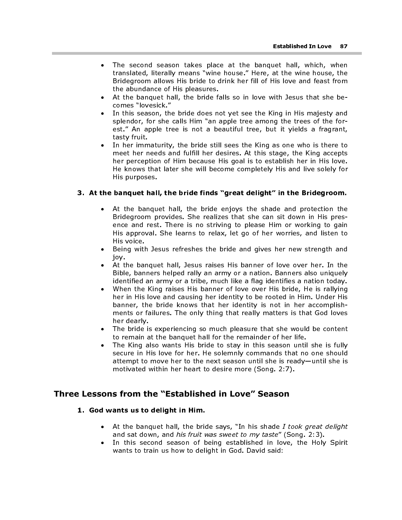- The second season takes place at the banquet hall, which, when translated, literally means "wine house." Here, at the wine house, the Bridegroom allows His bride to drink her fill of His love and feast from the abundance of His pleasures.
- At the banquet hall, the bride falls so in love with Jesus that she becomes "lovesick."
- In this season, the bride does not yet see the King in His majesty and splendor, for she calls Him "an apple tree among the trees of the forest." An apple tree is not a beautiful tree, but it yields a fragrant, tasty fruit.
- In her immaturity, the bride still sees the King as one who is there to meet her needs and fulfill her desires. At this stage, the King accepts her perception of Him because His goal is to establish her in His love. He knows that later she will become completely His and live solely for His purposes.

#### 3. At the banquet hall, the bride finds "great delight" in the Bridegroom.

- At the banquet hall, the bride enjoys the shade and protection the Bridegroom provides. She realizes that she can sit down in His presence and rest. There is no striving to please Him or working to gain His approval. She learns to relax, let go of her worries, and listen to His voice.
- Being with Jesus refreshes the bride and gives her new strength and joy.
- At the banquet hall, Jesus raises His banner of love over her. In the Bible, banners helped rally an army or a nation. Banners also uniquely identified an army or a tribe, much like a flag identifies a nation today.
- When the King raises His banner of love over His bride, He is rallying her in His love and causing her identity to be rooted in Him. Under His banner, the bride knows that her identity is not in her accomplishments or failures. The only thing that really matters is that God loves her dearly.
- The bride is experiencing so much pleasure that she would be content to remain at the banquet hall for the remainder of her life.
- The King also wants His bride to stay in this season until she is fully secure in His love for her. He solemnly commands that no one should attempt to move her to the next season until she is ready—until she is motivated within her heart to desire more (Song. 2:7).

## Three Lessons from the "Established in Love" Season

#### 1. God wants us to delight in Him.

- At the banquet hall, the bride says, "In his shade I took great delight and sat down, and his fruit was sweet to my taste" (Song. 2:3).
- In this second season of being established in love, the Holy Spirit wants to train us how to delight in God. David said: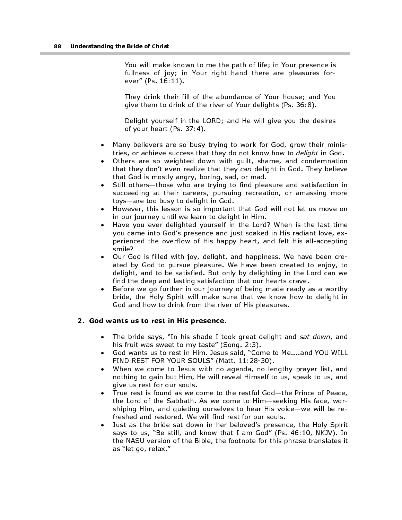You will make known to me the path of life; in Your presence is fullness of joy; in Your right hand there are pleasures forever" (Ps. 16:11).

They drink their fill of the abundance of Your house; and You give them to drink of the river of Your delights (Ps. 36:8).

Delight yourself in the LORD; and He will give you the desires of your heart (Ps. 37:4).

- Many believers are so busy trying to work for God, grow their ministries, or achieve success that they do not know how to *delight* in God.
- Others are so weighted down with guilt, shame, and condemnation that they don't even realize that they can delight in God. They believe that God is mostly angry, boring, sad, or mad.
- Still others—those who are trying to find pleasure and satisfaction in succeeding at their careers, pursuing recreation, or amassing more toys—are too busy to delight in God.
- However, this lesson is so important that God will not let us move on in our journey until we learn to delight in Him.
- Have you ever delighted yourself in the Lord? When is the last time you came into God's presence and just soaked in His radiant love, experienced the overflow of His happy heart, and felt His all-accepting smile?
- Our God is filled with joy, delight, and happiness. We have been created by God to pursue pleasure. We have been created to enjoy, to delight, and to be satisfied. But only by delighting in the Lord can we find the deep and lasting satisfaction that our hearts crave.
- Before we go further in our journey of being made ready as a worthy bride, the Holy Spirit will make sure that we know how to delight in God and how to drink from the river of His pleasures.

#### 2. God wants us to rest in His presence.

- The bride says, "In his shade I took great delight and sat down, and his fruit was sweet to my taste" (Song. 2:3).
- God wants us to rest in Him. Jesus said, "Come to Me....and YOU WILL FIND REST FOR YOUR SOULS" (Matt. 11:28-30).
- When we come to Jesus with no agenda, no lengthy prayer list, and nothing to gain but Him, He will reveal Himself to us, speak to us, and give us rest for our souls.
- True rest is found as we come to the restful God—the Prince of Peace, the Lord of the Sabbath. As we come to Him—seeking His face, worshiping Him, and quieting ourselves to hear His voice—we will be refreshed and restored. We will find rest for our souls.
- Just as the bride sat down in her beloved's presence, the Holy Spirit says to us, "Be still, and know that I am God" (Ps. 46:10, NKJV). In the NASU version of the Bible, the footnote for this phrase translates it as "let go, relax."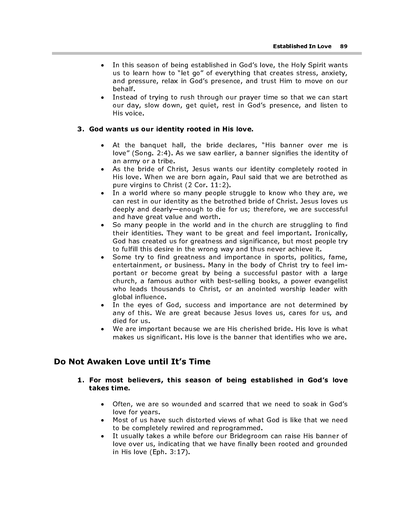- In this season of being established in God's love, the Holy Spirit wants us to learn how to "let go" of everything that creates stress, anxiety, and pressure, relax in God's presence, and trust Him to move on our behalf.
- Instead of trying to rush through our prayer time so that we can start our day, slow down, get quiet, rest in God's presence, and listen to His voice.

#### 3. God wants us our identity rooted in His love.

- At the banquet hall, the bride declares, "His banner over me is love" (Song. 2:4). As we saw earlier, a banner signifies the identity of an army or a tribe.
- As the bride of Christ, Jesus wants our identity completely rooted in His love. When we are born again, Paul said that we are betrothed as pure virgins to Christ (2 Cor. 11:2).
- In a world where so many people struggle to know who they are, we can rest in our identity as the betrothed bride of Christ. Jesus loves us deeply and dearly—enough to die for us; therefore, we are successful and have great value and worth.
- So many people in the world and in the church are struggling to find their identities. They want to be great and feel important. Ironically, God has created us for greatness and significance, but most people try to fulfill this desire in the wrong way and thus never achieve it.
- Some try to find greatness and importance in sports, politics, fame, entertainment, or business. Many in the body of Christ try to feel important or become great by being a successful pastor with a large church, a famous author with best-selling books, a power evangelist who leads thousands to Christ, or an anointed worship leader with global influence.
- In the eyes of God, success and importance are not determined by any of this. We are great because Jesus loves us, cares for us, and died for us.
- We are important because we are His cherished bride. His love is what makes us significant. His love is the banner that identifies who we are.

## Do Not Awaken Love until It's Time

- 1. For most believers, this season of being established in God's love takes time.
	- Often, we are so wounded and scarred that we need to soak in God's love for years.
	- Most of us have such distorted views of what God is like that we need to be completely rewired and reprogrammed.
	- It usually takes a while before our Bridegroom can raise His banner of love over us, indicating that we have finally been rooted and grounded in His love (Eph. 3:17).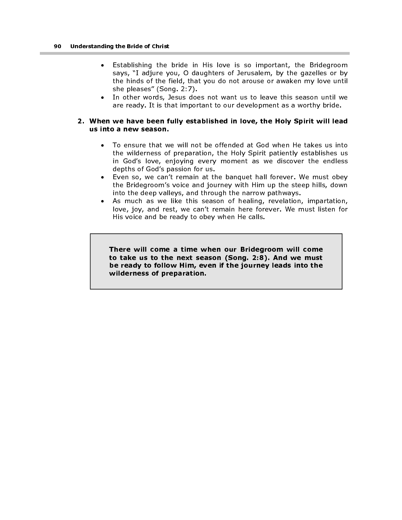- Establishing the bride in His love is so important, the Bridegroom says, "I adjure you, O daughters of Jerusalem, by the gazelles or by the hinds of the field, that you do not arouse or awaken my love until she pleases" (Song. 2:7).
- In other words, Jesus does not want us to leave this season until we are ready. It is that important to our development as a worthy bride.

#### 2. When we have been fully established in love, the Holy Spirit will lead us into a new season.

- To ensure that we will not be offended at God when He takes us into the wilderness of preparation, the Holy Spirit patiently establishes us in God's love, enjoying every moment as we discover the endless depths of God's passion for us.
- Even so, we can't remain at the banquet hall forever. We must obey the Bridegroom's voice and journey with Him up the steep hills, down into the deep valleys, and through the narrow pathways.
- As much as we like this season of healing, revelation, impartation, love, joy, and rest, we can't remain here forever. We must listen for His voice and be ready to obey when He calls.

 There will come a time when our Bridegroom will come to take us to the next season (Song. 2:8). And we must be ready to follow Him, even if the journey leads into the wilderness of preparation.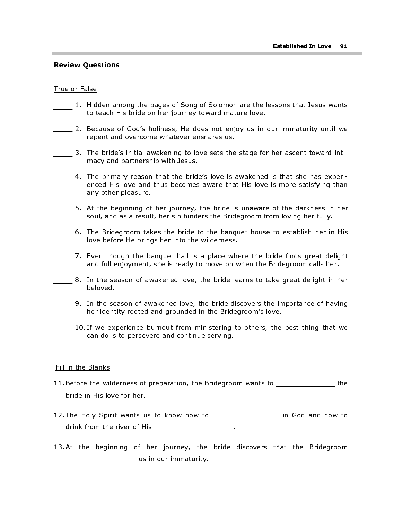#### Review Questions

#### True or False

- 1. Hidden among the pages of Song of Solomon are the lessons that Jesus wants to teach His bride on her journey toward mature love.
- 2. Because of God's holiness, He does not enjoy us in our immaturity until we repent and overcome whatever ensnares us.
- 3. The bride's initial awakening to love sets the stage for her ascent toward intimacy and partnership with Jesus.
- 4. The primary reason that the bride's love is awakened is that she has experienced His love and thus becomes aware that His love is more satisfying than any other pleasure.
- 5. At the beginning of her journey, the bride is unaware of the darkness in her soul, and as a result, her sin hinders the Bridegroom from loving her fully.
- 6. The Bridegroom takes the bride to the banquet house to establish her in His love before He brings her into the wilderness.
- 7. Even though the banquet hall is a place where the bride finds great delight and full enjoyment, she is ready to move on when the Bridegroom calls her.
- 8. In the season of awakened love, the bride learns to take great delight in her beloved.
- 9. In the season of awakened love, the bride discovers the importance of having her identity rooted and grounded in the Bridegroom's love.
- 10. If we experience burnout from ministering to others, the best thing that we can do is to persevere and continue serving.

#### Fill in the Blanks

- 11. Before the wilderness of preparation, the Bridegroom wants to the bride in His love for her.
- 12. The Holy Spirit wants us to know how to \_\_\_\_\_\_\_\_\_\_\_\_\_\_\_\_\_\_ in God and how to drink from the river of His **Exercise 19**
- 13. At the beginning of her journey, the bride discovers that the Bridegroom \_\_\_\_\_\_\_\_\_\_\_\_\_\_\_\_ us in our immaturity.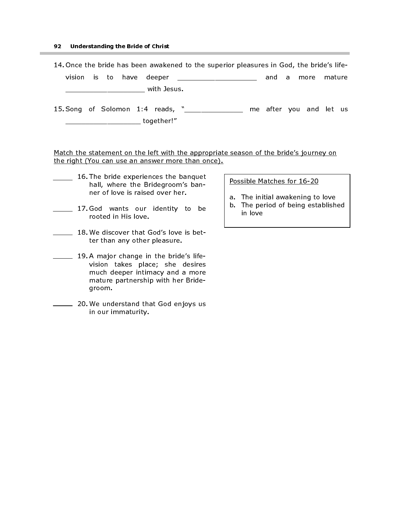#### 92 Understanding the Bride of Christ

| 14. Once the bride has been awakened to the superior pleasures in God, the bride's life-                                                                                                                                                                                                          |  |  |  |  |             |  |  |  |  |  |                         |                   |  |  |
|---------------------------------------------------------------------------------------------------------------------------------------------------------------------------------------------------------------------------------------------------------------------------------------------------|--|--|--|--|-------------|--|--|--|--|--|-------------------------|-------------------|--|--|
| vision is to have deeper $\frac{1}{2}$ = $\frac{1}{2}$ = $\frac{1}{2}$ = $\frac{1}{2}$ = $\frac{1}{2}$ = $\frac{1}{2}$ = $\frac{1}{2}$ = $\frac{1}{2}$ = $\frac{1}{2}$ = $\frac{1}{2}$ = $\frac{1}{2}$ = $\frac{1}{2}$ = $\frac{1}{2}$ = $\frac{1}{2}$ = $\frac{1}{2}$ = $\frac{1}{2}$ = $\frac{$ |  |  |  |  |             |  |  |  |  |  |                         | and a more mature |  |  |
|                                                                                                                                                                                                                                                                                                   |  |  |  |  | with Jesus. |  |  |  |  |  |                         |                   |  |  |
|                                                                                                                                                                                                                                                                                                   |  |  |  |  |             |  |  |  |  |  | me after you and let us |                   |  |  |
|                                                                                                                                                                                                                                                                                                   |  |  |  |  | together!"  |  |  |  |  |  |                         |                   |  |  |

#### Match the statement on the left with the appropriate season of the bride's journey on the right (You can use an answer more than once).

- 16. The bride experiences the banquet hall, where the Bridegroom's banner of love is raised over her.
- 17. God wants our identity to be rooted in His love.
- 18. We discover that God's love is better than any other pleasure.
- 19. A major change in the bride's lifevision takes place; she desires much deeper intimacy and a more mature partnership with her Bridegroom.
- **20. We understand that God enjoys us** in our immaturity.

Possible Matches for 16-20

- a. The initial awakening to love
- b. The period of being established in love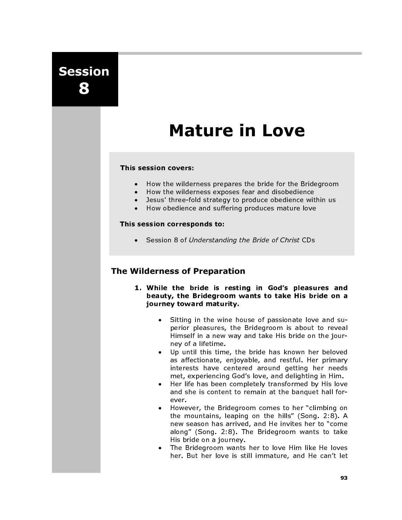Session 8

## Mature in Love

#### This session covers:

- How the wilderness prepares the bride for the Bridegroom<br>• How the wilderness exposes fear and disobedience
- How the wilderness exposes fear and disobedience
- Jesus' three-fold strategy to produce obedience within us<br>• How obedience and suffering produces mature love
- How obedience and suffering produces mature love

#### This session corresponds to:

• Session 8 of Understanding the Bride of Christ CDs

## The Wilderness of Preparation

- 1. While the bride is resting in God's pleasures and beauty, the Bridegroom wants to take His bride on a journey toward maturity.
	- Sitting in the wine house of passionate love and superior pleasures, the Bridegroom is about to reveal Himself in a new way and take His bride on the journey of a lifetime.
	- Up until this time, the bride has known her beloved as affectionate, enjoyable, and restful. Her primary interests have centered around getting her needs met, experiencing God's love, and delighting in Him.
	- Her life has been completely transformed by His love and she is content to remain at the banquet hall forever.
	- However, the Bridegroom comes to her "climbing on the mountains, leaping on the hills" (Song. 2:8). A new season has arrived, and He invites her to "come along" (Song. 2:8). The Bridegroom wants to take His bride on a journey.
	- The Bridegroom wants her to love Him like He loves her. But her love is still immature, and He can't let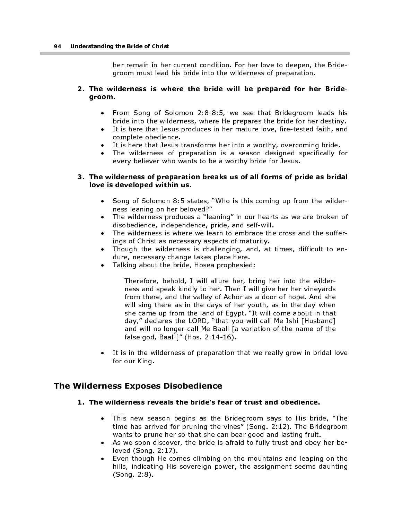her remain in her current condition. For her love to deepen, the Bridegroom must lead his bride into the wilderness of preparation.

#### 2. The wilderness is where the bride will be prepared for her Bridegroom.

- From Song of Solomon 2:8-8:5, we see that Bridegroom leads his bride into the wilderness, where He prepares the bride for her destiny.
- It is here that Jesus produces in her mature love, fire-tested faith, and complete obedience.
- It is here that Jesus transforms her into a worthy, overcoming bride.
- The wilderness of preparation is a season designed specifically for every believer who wants to be a worthy bride for Jesus.

#### 3. The wilderness of preparation breaks us of all forms of pride as bridal love is developed within us.

- Song of Solomon 8:5 states, "Who is this coming up from the wilderness leaning on her beloved?"
- The wilderness produces a "leaning" in our hearts as we are broken of disobedience, independence, pride, and self-will.
- The wilderness is where we learn to embrace the cross and the sufferings of Christ as necessary aspects of maturity.
- Though the wilderness is challenging, and, at times, difficult to endure, necessary change takes place here.
- Talking about the bride, Hosea prophesied:

Therefore, behold, I will allure her, bring her into the wilderness and speak kindly to her. Then I will give her her vineyards from there, and the valley of Achor as a door of hope. And she will sing there as in the days of her youth, as in the day when she came up from the land of Egypt. "It will come about in that day," declares the LORD, "that you will call Me Ishi [Husband] and will no longer call Me Baali [a variation of the name of the false god, Baal<sup>1</sup>]" (Hos. 2:14-16).

• It is in the wilderness of preparation that we really grow in bridal love for our King.

## The Wilderness Exposes Disobedience

#### 1. The wilderness reveals the bride's fear of trust and obedience.

- This new season begins as the Bridegroom says to His bride, "The time has arrived for pruning the vines" (Song. 2:12). The Bridegroom wants to prune her so that she can bear good and lasting fruit.
- As we soon discover, the bride is afraid to fully trust and obey her beloved (Song. 2:17).
- Even though He comes climbing on the mountains and leaping on the hills, indicating His sovereign power, the assignment seems daunting (Song. 2:8).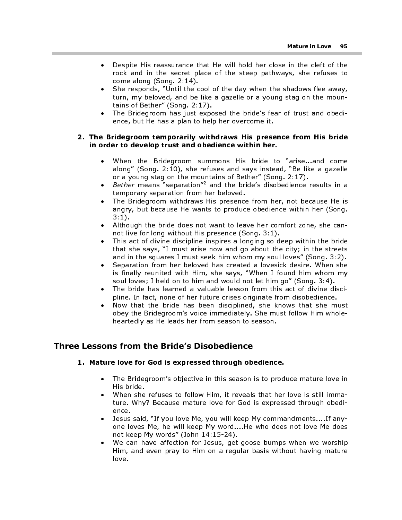- Despite His reassurance that He will hold her close in the cleft of the rock and in the secret place of the steep pathways, she refuses to come along (Song. 2:14).
- She responds, "Until the cool of the day when the shadows flee away, turn, my beloved, and be like a gazelle or a young stag on the mountains of Bether" (Song. 2:17).
- The Bridegroom has just exposed the bride's fear of trust and obedience, but He has a plan to help her overcome it.

#### 2. The Bridegroom temporarily withdraws His presence from His bride in order to develop trust and obedience within her.

- When the Bridegroom summons His bride to "arise...and come along" (Song. 2:10), she refuses and says instead, "Be like a gazelle or a young stag on the mountains of Bether" (Song. 2:17).
- Bether means "separation" and the bride's disobedience results in a<br>temporary separation from her beloved temporary separation from her beloved.
- The Bridegroom withdraws His presence from her, not because He is angry, but because He wants to produce obedience within her (Song. 3:1).
- Although the bride does not want to leave her comfort zone, she cannot live for long without His presence (Song. 3:1).
- This act of divine discipline inspires a longing so deep within the bride that she says, "I must arise now and go about the city; in the streets and in the squares I must seek him whom my soul loves" (Song. 3:2).
- Separation from her beloved has created a lovesick desire. When she is finally reunited with Him, she says, "When I found him whom my soul loves; I held on to him and would not let him go" (Song. 3:4).
- The bride has learned a valuable lesson from this act of divine discipline. In fact, none of her future crises originate from disobedience.
- Now that the bride has been disciplined, she knows that she must obey the Bridegroom's voice immediately. She must follow Him wholeheartedly as He leads her from season to season.

## Three Lessons from the Bride's Disobedience

#### 1. Mature love for God is expressed through obedience.

- The Bridegroom's objective in this season is to produce mature love in His bride.
- When she refuses to follow Him, it reveals that her love is still immature. Why? Because mature love for God is expressed through obedience.
- Jesus said, "If you love Me, you will keep My commandments....If anyone loves Me, he will keep My word....He who does not love Me does not keep My words" (John 14:15-24).
- We can have affection for Jesus, get goose bumps when we worship Him, and even pray to Him on a regular basis without having mature love.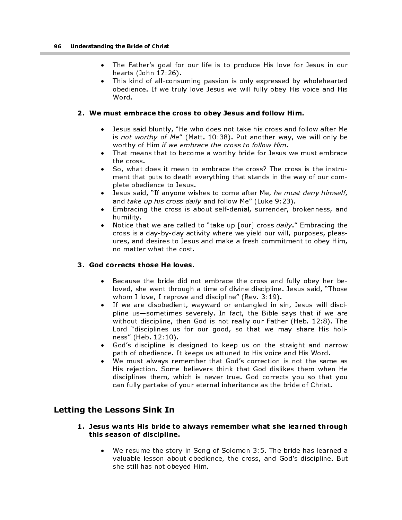- The Father's goal for our life is to produce His love for Jesus in our hearts (John 17:26).
- This kind of all-consuming passion is only expressed by wholehearted obedience. If we truly love Jesus we will fully obey His voice and His Word.

#### 2. We must embrace the cross to obey Jesus and follow Him.

- Jesus said bluntly, "He who does not take his cross and follow after Me is not worthy of Me" (Matt.  $10:38$ ). Put another way, we will only be worthy of Him if we embrace the cross to follow Him.
- That means that to become a worthy bride for Jesus we must embrace the cross.
- So, what does it mean to embrace the cross? The cross is the instrument that puts to death everything that stands in the way of our complete obedience to Jesus.
- Jesus said, "If anyone wishes to come after Me, he must deny himself, and take up his cross daily and follow Me" (Luke 9:23).
- Embracing the cross is about self-denial, surrender, brokenness, and humility.
- Notice that we are called to "take up [our] cross daily." Embracing the cross is a day-by-day activity where we yield our will, purposes, pleasures, and desires to Jesus and make a fresh commitment to obey Him, no matter what the cost.

#### 3. God corrects those He loves.

- Because the bride did not embrace the cross and fully obey her beloved, she went through a time of divine discipline. Jesus said, "Those whom I love, I reprove and discipline" (Rev. 3:19).
- If we are disobedient, wayward or entangled in sin, Jesus will discipline us—sometimes severely. In fact, the Bible says that if we are without discipline, then God is not really our Father (Heb. 12:8). The Lord "disciplines us for our good, so that we may share His holiness" (Heb. 12:10).
- God's discipline is designed to keep us on the straight and narrow path of obedience. It keeps us attuned to His voice and His Word.
- We must always remember that God's correction is not the same as His rejection. Some believers think that God dislikes them when He disciplines them, which is never true. God corrects you so that you can fully partake of your eternal inheritance as the bride of Christ.

## Letting the Lessons Sink In

- 1. Jesus wants His bride to always remember what she learned through this season of discipline.
	- We resume the story in Song of Solomon 3:5. The bride has learned a valuable lesson about obedience, the cross, and God's discipline. But she still has not obeyed Him.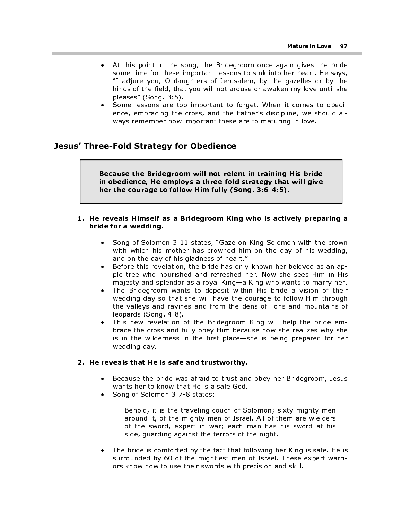- At this point in the song, the Bridegroom once again gives the bride some time for these important lessons to sink into her heart. He says, "I adjure you, O daughters of Jerusalem, by the gazelles or by the hinds of the field, that you will not arouse or awaken my love until she pleases" (Song. 3:5).
- Some lessons are too important to forget. When it comes to obedience, embracing the cross, and the Father's discipline, we should always remember how important these are to maturing in love.

## Jesus' Three-Fold Strategy for Obedience

Because the Bridegroom will not relent in training His bride in obedience, He employs a three-fold strategy that will give her the courage to follow Him fully (Song. 3:6-4:5).

#### 1. He reveals Himself as a Bridegroom King who is actively preparing a bride for a wedding.

- Song of Solomon 3:11 states, "Gaze on King Solomon with the crown with which his mother has crowned him on the day of his wedding, and on the day of his gladness of heart."
- Before this revelation, the bride has only known her beloved as an apple tree who nourished and refreshed her. Now she sees Him in His majesty and splendor as a royal King—a King who wants to marry her.
- The Bridegroom wants to deposit within His bride a vision of their wedding day so that she will have the courage to follow Him through the valleys and ravines and from the dens of lions and mountains of leopards (Song. 4:8).
- This new revelation of the Bridegroom King will help the bride embrace the cross and fully obey Him because now she realizes why she is in the wilderness in the first place—she is being prepared for her wedding day.

#### 2. He reveals that He is safe and trustworthy.

- Because the bride was afraid to trust and obey her Bridegroom, Jesus wants her to know that He is a safe God.
- Song of Solomon 3:7-8 states:

Behold, it is the traveling couch of Solomon; sixty mighty men around it, of the mighty men of Israel. All of them are wielders of the sword, expert in war; each man has his sword at his side, guarding against the terrors of the night.

• The bride is comforted by the fact that following her King is safe. He is surrounded by 60 of the mightiest men of Israel. These expert warriors know how to use their swords with precision and skill.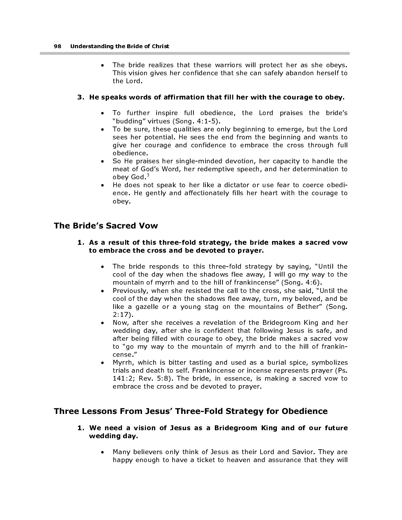The bride realizes that these warriors will protect her as she obeys. This vision gives her confidence that she can safely abandon herself to the Lord.

#### 3. He speaks words of affirmation that fill her with the courage to obey.

- To further inspire full obedience, the Lord praises the bride's "budding" virtues (Song. 4:1-5).
- To be sure, these qualities are only beginning to emerge, but the Lord sees her potential. He sees the end from the beginning and wants to give her courage and confidence to embrace the cross through full obedience.
- So He praises her single-minded devotion, her capacity to handle the meat of God's Word, her redemptive speech, and her determination to obey God <sup>3</sup>
- He does not speak to her like a dictator or use fear to coerce obedience. He gently and affectionately fills her heart with the courage to obey.

## The Bride's Sacred Vow

- 1. As a result of this three-fold strategy, the bride makes a sacred vow to embrace the cross and be devoted to prayer.
	- The bride responds to this three-fold strategy by saying, "Until the cool of the day when the shadows flee away, I will go my way to the mountain of myrrh and to the hill of frankincense" (Song. 4:6).
	- Previously, when she resisted the call to the cross, she said, "Until the cool of the day when the shadows flee away, turn, my beloved, and be like a gazelle or a young stag on the mountains of Bether" (Song. 2:17).
	- Now, after she receives a revelation of the Bridegroom King and her wedding day, after she is confident that following Jesus is safe, and after being filled with courage to obey, the bride makes a sacred vow to "go my way to the mountain of myrrh and to the hill of frankincense."
	- Myrrh, which is bitter tasting and used as a burial spice, symbolizes trials and death to self. Frankincense or incense represents prayer (Ps. 141:2; Rev. 5:8). The bride, in essence, is making a sacred vow to embrace the cross and be devoted to prayer.

## Three Lessons From Jesus' Three-Fold Strategy for Obedience

- 1. We need a vision of Jesus as a Bridegroom King and of our future wedding day.
	- Many believers only think of Jesus as their Lord and Savior. They are happy enough to have a ticket to heaven and assurance that they will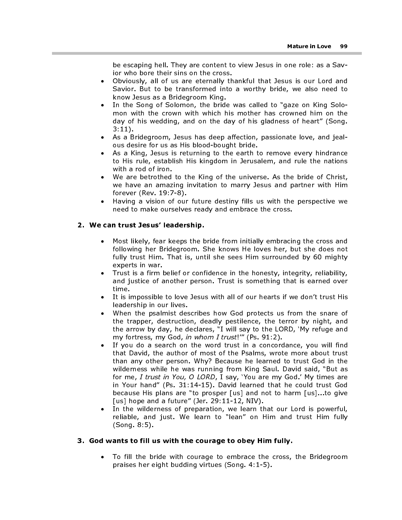be escaping hell. They are content to view Jesus in one role: as a Savior who bore their sins on the cross.

- Obviously, all of us are eternally thankful that Jesus is our Lord and Savior. But to be transformed into a worthy bride, we also need to know Jesus as a Bridegroom King.
- In the Song of Solomon, the bride was called to "gaze on King Solomon with the crown with which his mother has crowned him on the day of his wedding, and on the day of his gladness of heart" (Song. 3:11).
- As a Bridegroom, Jesus has deep affection, passionate love, and jealous desire for us as His blood-bought bride.
- As a King, Jesus is returning to the earth to remove every hindrance to His rule, establish His kingdom in Jerusalem, and rule the nations with a rod of iron.
- We are betrothed to the King of the universe. As the bride of Christ, we have an amazing invitation to marry Jesus and partner with Him forever (Rev. 19:7-8).
- Having a vision of our future destiny fills us with the perspective we need to make ourselves ready and embrace the cross.

## 2. We can trust Jesus' leadership.

- Most likely, fear keeps the bride from initially embracing the cross and following her Bridegroom. She knows He loves her, but she does not fully trust Him. That is, until she sees Him surrounded by 60 mighty experts in war.
- Trust is a firm belief or confidence in the honesty, integrity, reliability, and justice of another person. Trust is something that is earned over time.
- It is impossible to love Jesus with all of our hearts if we don't trust His leadership in our lives.
- When the psalmist describes how God protects us from the snare of the trapper, destruction, deadly pestilence, the terror by night, and the arrow by day, he declares, "I will say to the LORD, 'My refuge and my fortress, my God, in whom I trust!'" (Ps. 91:2).
- If you do a search on the word trust in a concordance, you will find that David, the author of most of the Psalms, wrote more about trust than any other person. Why? Because he learned to trust God in the wilderness while he was running from King Saul. David said, "But as for me, I trust in You, O LORD, I say, 'You are my God.' My times are in Your hand" (Ps. 31:14-15). David learned that he could trust God because His plans are "to prosper [us] and not to harm [us]...to give [us] hope and a future" (Jer. 29:11-12, NIV).
- In the wilderness of preparation, we learn that our Lord is powerful, reliable, and just. We learn to "lean" on Him and trust Him fully (Song. 8:5).

#### 3. God wants to fill us with the courage to obey Him fully.

• To fill the bride with courage to embrace the cross, the Bridegroom praises her eight budding virtues (Song. 4:1-5).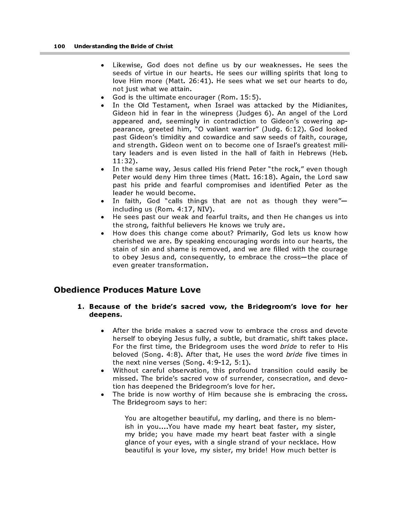- Likewise, God does not define us by our weaknesses. He sees the seeds of virtue in our hearts. He sees our willing spirits that long to love Him more (Matt. 26:41). He sees what we set our hearts to do, not just what we attain.
- God is the ultimate encourager (Rom. 15:5).
- In the Old Testament, when Israel was attacked by the Midianites, Gideon hid in fear in the winepress (Judges 6). An angel of the Lord appeared and, seemingly in contradiction to Gideon's cowering appearance, greeted him, "O valiant warrior" (Judg. 6:12). God looked past Gideon's timidity and cowardice and saw seeds of faith, courage, and strength. Gideon went on to become one of Israel's greatest military leaders and is even listed in the hall of faith in Hebrews (Heb. 11:32).
- In the same way, Jesus called His friend Peter "the rock," even though Peter would deny Him three times (Matt. 16:18). Again, the Lord saw past his pride and fearful compromises and identified Peter as the leader he would become.
- In faith, God "calls things that are not as though they were"including us (Rom. 4:17, NIV).
- He sees past our weak and fearful traits, and then He changes us into the strong, faithful believers He knows we truly are.
- How does this change come about? Primarily, God lets us know how cherished we are. By speaking encouraging words into our hearts, the stain of sin and shame is removed, and we are filled with the courage to obey Jesus and, consequently, to embrace the cross—the place of even greater transformation.

## Obedience Produces Mature Love

#### 1. Because of the bride's sacred vow, the Bridegroom's love for her deepens.

- After the bride makes a sacred vow to embrace the cross and devote herself to obeying Jesus fully, a subtle, but dramatic, shift takes place. For the first time, the Bridegroom uses the word bride to refer to His beloved (Song. 4:8). After that, He uses the word bride five times in the next nine verses (Song. 4:9-12, 5:1).
- Without careful observation, this profound transition could easily be missed. The bride's sacred vow of surrender, consecration, and devotion has deepened the Bridegroom's love for her.
- The bride is now worthy of Him because she is embracing the cross. The Bridegroom says to her:

You are altogether beautiful, my darling, and there is no blemish in you....You have made my heart beat faster, my sister, my bride; you have made my heart beat faster with a single glance of your eyes, with a single strand of your necklace. How beautiful is your love, my sister, my bride! How much better is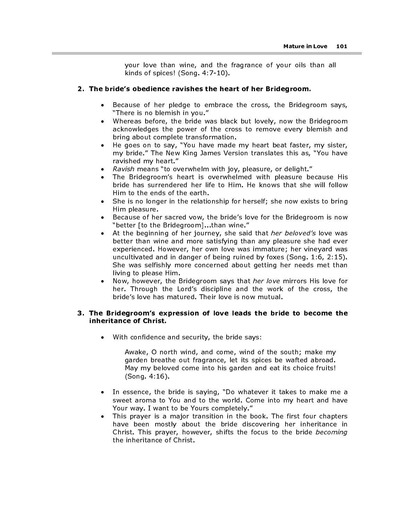your love than wine, and the fragrance of your oils than all kinds of spices! (Song. 4:7-10).

#### 2. The bride's obedience ravishes the heart of her Bridegroom.

- Because of her pledge to embrace the cross, the Bridegroom says, "There is no blemish in you."
- Whereas before, the bride was black but lovely, now the Bridegroom acknowledges the power of the cross to remove every blemish and bring about complete transformation.
- He goes on to say, "You have made my heart beat faster, my sister, my bride." The New King James Version translates this as, "You have ravished my heart."
- Ravish means "to overwhelm with joy, pleasure, or delight."
- The Bridegroom's heart is overwhelmed with pleasure because His bride has surrendered her life to Him. He knows that she will follow Him to the ends of the earth.
- She is no longer in the relationship for herself; she now exists to bring Him pleasure.
- Because of her sacred vow, the bride's love for the Bridegroom is now "better [to the Bridegroom]...than wine."
- At the beginning of her journey, she said that her beloved's love was better than wine and more satisfying than any pleasure she had ever experienced. However, her own love was immature; her vineyard was uncultivated and in danger of being ruined by foxes (Song. 1:6, 2:15). She was selfishly more concerned about getting her needs met than living to please Him.
- Now, however, the Bridegroom says that her love mirrors His love for her. Through the Lord's discipline and the work of the cross, the bride's love has matured. Their love is now mutual.

#### 3. The Bridegroom's expression of love leads the bride to become the inheritance of Christ.

• With confidence and security, the bride says:

Awake, O north wind, and come, wind of the south; make my garden breathe out fragrance, let its spices be wafted abroad. May my beloved come into his garden and eat its choice fruits! (Song. 4:16).

- In essence, the bride is saying, "Do whatever it takes to make me a sweet aroma to You and to the world. Come into my heart and have Your way. I want to be Yours completely."
- This prayer is a major transition in the book. The first four chapters have been mostly about the bride discovering her inheritance in Christ. This prayer, however, shifts the focus to the bride becoming the inheritance of Christ.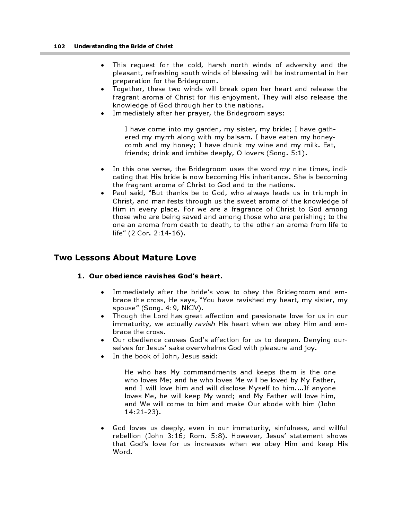- This request for the cold, harsh north winds of adversity and the pleasant, refreshing south winds of blessing will be instrumental in her preparation for the Bridegroom.
- Together, these two winds will break open her heart and release the fragrant aroma of Christ for His enjoyment. They will also release the knowledge of God through her to the nations.
- Immediately after her prayer, the Bridegroom says:

I have come into my garden, my sister, my bride; I have gathered my myrrh along with my balsam. I have eaten my honeycomb and my honey; I have drunk my wine and my milk. Eat, friends; drink and imbibe deeply, O lovers (Song. 5:1).

- In this one verse, the Bridegroom uses the word  $my$  nine times, indicating that His bride is now becoming His inheritance. She is becoming the fragrant aroma of Christ to God and to the nations.
- Paul said, "But thanks be to God, who always leads us in triumph in Christ, and manifests through us the sweet aroma of the knowledge of Him in every place. For we are a fragrance of Christ to God among those who are being saved and among those who are perishing; to the one an aroma from death to death, to the other an aroma from life to life" (2 Cor. 2:14-16).

## Two Lessons About Mature Love

#### 1. Our obedience ravishes God's heart.

- Immediately after the bride's vow to obey the Bridegroom and embrace the cross, He says, "You have ravished my heart, my sister, my spouse" (Song. 4:9, NKJV).
- Though the Lord has great affection and passionate love for us in our immaturity, we actually ravish His heart when we obey Him and embrace the cross.
- Our obedience causes God's affection for us to deepen. Denying ourselves for Jesus' sake overwhelms God with pleasure and joy.
- In the book of John, Jesus said:

He who has My commandments and keeps them is the one who loves Me; and he who loves Me will be loved by My Father, and I will love him and will disclose Myself to him....If anyone loves Me, he will keep My word; and My Father will love him, and We will come to him and make Our abode with him (John 14:21-23).

• God loves us deeply, even in our immaturity, sinfulness, and willful rebellion (John 3:16; Rom. 5:8). However, Jesus' statement shows that God's love for us increases when we obey Him and keep His Word.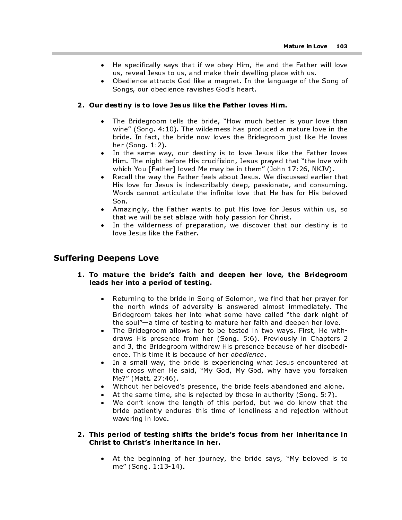- He specifically says that if we obey Him, He and the Father will love us, reveal Jesus to us, and make their dwelling place with us.
- Obedience attracts God like a magnet. In the language of the Song of Songs, our obedience ravishes God's heart.

#### 2. Our destiny is to love Jesus like the Father loves Him.

- The Bridegroom tells the bride, "How much better is your love than wine" (Song. 4:10). The wilderness has produced a mature love in the bride. In fact, the bride now loves the Bridegroom just like He loves her (Song. 1:2).
- In the same way, our destiny is to love Jesus like the Father loves Him. The night before His crucifixion, Jesus prayed that "the love with which You [Father] loved Me may be in them" (John 17:26, NKJV).
- Recall the way the Father feels about Jesus. We discussed earlier that His love for Jesus is indescribably deep, passionate, and consuming. Words cannot articulate the infinite love that He has for His beloved Son.
- Amazingly, the Father wants to put His love for Jesus within us, so that we will be set ablaze with holy passion for Christ.
- In the wilderness of preparation, we discover that our destiny is to love Jesus like the Father.

## Suffering Deepens Love

- 1. To mature the bride's faith and deepen her love, the Bridegroom leads her into a period of testing.
	- Returning to the bride in Song of Solomon, we find that her prayer for the north winds of adversity is answered almost immediately. The Bridegroom takes her into what some have called "the dark night of the soul"—a time of testing to mature her faith and deepen her love.
	- The Bridegroom allows her to be tested in two ways. First, He withdraws His presence from her (Song. 5:6). Previously in Chapters 2 and 3, the Bridegroom withdrew His presence because of her disobedience. This time it is because of her obedience.
	- In a small way, the bride is experiencing what Jesus encountered at the cross when He said, "My God, My God, why have you forsaken Me?" (Matt. 27:46).
	- Without her beloved's presence, the bride feels abandoned and alone.
	- At the same time, she is rejected by those in authority (Song. 5:7).
	- We don't know the length of this period, but we do know that the bride patiently endures this time of loneliness and rejection without wavering in love.

#### 2. This period of testing shifts the bride's focus from her inheritance in Christ to Christ's inheritance in her.

• At the beginning of her journey, the bride says, "My beloved is to me" (Song. 1:13-14).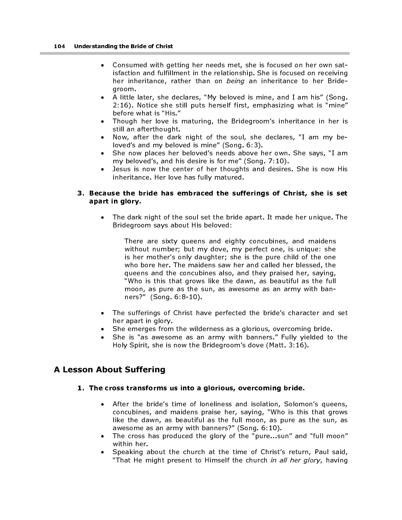- Consumed with getting her needs met, she is focused on her own satisfaction and fulfillment in the relationship. She is focused on receiving her inheritance, rather than on being an inheritance to her Bridegroom.
- A little later, she declares, "My beloved is mine, and I am his" (Song. 2:16). Notice she still puts herself first, emphasizing what is "mine" before what is "His."
- Though her love is maturing, the Bridegroom's inheritance in her is still an afterthought.
- Now, after the dark night of the soul, she declares, "I am my beloved's and my beloved is mine" (Song. 6:3).
- She now places her beloved's needs above her own. She says, "I am my beloved's, and his desire is for me" (Song. 7:10).
- Jesus is now the center of her thoughts and desires. She is now His inheritance. Her love has fully matured.

#### 3. Because the bride has embraced the sufferings of Christ, she is set apart in glory.

The dark night of the soul set the bride apart. It made her unique. The Bridegroom says about His beloved:

There are sixty queens and eighty concubines, and maidens without number; but my dove, my perfect one, is unique: she is her mother's only daughter; she is the pure child of the one who bore her. The maidens saw her and called her blessed, the queens and the concubines also, and they praised her, saying, "Who is this that grows like the dawn, as beautiful as the full moon, as pure as the sun, as awesome as an army with banners?" (Song. 6:8-10).

- The sufferings of Christ have perfected the bride's character and set her apart in glory.
- She emerges from the wilderness as a glorious, overcoming bride.
- She is "as awesome as an army with banners." Fully yielded to the Holy Spirit, she is now the Bridegroom's dove (Matt. 3:16).

## A Lesson About Suffering

#### 1. The cross transforms us into a glorious, overcoming bride.

- After the bride's time of loneliness and isolation, Solomon's queens, concubines, and maidens praise her, saying, "Who is this that grows like the dawn, as beautiful as the full moon, as pure as the sun, as awesome as an army with banners?" (Song. 6:10).
- The cross has produced the glory of the "pure...sun" and "full moon" within her.
- Speaking about the church at the time of Christ's return, Paul said, "That He might present to Himself the church in all her glory, having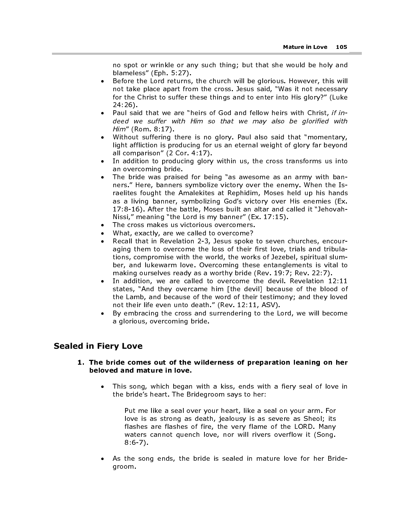no spot or wrinkle or any such thing; but that she would be holy and blameless" (Eph. 5:27).

- Before the Lord returns, the church will be glorious. However, this will not take place apart from the cross. Jesus said, "Was it not necessary for the Christ to suffer these things and to enter into His glory?" (Luke 24:26).
- Paul said that we are "heirs of God and fellow heirs with Christ, if indeed we suffer with Him so that we may also be glorified with Him" (Rom. 8:17).
- Without suffering there is no glory. Paul also said that "momentary, light affliction is producing for us an eternal weight of glory far beyond all comparison" (2 Cor. 4:17).
- In addition to producing glory within us, the cross transforms us into an overcoming bride.
- The bride was praised for being "as awesome as an army with banners." Here, banners symbolize victory over the enemy. When the Israelites fought the Amalekites at Rephidim, Moses held up his hands as a living banner, symbolizing God's victory over His enemies (Ex. 17:8-16). After the battle, Moses built an altar and called it "Jehovah-Nissi," meaning "the Lord is my banner" (Ex. 17:15).
- The cross makes us victorious overcomers.
- What, exactly, are we called to overcome?
- Recall that in Revelation 2-3, Jesus spoke to seven churches, encouraging them to overcome the loss of their first love, trials and tribulations, compromise with the world, the works of Jezebel, spiritual slumber, and lukewarm love. Overcoming these entanglements is vital to making ourselves ready as a worthy bride (Rev. 19:7; Rev. 22:7).
- In addition, we are called to overcome the devil. Revelation 12:11 states, "And they overcame him [the devil] because of the blood of the Lamb, and because of the word of their testimony; and they loved not their life even unto death." (Rev. 12:11, ASV).
- By embracing the cross and surrendering to the Lord, we will become a glorious, overcoming bride.

## Sealed in Fiery Love

#### 1. The bride comes out of the wilderness of preparation leaning on her beloved and mature in love.

• This song, which began with a kiss, ends with a fiery seal of love in the bride's heart. The Bridegroom says to her:

Put me like a seal over your heart, like a seal on your arm. For love is as strong as death, jealousy is as severe as Sheol; its flashes are flashes of fire, the very flame of the LORD. Many waters cannot quench love, nor will rivers overflow it (Song. 8:6-7).

As the song ends, the bride is sealed in mature love for her Bridegroom.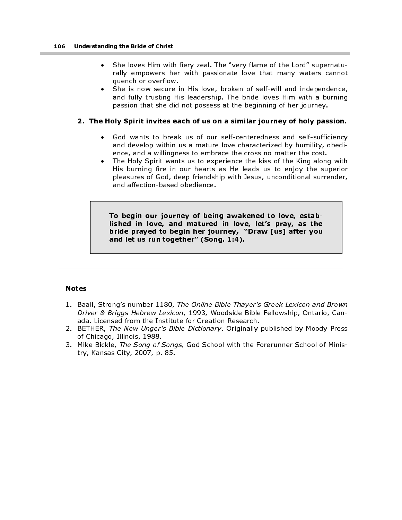- She loves Him with fiery zeal. The "very flame of the Lord" supernaturally empowers her with passionate love that many waters cannot quench or overflow.
- She is now secure in His love, broken of self-will and independence, and fully trusting His leadership. The bride loves Him with a burning passion that she did not possess at the beginning of her journey.

#### 2. The Holy Spirit invites each of us on a similar journey of holy passion.

- God wants to break us of our self-centeredness and self-sufficiency and develop within us a mature love characterized by humility, obedience, and a willingness to embrace the cross no matter the cost.
- The Holy Spirit wants us to experience the kiss of the King along with His burning fire in our hearts as He leads us to enjoy the superior pleasures of God, deep friendship with Jesus, unconditional surrender, and affection-based obedience.

To begin our journey of being awakened to love, established in love, and matured in love, let's pray, as the bride prayed to begin her journey, "Draw [us] after you and let us run together" (Song. 1:4).

#### Notes

- 1. Baali, Strong's number 1180, The Online Bible Thayer's Greek Lexicon and Brown Driver & Briggs Hebrew Lexicon, 1993, Woodside Bible Fellowship, Ontario, Canada. Licensed from the Institute for Creation Research.
- 2. BETHER, The New Unger's Bible Dictionary. Originally published by Moody Press of Chicago, Illinois, 1988.
- 3. Mike Bickle, The Song of Songs, God School with the Forerunner School of Ministry, Kansas City, 2007, p. 85.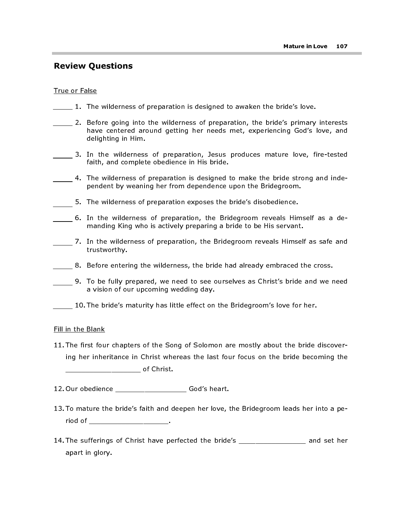## Review Questions

#### True or False

- 1. The wilderness of preparation is designed to awaken the bride's love.
- 2. Before going into the wilderness of preparation, the bride's primary interests have centered around getting her needs met, experiencing God's love, and delighting in Him.
- 13. In the wilderness of preparation, Jesus produces mature love, fire-tested faith, and complete obedience in His bride.
- 4. The wilderness of preparation is designed to make the bride strong and independent by weaning her from dependence upon the Bridegroom.
- 5. The wilderness of preparation exposes the bride's disobedience.
- 6. In the wilderness of preparation, the Bridegroom reveals Himself as a demanding King who is actively preparing a bride to be His servant.
- 7. In the wilderness of preparation, the Bridegroom reveals Himself as safe and trustworthy.
- 8. Before entering the wilderness, the bride had already embraced the cross.
- 9. To be fully prepared, we need to see ourselves as Christ's bride and we need a vision of our upcoming wedding day.
- 10. The bride's maturity has little effect on the Bridegroom's love for her.

#### Fill in the Blank

- 11. The first four chapters of the Song of Solomon are mostly about the bride discovering her inheritance in Christ whereas the last four focus on the bride becoming the  $\overline{\phantom{a}}$  of Christ.
- 12. Our obedience \_\_\_\_\_\_\_\_\_\_\_\_\_\_\_\_\_ God's heart.
- 13. To mature the bride's faith and deepen her love, the Bridegroom leads her into a pe- $\Box$  riod of  $\Box$  .
- 14. The sufferings of Christ have perfected the bride's \_\_\_\_\_\_\_\_\_\_\_\_\_\_\_\_ and set her apart in glory.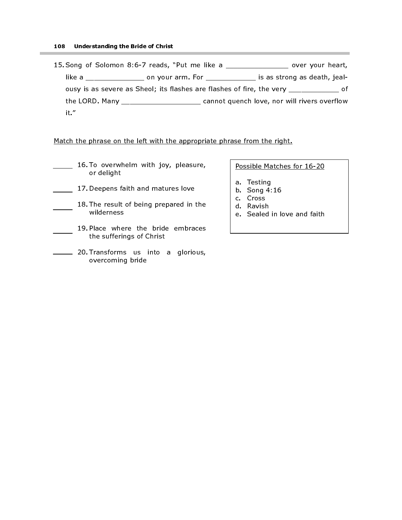15. Song of Solomon 8:6-7 reads, "Put me like a \_\_\_\_\_\_\_\_\_\_\_\_\_\_\_\_ over your heart, like a  $\frac{1}{2}$  and your arm. For  $\frac{1}{2}$  is as strong as death, jealousy is as severe as Sheol; its flashes are flashes of fire, the very \_\_\_\_\_\_\_\_\_\_\_\_\_ of the LORD. Many \_\_\_\_\_\_\_\_\_\_\_\_\_\_\_\_\_\_\_ cannot quench love, nor will rivers overflow it."

Match the phrase on the left with the appropriate phrase from the right.

- 16. To overwhelm with joy, pleasure, or delight
- 17. Deepens faith and matures love
- 18. The result of being prepared in the wilderness
- 19. Place where the bride embraces the sufferings of Christ
- **20. Transforms** us into a glorious, overcoming bride

Possible Matches for 16-20

- a. Testing
- b. Song 4:16
- c. Cross
- d. Ravish
- e. Sealed in love and faith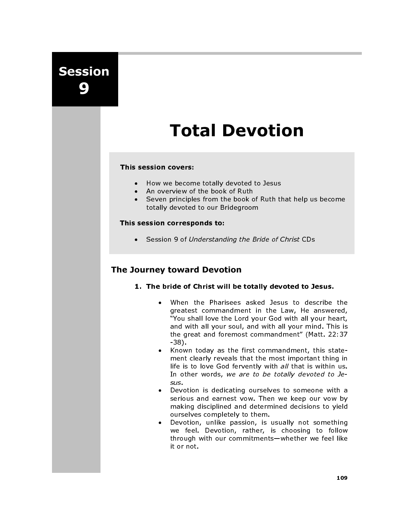Session 9

# Total Devotion

#### This session covers:

- How we become totally devoted to Jesus
- An overview of the book of Ruth
- Seven principles from the book of Ruth that help us become totally devoted to our Bridegroom

#### This session corresponds to:

• Session 9 of Understanding the Bride of Christ CDs

## The Journey toward Devotion

- 1. The bride of Christ will be totally devoted to Jesus.
	- When the Pharisees asked Jesus to describe the greatest commandment in the Law, He answered, "You shall love the Lord your God with all your heart, and with all your soul, and with all your mind. This is the great and foremost commandment" (Matt. 22:37 -38).
	- Known today as the first commandment, this statement clearly reveals that the most important thing in life is to love God fervently with all that is within us. In other words, we are to be totally devoted to Jesus.
	- Devotion is dedicating ourselves to someone with a serious and earnest vow. Then we keep our vow by making disciplined and determined decisions to yield ourselves completely to them.
	- Devotion, unlike passion, is usually not something we feel. Devotion, rather, is choosing to follow through with our commitments—whether we feel like it or not.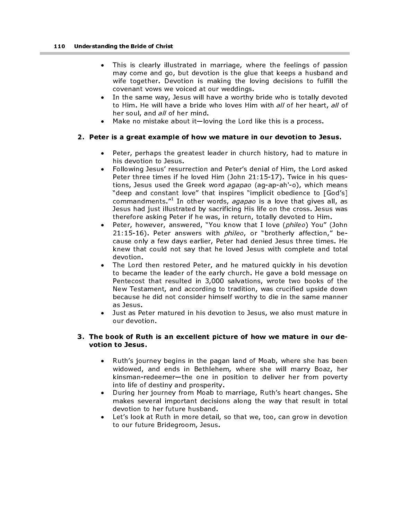- This is clearly illustrated in marriage, where the feelings of passion may come and go, but devotion is the glue that keeps a husband and wife together. Devotion is making the loving decisions to fulfill the covenant vows we voiced at our weddings.
- In the same way, Jesus will have a worthy bride who is totally devoted to Him. He will have a bride who loves Him with all of her heart, all of her soul, and all of her mind.
- Make no mistake about it—loving the Lord like this is a process.

#### 2. Peter is a great example of how we mature in our devotion to Jesus.

- Peter, perhaps the greatest leader in church history, had to mature in his devotion to Jesus.
- Following Jesus' resurrection and Peter's denial of Him, the Lord asked Peter three times if he loved Him (John 21:15-17). Twice in his questions, Jesus used the Greek word *agapao* (ag-ap-ah'-o), which means "deep and constant love" that inspires "implicit obedience to [God's] commandments."<sup>1</sup> In other words, agapao is a love that gives all, as Jesus had just illustrated by sacrificing His life on the cross. Jesus was therefore asking Peter if he was, in return, totally devoted to Him.
- Peter, however, answered, "You know that I love (phileo) You" (John 21:15-16). Peter answers with *phileo*, or "brotherly affection," because only a few days earlier, Peter had denied Jesus three times. He knew that could not say that he loved Jesus with complete and total devotion.
- The Lord then restored Peter, and he matured quickly in his devotion to became the leader of the early church. He gave a bold message on Pentecost that resulted in 3,000 salvations, wrote two books of the New Testament, and according to tradition, was crucified upside down because he did not consider himself worthy to die in the same manner as Jesus.
- Just as Peter matured in his devotion to Jesus, we also must mature in our devotion.

#### 3. The book of Ruth is an excellent picture of how we mature in our devotion to Jesus.

- Ruth's journey begins in the pagan land of Moab, where she has been widowed, and ends in Bethlehem, where she will marry Boaz, her kinsman-redeemer—the one in position to deliver her from poverty into life of destiny and prosperity.
- During her journey from Moab to marriage, Ruth's heart changes. She makes several important decisions along the way that result in total devotion to her future husband.
- Let's look at Ruth in more detail, so that we, too, can grow in devotion to our future Bridegroom, Jesus.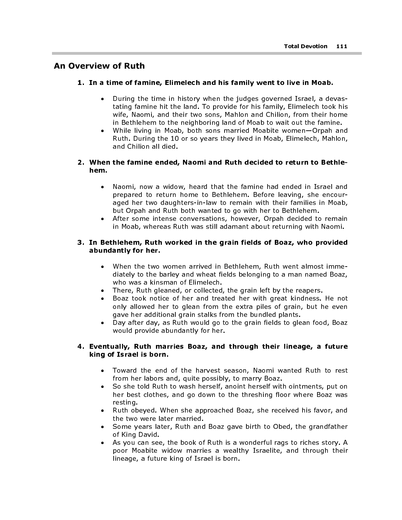## An Overview of Ruth

#### 1. In a time of famine, Elimelech and his family went to live in Moab.

- During the time in history when the judges governed Israel, a devastating famine hit the land. To provide for his family, Elimelech took his wife, Naomi, and their two sons, Mahlon and Chilion, from their home in Bethlehem to the neighboring land of Moab to wait out the famine.
- While living in Moab, both sons married Moabite women—Orpah and Ruth. During the 10 or so years they lived in Moab, Elimelech, Mahlon, and Chilion all died.

#### 2. When the famine ended, Naomi and Ruth decided to return to Bethlehem.

- Naomi, now a widow, heard that the famine had ended in Israel and prepared to return home to Bethlehem. Before leaving, she encouraged her two daughters-in-law to remain with their families in Moab, but Orpah and Ruth both wanted to go with her to Bethlehem.
- After some intense conversations, however, Orpah decided to remain in Moab, whereas Ruth was still adamant about returning with Naomi.

#### 3. In Bethlehem, Ruth worked in the grain fields of Boaz, who provided abundantly for her.

- When the two women arrived in Bethlehem, Ruth went almost immediately to the barley and wheat fields belonging to a man named Boaz, who was a kinsman of Elimelech.
- There, Ruth gleaned, or collected, the grain left by the reapers.
- Boaz took notice of her and treated her with great kindness. He not only allowed her to glean from the extra piles of grain, but he even gave her additional grain stalks from the bundled plants.
- Day after day, as Ruth would go to the grain fields to glean food, Boaz would provide abundantly for her.

#### 4. Eventually, Ruth marries Boaz, and through their lineage, a future king of Israel is born.

- Toward the end of the harvest season, Naomi wanted Ruth to rest from her labors and, quite possibly, to marry Boaz.
- So she told Ruth to wash herself, anoint herself with ointments, put on her best clothes, and go down to the threshing floor where Boaz was resting.
- Ruth obeyed. When she approached Boaz, she received his favor, and the two were later married.
- Some years later, Ruth and Boaz gave birth to Obed, the grandfather of King David.
- As you can see, the book of Ruth is a wonderful rags to riches story. A poor Moabite widow marries a wealthy Israelite, and through their lineage, a future king of Israel is born.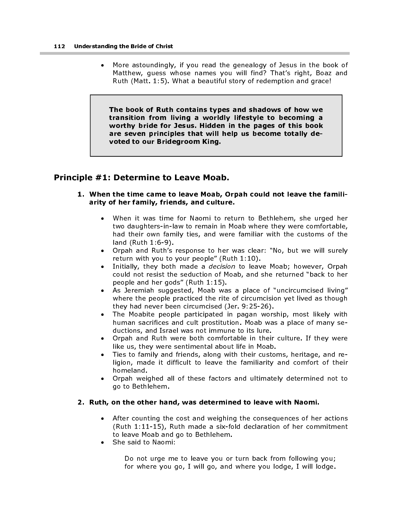• More astoundingly, if you read the genealogy of Jesus in the book of Matthew, guess whose names you will find? That's right, Boaz and Ruth (Matt. 1:5). What a beautiful story of redemption and grace!

The book of Ruth contains types and shadows of how we transition from living a worldly lifestyle to becoming a worthy bride for Jesus. Hidden in the pages of this book are seven principles that will help us become totally devoted to our Bridegroom King.

## Principle #1: Determine to Leave Moab.

- 1. When the time came to leave Moab, Orpah could not leave the familiarity of her family, friends, and culture.
	- When it was time for Naomi to return to Bethlehem, she urged her two daughters-in-law to remain in Moab where they were comfortable, had their own family ties, and were familiar with the customs of the land (Ruth 1:6-9).
	- Orpah and Ruth's response to her was clear: "No, but we will surely return with you to your people" (Ruth 1:10).
	- Initially, they both made a *decision* to leave Moab; however, Orpah could not resist the seduction of Moab, and she returned "back to her people and her gods" (Ruth 1:15).
	- As Jeremiah suggested, Moab was a place of "uncircumcised living" where the people practiced the rite of circumcision yet lived as though they had never been circumcised (Jer. 9:25-26).
	- The Moabite people participated in pagan worship, most likely with human sacrifices and cult prostitution. Moab was a place of many seductions, and Israel was not immune to its lure.
	- Orpah and Ruth were both comfortable in their culture. If they were like us, they were sentimental about life in Moab.
	- Ties to family and friends, along with their customs, heritage, and religion, made it difficult to leave the familiarity and comfort of their homeland.
	- Orpah weighed all of these factors and ultimately determined not to go to Bethlehem.

#### 2. Ruth, on the other hand, was determined to leave with Naomi.

- After counting the cost and weighing the consequences of her actions (Ruth 1:11-15), Ruth made a six-fold declaration of her commitment to leave Moab and go to Bethlehem.
- She said to Naomi:

Do not urge me to leave you or turn back from following you; for where you go, I will go, and where you lodge, I will lodge.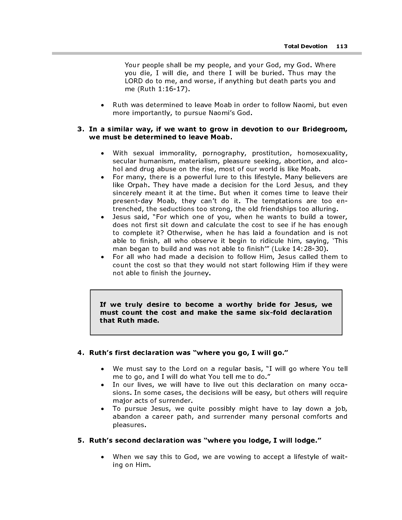Your people shall be my people, and your God, my God. Where you die, I will die, and there I will be buried. Thus may the LORD do to me, and worse, if anything but death parts you and me (Ruth 1:16-17).

• Ruth was determined to leave Moab in order to follow Naomi, but even more importantly, to pursue Naomi's God.

#### 3. In a similar way, if we want to grow in devotion to our Bridegroom, we must be determined to leave Moab.

- With sexual immorality, pornography, prostitution, homosexuality, secular humanism, materialism, pleasure seeking, abortion, and alcohol and drug abuse on the rise, most of our world is like Moab.
- For many, there is a powerful lure to this lifestyle. Many believers are like Orpah. They have made a decision for the Lord Jesus, and they sincerely meant it at the time. But when it comes time to leave their present-day Moab, they can't do it. The temptations are too entrenched, the seductions too strong, the old friendships too alluring. Total Devotion<br>
Your people shall be my people, and your God, my God. Where<br>
you die, I will die, and there I will be buried. Thus may the<br>
LORD do to me, and worse, if anything but death parts you and<br>
me (Ruth 1:16-17).<br>
- Jesus said, "For which one of you, when he wants to build a tower, does not first sit down and calculate the cost to see if he has enough to complete it? Otherwise, when he has laid a foundation and is not able to finish, all who observe it begin to ridicule him, saying, 'This man began to build and was not able to finish'" (Luke 14:28-30).
- For all who had made a decision to follow Him, Jesus called them to count the cost so that they would not start following Him if they were not able to finish the journey.

must count the cost and make the same six-fold declaration that Ruth made.

#### 4. Ruth's first declaration was "where you go, I will go."

- We must say to the Lord on a regular basis, "I will go where You tell me to go, and I will do what You tell me to do."
- In our lives, we will have to live out this declaration on many occasions. In some cases, the decisions will be easy, but others will require major acts of surrender.
- To pursue Jesus, we quite possibly might have to lay down a job, abandon a career path, and surrender many personal comforts and pleasures.

#### 5. Ruth's second declaration was "where you lodge, I will lodge."

• When we say this to God, we are vowing to accept a lifestyle of waiting on Him.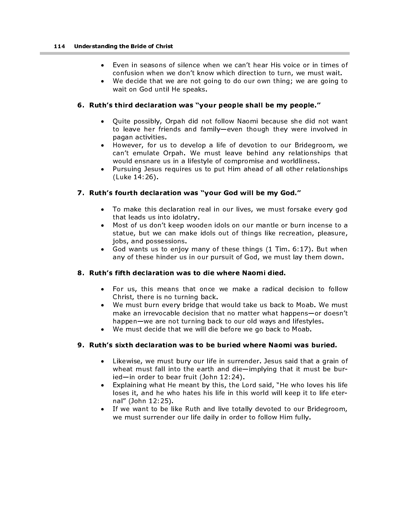- Even in seasons of silence when we can't hear His voice or in times of confusion when we don't know which direction to turn, we must wait.
- We decide that we are not going to do our own thing; we are going to wait on God until He speaks.

#### 6. Ruth's third declaration was "your people shall be my people."

- Quite possibly, Orpah did not follow Naomi because she did not want to leave her friends and family—even though they were involved in pagan activities.
- However, for us to develop a life of devotion to our Bridegroom, we can't emulate Orpah. We must leave behind any relationships that would ensnare us in a lifestyle of compromise and worldliness.
- Pursuing Jesus requires us to put Him ahead of all other relationships (Luke 14:26).

#### 7. Ruth's fourth declaration was "your God will be my God."

- To make this declaration real in our lives, we must forsake every god that leads us into idolatry.
- Most of us don't keep wooden idols on our mantle or burn incense to a statue, but we can make idols out of things like recreation, pleasure, jobs, and possessions.
- God wants us to enjoy many of these things (1 Tim. 6:17). But when any of these hinder us in our pursuit of God, we must lay them down.

#### 8. Ruth's fifth declaration was to die where Naomi died.

- For us, this means that once we make a radical decision to follow Christ, there is no turning back.
- We must burn every bridge that would take us back to Moab. We must make an irrevocable decision that no matter what happens—or doesn't happen—we are not turning back to our old ways and lifestyles.
- We must decide that we will die before we go back to Moab.

## 9. Ruth's sixth declaration was to be buried where Naomi was buried.

- Likewise, we must bury our life in surrender. Jesus said that a grain of wheat must fall into the earth and die—implying that it must be buried—in order to bear fruit (John 12:24).
- Explaining what He meant by this, the Lord said, "He who loves his life loses it, and he who hates his life in this world will keep it to life eternal" (John 12:25).
- If we want to be like Ruth and live totally devoted to our Bridegroom, we must surrender our life daily in order to follow Him fully.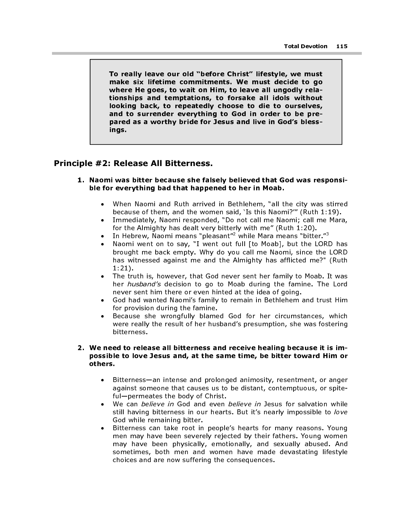To really leave our old "before Christ" lifestyle, we must make six lifetime commitments. We must decide to go where He goes, to wait on Him, to leave all ungodly relationships and temptations, to forsake all idols without looking back, to repeatedly choose to die to ourselves, and to surrender everything to God in order to be prepared as a worthy bride for Jesus and live in God's blessings.

## Principle #2: Release All Bitterness.

- 1. Naomi was bitter because she falsely believed that God was responsible for everything bad that happened to her in Moab.
	- When Naomi and Ruth arrived in Bethlehem, "all the city was stirred because of them, and the women said, 'Is this Naomi?'" (Ruth 1:19).
	- Immediately, Naomi responded, "Do not call me Naomi; call me Mara, for the Almighty has dealt very bitterly with me" (Ruth 1:20).
	- In Hebrew, Naomi means "pleasant"<sup>2</sup> while Mara means "bitter."<sup>3</sup><br>• Naomi went on to say "I went out full Ito Moahl, but the LORE
	- Naomi went on to say, "I went out full [to Moab], but the LORD has brought me back empty. Why do you call me Naomi, since the LORD has witnessed against me and the Almighty has afflicted me?" (Ruth 1:21).
	- The truth is, however, that God never sent her family to Moab. It was her husband's decision to go to Moab during the famine. The Lord never sent him there or even hinted at the idea of going.
	- God had wanted Naomi's family to remain in Bethlehem and trust Him for provision during the famine.
	- Because she wrongfully blamed God for her circumstances, which were really the result of her husband's presumption, she was fostering bitterness.

#### 2. We need to release all bitterness and receive healing because it is impossible to love Jesus and, at the same time, be bitter toward Him or others.

- Bitterness—an intense and prolonged animosity, resentment, or anger against someone that causes us to be distant, contemptuous, or spiteful—permeates the body of Christ.
- We can believe in God and even believe in Jesus for salvation while still having bitterness in our hearts. But it's nearly impossible to love God while remaining bitter.
- Bitterness can take root in people's hearts for many reasons. Young men may have been severely rejected by their fathers. Young women may have been physically, emotionally, and sexually abused. And sometimes, both men and women have made devastating lifestyle choices and are now suffering the consequences.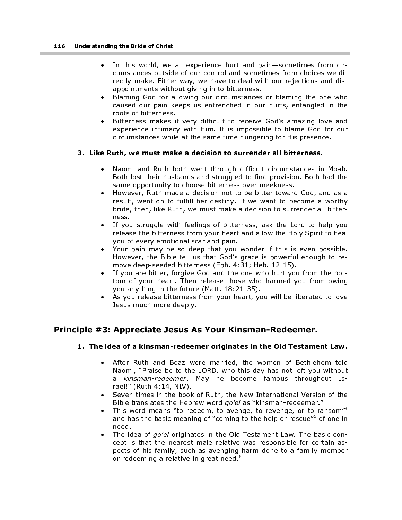- In this world, we all experience hurt and pain-sometimes from circumstances outside of our control and sometimes from choices we directly make. Either way, we have to deal with our rejections and disappointments without giving in to bitterness.
- Blaming God for allowing our circumstances or blaming the one who caused our pain keeps us entrenched in our hurts, entangled in the roots of bitterness.
- Bitterness makes it very difficult to receive God's amazing love and experience intimacy with Him. It is impossible to blame God for our circumstances while at the same time hungering for His presence.

#### 3. Like Ruth, we must make a decision to surrender all bitterness.

- Naomi and Ruth both went through difficult circumstances in Moab. Both lost their husbands and struggled to find provision. Both had the same opportunity to choose bitterness over meekness.
- However, Ruth made a decision not to be bitter toward God, and as a result, went on to fulfill her destiny. If we want to become a worthy bride, then, like Ruth, we must make a decision to surrender all bitterness.
- If you struggle with feelings of bitterness, ask the Lord to help you release the bitterness from your heart and allow the Holy Spirit to heal you of every emotional scar and pain.
- Your pain may be so deep that you wonder if this is even possible. However, the Bible tell us that God's grace is powerful enough to remove deep-seeded bitterness (Eph. 4:31; Heb. 12:15).
- If you are bitter, forgive God and the one who hurt you from the bottom of your heart. Then release those who harmed you from owing you anything in the future (Matt. 18:21-35).
- As you release bitterness from your heart, you will be liberated to love Jesus much more deeply.

## Principle #3: Appreciate Jesus As Your Kinsman-Redeemer.

## 1. The idea of a kinsman-redeemer originates in the Old Testament Law.

- After Ruth and Boaz were married, the women of Bethlehem told Naomi, "Praise be to the LORD, who this day has not left you without a kinsman-redeemer. May he become famous throughout Israel!" (Ruth 4:14, NIV).
- Seven times in the book of Ruth, the New International Version of the Bible translates the Hebrew word go'el as "kinsman-redeemer."
- This word means "to redeem, to avenge, to revenge, or to ransom"<sup>4</sup> and has the basic meaning of "coming to the help or rescue"<sup>5</sup> of one in need.
- The idea of  $qo'e$  originates in the Old Testament Law. The basic concept is that the nearest male relative was responsible for certain aspects of his family, such as avenging harm done to a family member or redeeming a relative in great need.<sup>6</sup>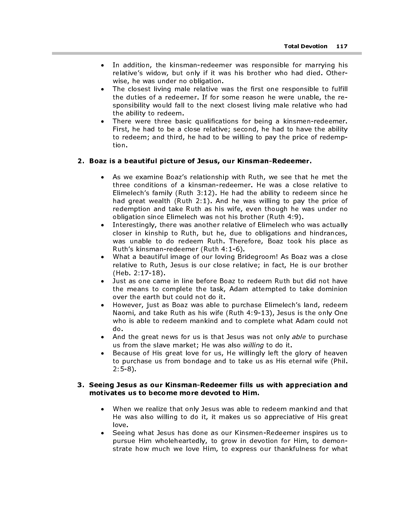- In addition, the kinsman-redeemer was responsible for marrying his relative's widow, but only if it was his brother who had died. Otherwise, he was under no obligation.
- The closest living male relative was the first one responsible to fulfill the duties of a redeemer. If for some reason he were unable, the responsibility would fall to the next closest living male relative who had the ability to redeem.
- There were three basic qualifications for being a kinsmen-redeemer. First, he had to be a close relative; second, he had to have the ability to redeem; and third, he had to be willing to pay the price of redemption.

#### 2. Boaz is a beautiful picture of Jesus, our Kinsman-Redeemer.

- As we examine Boaz's relationship with Ruth, we see that he met the three conditions of a kinsman-redeemer. He was a close relative to Elimelech's family (Ruth 3:12). He had the ability to redeem since he had great wealth (Ruth 2:1). And he was willing to pay the price of redemption and take Ruth as his wife, even though he was under no obligation since Elimelech was not his brother (Ruth 4:9).
- Interestingly, there was another relative of Elimelech who was actually closer in kinship to Ruth, but he, due to obligations and hindrances, was unable to do redeem Ruth. Therefore, Boaz took his place as Ruth's kinsman-redeemer (Ruth 4:1-6).
- What a beautiful image of our loving Bridegroom! As Boaz was a close relative to Ruth, Jesus is our close relative; in fact, He is our brother (Heb. 2:17-18).
- Just as one came in line before Boaz to redeem Ruth but did not have the means to complete the task, Adam attempted to take dominion over the earth but could not do it.
- However, just as Boaz was able to purchase Elimelech's land, redeem Naomi, and take Ruth as his wife (Ruth 4:9-13), Jesus is the only One who is able to redeem mankind and to complete what Adam could not do.
- And the great news for us is that Jesus was not only able to purchase us from the slave market; He was also willing to do it.
- Because of His great love for us, He willingly left the glory of heaven to purchase us from bondage and to take us as His eternal wife (Phil. 2:5-8).

#### 3. Seeing Jesus as our Kinsman-Redeemer fills us with appreciation and motivates us to become more devoted to Him.

- When we realize that only Jesus was able to redeem mankind and that He was also willing to do it, it makes us so appreciative of His great love.
- Seeing what Jesus has done as our Kinsmen-Redeemer inspires us to pursue Him wholeheartedly, to grow in devotion for Him, to demonstrate how much we love Him, to express our thankfulness for what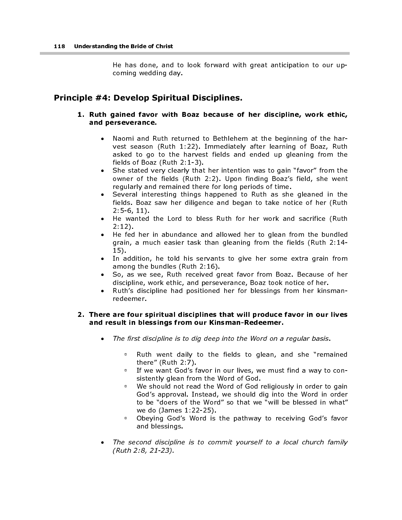He has done, and to look forward with great anticipation to our upcoming wedding day.

## Principle #4: Develop Spiritual Disciplines.

#### 1. Ruth gained favor with Boaz because of her discipline, work ethic, and perseverance.

- Naomi and Ruth returned to Bethlehem at the beginning of the harvest season (Ruth 1:22). Immediately after learning of Boaz, Ruth asked to go to the harvest fields and ended up gleaning from the fields of Boaz (Ruth 2:1-3).
- She stated very clearly that her intention was to gain "favor" from the owner of the fields (Ruth 2:2). Upon finding Boaz's field, she went regularly and remained there for long periods of time.
- Several interesting things happened to Ruth as she gleaned in the fields. Boaz saw her diligence and began to take notice of her (Ruth 2:5-6, 11).
- He wanted the Lord to bless Ruth for her work and sacrifice (Ruth 2:12).
- He fed her in abundance and allowed her to glean from the bundled grain, a much easier task than gleaning from the fields (Ruth 2:14- 15).
- In addition, he told his servants to give her some extra grain from among the bundles (Ruth 2:16).
- So, as we see, Ruth received great favor from Boaz. Because of her discipline, work ethic, and perseverance, Boaz took notice of her.
- Ruth's discipline had positioned her for blessings from her kinsmanredeemer.

#### 2. There are four spiritual disciplines that will produce favor in our lives and result in blessings from our Kinsman-Redeemer.

- The first discipline is to dig deep into the Word on a regular basis.
	- Ruth went daily to the fields to glean, and she "remained there" (Ruth 2:7).
	- <sup>o</sup> If we want God's favor in our lives, we must find a way to consistently glean from the Word of God.
	- We should not read the Word of God religiously in order to gain God's approval. Instead, we should dig into the Word in order to be "doers of the Word" so that we "will be blessed in what" we do (James 1:22-25).
	- **Deying God's Word is the pathway to receiving God's favor** and blessings.
- The second discipline is to commit yourself to a local church family (Ruth 2:8, 21-23).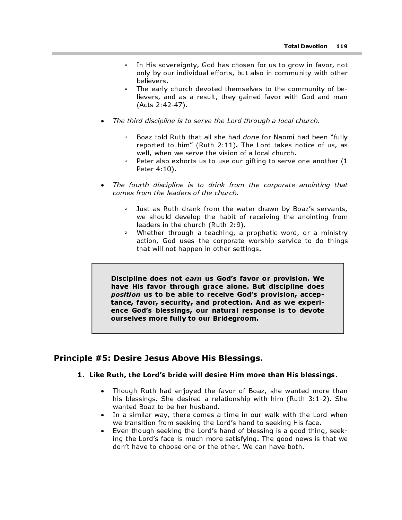- In His sovereignty, God has chosen for us to grow in favor, not only by our individual efforts, but also in community with other believers.
- The early church devoted themselves to the community of believers, and as a result, they gained favor with God and man (Acts 2:42-47).
- The third discipline is to serve the Lord through a local church.
	- **Boaz told Ruth that all she had** *done* **for Naomi had been "fully** reported to him" (Ruth 2:11). The Lord takes notice of us, as well, when we serve the vision of a local church.
	- Peter also exhorts us to use our gifting to serve one another (1 Peter 4:10).
- The fourth discipline is to drink from the corporate anointing that comes from the leaders of the church.
	- **Just as Ruth drank from the water drawn by Boaz's servants,** we should develop the habit of receiving the anointing from leaders in the church (Ruth 2:9).
	- Whether through a teaching, a prophetic word, or a ministry action, God uses the corporate worship service to do things that will not happen in other settings.

Discipline does not earn us God's favor or provision. We have His favor through grace alone. But discipline does position us to be able to receive God's provision, acceptance, favor, security, and protection. And as we experience God's blessings, our natural response is to devote ourselves more fully to our Bridegroom.

## Principle #5: Desire Jesus Above His Blessings.

#### 1. Like Ruth, the Lord's bride will desire Him more than His blessings.

- Though Ruth had enjoyed the favor of Boaz, she wanted more than his blessings. She desired a relationship with him (Ruth 3:1-2). She wanted Boaz to be her husband.
- In a similar way, there comes a time in our walk with the Lord when we transition from seeking the Lord's hand to seeking His face.
- Even though seeking the Lord's hand of blessing is a good thing, seeking the Lord's face is much more satisfying. The good news is that we don't have to choose one or the other. We can have both.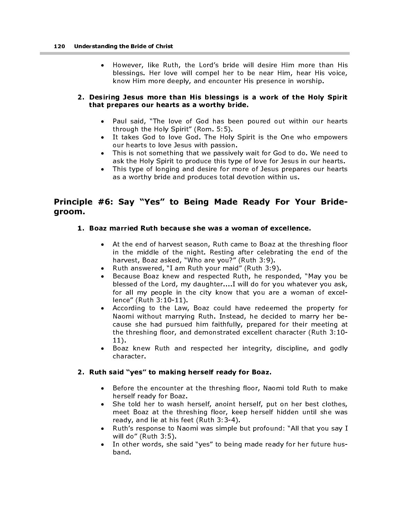• However, like Ruth, the Lord's bride will desire Him more than His blessings. Her love will compel her to be near Him, hear His voice, know Him more deeply, and encounter His presence in worship.

#### 2. Desiring Jesus more than His blessings is a work of the Holy Spirit that prepares our hearts as a worthy bride.

- Paul said, "The love of God has been poured out within our hearts through the Holy Spirit" (Rom. 5:5).
- It takes God to love God. The Holy Spirit is the One who empowers our hearts to love Jesus with passion.
- This is not something that we passively wait for God to do. We need to ask the Holy Spirit to produce this type of love for Jesus in our hearts.
- This type of longing and desire for more of Jesus prepares our hearts as a worthy bride and produces total devotion within us.

## Principle #6: Say "Yes" to Being Made Ready For Your Bridegroom.

- 1. Boaz married Ruth because she was a woman of excellence.
	- At the end of harvest season, Ruth came to Boaz at the threshing floor in the middle of the night. Resting after celebrating the end of the harvest, Boaz asked, "Who are you?" (Ruth 3:9).
	- Ruth answered, "I am Ruth your maid" (Ruth 3:9).
	- Because Boaz knew and respected Ruth, he responded, "May you be blessed of the Lord, my daughter....I will do for you whatever you ask, for all my people in the city know that you are a woman of excellence" (Ruth 3:10-11).
	- According to the Law, Boaz could have redeemed the property for Naomi without marrying Ruth. Instead, he decided to marry her because she had pursued him faithfully, prepared for their meeting at the threshing floor, and demonstrated excellent character (Ruth 3:10- 11).
	- Boaz knew Ruth and respected her integrity, discipline, and godly character.

#### 2. Ruth said "yes" to making herself ready for Boaz.

- Before the encounter at the threshing floor, Naomi told Ruth to make herself ready for Boaz.
- She told her to wash herself, anoint herself, put on her best clothes, meet Boaz at the threshing floor, keep herself hidden until she was ready, and lie at his feet (Ruth 3:3-4).
- Ruth's response to Naomi was simple but profound: "All that you say I will do" (Ruth 3:5).
- In other words, she said "yes" to being made ready for her future husband.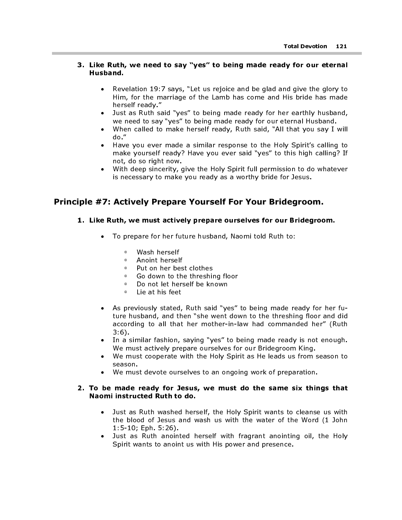#### 3. Like Ruth, we need to say "yes" to being made ready for our eternal Husband.

- Revelation 19:7 says, "Let us rejoice and be glad and give the glory to Him, for the marriage of the Lamb has come and His bride has made herself ready."
- Just as Ruth said "yes" to being made ready for her earthly husband, we need to say "yes" to being made ready for our eternal Husband.
- When called to make herself ready, Ruth said, "All that you say I will do."
- Have you ever made a similar response to the Holy Spirit's calling to make yourself ready? Have you ever said "yes" to this high calling? If not, do so right now.
- With deep sincerity, give the Holy Spirit full permission to do whatever is necessary to make you ready as a worthy bride for Jesus.

## Principle #7: Actively Prepare Yourself For Your Bridegroom.

#### 1. Like Ruth, we must actively prepare ourselves for our Bridegroom.

- To prepare for her future husband, Naomi told Ruth to:
	- □ Wash herself<br>□ Anoint berself
	- **Provint herself**<br>Put on her hes
	- **Put on her best clothes**
	- □ Go down to the threshing floor<br>□ Do not let herself he known
	- **Do not let herself be known**<br>a lie at his feet
	- Lie at his feet
- As previously stated, Ruth said "yes" to being made ready for her future husband, and then "she went down to the threshing floor and did according to all that her mother-in-law had commanded her" (Ruth 3:6).
- In a similar fashion, saying "yes" to being made ready is not enough. We must actively prepare ourselves for our Bridegroom King.
- We must cooperate with the Holy Spirit as He leads us from season to season.
- We must devote ourselves to an ongoing work of preparation.

#### 2. To be made ready for Jesus, we must do the same six things that Naomi instructed Ruth to do.

- Just as Ruth washed herself, the Holy Spirit wants to cleanse us with the blood of Jesus and wash us with the water of the Word (1 John 1:5-10; Eph. 5:26).
- Just as Ruth anointed herself with fragrant anointing oil, the Holy Spirit wants to anoint us with His power and presence.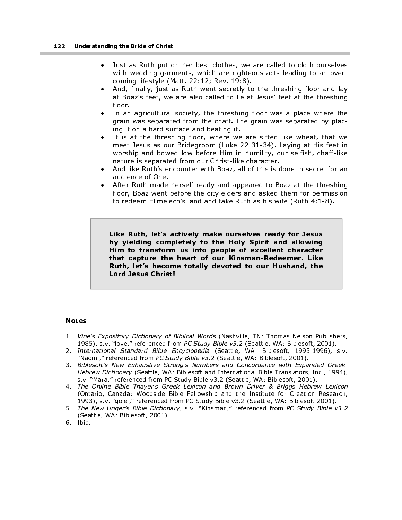- Just as Ruth put on her best clothes, we are called to cloth ourselves with wedding garments, which are righteous acts leading to an overcoming lifestyle (Matt. 22:12; Rev. 19:8).
- And, finally, just as Ruth went secretly to the threshing floor and lay at Boaz's feet, we are also called to lie at Jesus' feet at the threshing floor.
- In an agricultural society, the threshing floor was a place where the grain was separated from the chaff. The grain was separated by placing it on a hard surface and beating it.
- It is at the threshing floor, where we are sifted like wheat, that we meet Jesus as our Bridegroom (Luke 22:31-34). Laying at His feet in worship and bowed low before Him in humility, our selfish, chaff-like nature is separated from our Christ-like character.
- And like Ruth's encounter with Boaz, all of this is done in secret for an audience of One.
- After Ruth made herself ready and appeared to Boaz at the threshing floor, Boaz went before the city elders and asked them for permission to redeem Elimelech's land and take Ruth as his wife (Ruth 4:1-8).

Like Ruth, let's actively make ourselves ready for Jesus by yielding completely to the Holy Spirit and allowing Him to transform us into people of excellent character that capture the heart of our Kinsman-Redeemer. Like Ruth, let's become totally devoted to our Husband, the Lord Jesus Christ!

#### Notes

- 1. Vine's Expository Dictionary of Biblical Words (Nashville, TN: Thomas Nelson Publishers, 1985), s.v. "love," referenced from PC Study Bible v3.2 (Seattle, WA: Biblesoft, 2001).
- 2. International Standard Bible Encyclopedia (Seattle, WA: Biblesoft, 1995-1996), s.v. "Naomi," referenced from PC Study Bible v3.2 (Seattle, WA: Biblesoft, 2001).
- 3. Biblesoft's New Exhaustive Strong's Numbers and Concordance with Expanded Greek-Hebrew Dictionary (Seattle, WA: Biblesoft and International Bible Translators, Inc., 1994), s.v. "Mara," referenced from PC Study Bible v3.2 (Seattle, WA: Biblesoft, 2001).
- 4. The Online Bible Thayer's Greek Lexicon and Brown Driver & Briggs Hebrew Lexicon (Ontario, Canada: Woodside Bible Fellowship and the Institute for Creation Research, 1993), s.v. "go'el," referenced from PC Study Bible v3.2 (Seattle, WA: Biblesoft 2001).
- 5. The New Unger's Bible Dictionary, s.v. "Kinsman," referenced from PC Study Bible v3.2 (Seattle, WA: Biblesoft, 2001).
- 6. Ibid.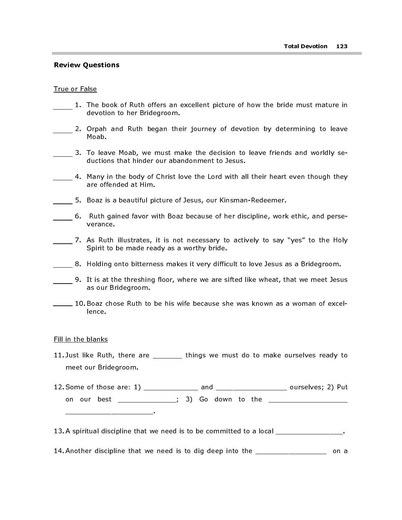#### Review Questions

#### True or False

- 1. The book of Ruth offers an excellent picture of how the bride must mature in devotion to her Bridegroom.
- 2. Orpah and Ruth began their journey of devotion by determining to leave Moab.
- 3. To leave Moab, we must make the decision to leave friends and worldly seductions that hinder our abandonment to Jesus.
- 4. Many in the body of Christ love the Lord with all their heart even though they are offended at Him.
- 5. Boaz is a beautiful picture of Jesus, our Kinsman-Redeemer.
- 6. Ruth gained favor with Boaz because of her discipline, work ethic, and perseverance.
- 7. As Ruth illustrates, it is not necessary to actively to say "yes" to the Holy Spirit to be made ready as a worthy bride.
- 8. Holding onto bitterness makes it very difficult to love Jesus as a Bridegroom.
- 9. It is at the threshing floor, where we are sifted like wheat, that we meet Jesus as our Bridegroom.
- 10. Boaz chose Ruth to be his wife because she was known as a woman of excellence.

#### Fill in the blanks

- 11. Just like Ruth, there are \_\_\_\_\_\_\_ things we must do to make ourselves ready to meet our Bridegroom.
- 12. Some of those are: 1) \_\_\_\_\_\_\_\_\_\_\_\_\_ and \_\_\_\_\_\_\_\_\_\_\_\_\_\_\_\_\_ ourselves; 2) Put on our best \_\_\_\_\_\_\_\_\_\_\_\_\_\_; 3) Go down to the \_\_\_\_\_\_\_\_\_\_\_\_\_\_\_\_\_\_\_\_\_ \_\_\_\_\_\_\_\_\_\_\_\_\_\_\_\_\_\_\_\_\_.
- 13. A spiritual discipline that we need is to be committed to a local \_\_\_\_\_\_\_\_\_\_\_\_\_\_\_\_.
- 14. Another discipline that we need is to dig deep into the \_\_\_\_\_\_\_\_\_\_\_\_\_\_\_\_\_\_\_\_\_ on a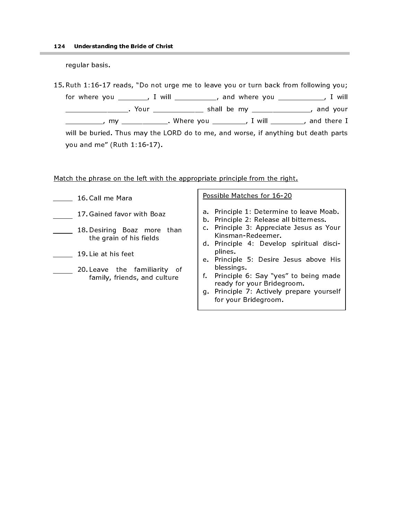regular basis.

15. Ruth 1:16-17 reads, "Do not urge me to leave you or turn back from following you; for where you  $\frac{1}{\frac{1}{2} + \frac{1}{2}}$ , I will  $\frac{1}{2}$ , and where you  $\frac{1}{2}$ ,  $\frac{1}{2}$  will \_\_\_\_\_\_\_\_\_\_\_\_\_\_\_. Your \_\_\_\_\_\_\_\_\_\_\_\_ shall be my \_\_\_\_\_\_\_\_\_\_\_\_\_\_, and your \_\_\_\_\_\_\_\_\_, my \_\_\_\_\_\_\_\_\_\_\_. Where you \_\_\_\_\_\_\_\_\_, I will \_\_\_\_\_\_\_\_, and there I will be buried. Thus may the LORD do to me, and worse, if anything but death parts you and me" (Ruth 1:16-17).

#### Match the phrase on the left with the appropriate principle from the right.

| 16. Call me Mara                                            |
|-------------------------------------------------------------|
| 17 Gained favor with Boaz                                   |
| 18 Desiring Boaz more than<br>the grain of his fields       |
| 19 Lie at his feet                                          |
| 20 Leave the familiarity of<br>family, friends, and culture |

Possible Matches for 16-20

- a. Principle 1: Determine to leave Moab.
- b. Principle 2: Release all bitterness.
- c. Principle 3: Appreciate Jesus as Your Kinsman-Redeemer.
- d. Principle 4: Develop spiritual disciplines.
- e. Principle 5: Desire Jesus above His blessings.
- f. Principle 6: Say "yes" to being made ready for your Bridegroom.
- g. Principle 7: Actively prepare yourself for your Bridegroom.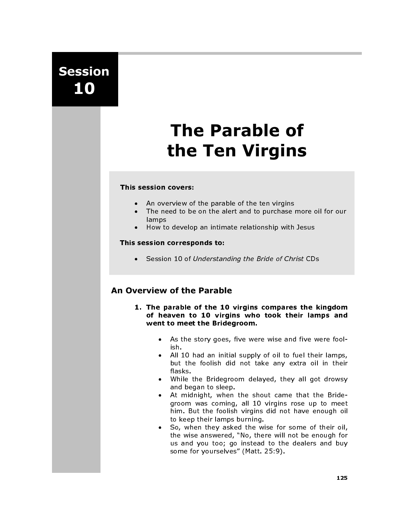## Session 10

# The Parable of the Ten Virgins

#### This session covers:

- An overview of the parable of the ten virgins
- The need to be on the alert and to purchase more oil for our lamps
- How to develop an intimate relationship with Jesus

#### This session corresponds to:

• Session 10 of Understanding the Bride of Christ CDs

## An Overview of the Parable

- 1. The parable of the 10 virgins compares the kingdom of heaven to 10 virgins who took their lamps and went to meet the Bridegroom.
	- As the story goes, five were wise and five were foolish.
	- All 10 had an initial supply of oil to fuel their lamps, but the foolish did not take any extra oil in their flasks.
	- While the Bridegroom delayed, they all got drowsy and began to sleep.
	- At midnight, when the shout came that the Bridegroom was coming, all 10 virgins rose up to meet him. But the foolish virgins did not have enough oil to keep their lamps burning.
	- So, when they asked the wise for some of their oil, the wise answered, "No, there will not be enough for us and you too; go instead to the dealers and buy some for yourselves" (Matt. 25:9).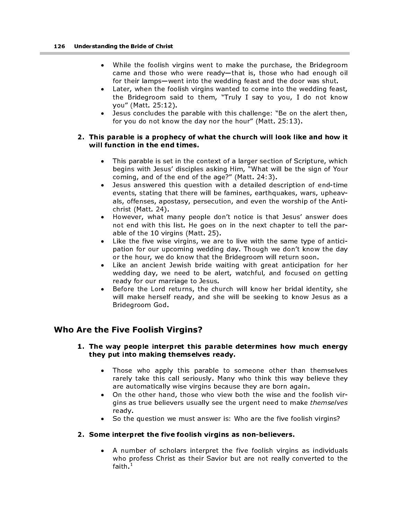- While the foolish virgins went to make the purchase, the Bridegroom came and those who were ready—that is, those who had enough oil for their lamps—went into the wedding feast and the door was shut.
- Later, when the foolish virgins wanted to come into the wedding feast, the Bridegroom said to them, "Truly I say to you, I do not know you" (Matt. 25:12).
- Jesus concludes the parable with this challenge: "Be on the alert then, for you do not know the day nor the hour" (Matt. 25:13).

#### 2. This parable is a prophecy of what the church will look like and how it will function in the end times.

- This parable is set in the context of a larger section of Scripture, which begins with Jesus' disciples asking Him, "What will be the sign of Your coming, and of the end of the age?" (Matt. 24:3).
- Jesus answered this question with a detailed description of end-time events, stating that there will be famines, earthquakes, wars, upheavals, offenses, apostasy, persecution, and even the worship of the Antichrist (Matt. 24).
- However, what many people don't notice is that Jesus' answer does not end with this list. He goes on in the next chapter to tell the parable of the 10 virgins (Matt. 25).
- Like the five wise virgins, we are to live with the same type of anticipation for our upcoming wedding day. Though we don't know the day or the hour, we do know that the Bridegroom will return soon.
- Like an ancient Jewish bride waiting with great anticipation for her wedding day, we need to be alert, watchful, and focused on getting ready for our marriage to Jesus.
- Before the Lord returns, the church will know her bridal identity, she will make herself ready, and she will be seeking to know Jesus as a Bridegroom God.

## Who Are the Five Foolish Virgins?

#### 1. The way people interpret this parable determines how much energy they put into making themselves ready.

- Those who apply this parable to someone other than themselves rarely take this call seriously. Many who think this way believe they are automatically wise virgins because they are born again.
- On the other hand, those who view both the wise and the foolish virgins as true believers usually see the urgent need to make themselves ready.
- So the question we must answer is: Who are the five foolish virgins?

#### 2. Some interpret the five foolish virgins as non-believers.

• A number of scholars interpret the five foolish virgins as individuals who profess Christ as their Savior but are not really converted to the faith. $1$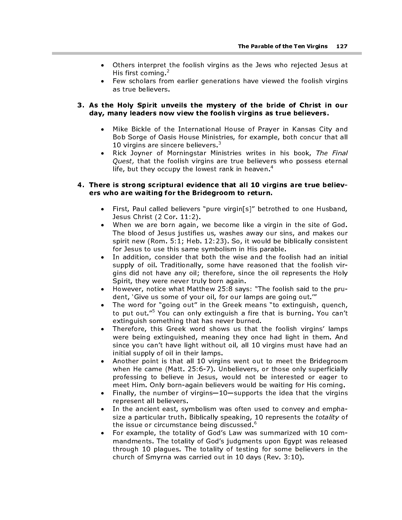- Others interpret the foolish virgins as the Jews who rejected Jesus at His first coming  $^2$
- Few scholars from earlier generations have viewed the foolish virgins as true believers.

#### 3. As the Holy Spirit unveils the mystery of the bride of Christ in our day, many leaders now view the foolish virgins as true believers.

- Mike Bickle of the International House of Prayer in Kansas City and Bob Sorge of Oasis House Ministries, for example, both concur that all 10 virgins are sincere believers. $3$
- Rick Joyner of Morningstar Ministries writes in his book, The Final Quest, that the foolish virgins are true believers who possess eternal life, but they occupy the lowest rank in heaven. $4$

#### 4. There is strong scriptural evidence that all 10 virgins are true believers who are waiting for the Bridegroom to return.

- First, Paul called believers "pure virgin[s]" betrothed to one Husband, Jesus Christ (2 Cor. 11:2).
- When we are born again, we become like a virgin in the site of God. The blood of Jesus justifies us, washes away our sins, and makes our spirit new (Rom. 5:1; Heb. 12:23). So, it would be biblically consistent for Jesus to use this same symbolism in His parable.
- In addition, consider that both the wise and the foolish had an initial supply of oil. Traditionally, some have reasoned that the foolish virgins did not have any oil; therefore, since the oil represents the Holy Spirit, they were never truly born again.
- However, notice what Matthew 25:8 says: "The foolish said to the prudent, 'Give us some of your oil, for our lamps are going out.'"
- The word for "going out" in the Greek means "to extinguish, quench, to put out."5 You can only extinguish a fire that is burning. You can't extinguish something that has never burned.
- Therefore, this Greek word shows us that the foolish virgins' lamps were being extinguished, meaning they once had light in them. And since you can't have light without oil, all 10 virgins must have had an initial supply of oil in their lamps.
- Another point is that all 10 virgins went out to meet the Bridegroom when He came (Matt. 25:6-7). Unbelievers, or those only superficially professing to believe in Jesus, would not be interested or eager to meet Him. Only born-again believers would be waiting for His coming.
- Finally, the number of virgins—10—supports the idea that the virgins represent all believers.
- In the ancient east, symbolism was often used to convey and emphasize a particular truth. Biblically speaking, 10 represents the totality of the issue or circumstance being discussed.<sup>6</sup>
- For example, the totality of God's Law was summarized with 10 commandments. The totality of God's judgments upon Egypt was released through 10 plagues. The totality of testing for some believers in the church of Smyrna was carried out in 10 days (Rev. 3:10).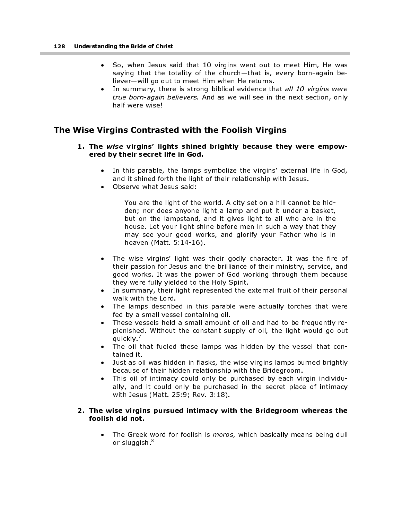- So, when Jesus said that 10 virgins went out to meet Him, He was saying that the totality of the church—that is, every born-again believer—will go out to meet Him when He returns.
- In summary, there is strong biblical evidence that all 10 virgins were true born-again believers. And as we will see in the next section, only half were wise!

## The Wise Virgins Contrasted with the Foolish Virgins

- 1. The wise virgins' lights shined brightly because they were empowered by their secret life in God.
	- In this parable, the lamps symbolize the virgins' external life in God, and it shined forth the light of their relationship with Jesus.
	- Observe what Jesus said:

You are the light of the world. A city set on a hill cannot be hidden; nor does anyone light a lamp and put it under a basket, but on the lampstand, and it gives light to all who are in the house. Let your light shine before men in such a way that they may see your good works, and glorify your Father who is in heaven (Matt. 5:14-16).

- The wise virgins' light was their godly character. It was the fire of their passion for Jesus and the brilliance of their ministry, service, and good works. It was the power of God working through them because they were fully yielded to the Holy Spirit.
- In summary, their light represented the external fruit of their personal walk with the Lord.
- The lamps described in this parable were actually torches that were fed by a small vessel containing oil.
- These vessels held a small amount of oil and had to be frequently replenished. Without the constant supply of oil, the light would go out quickly  $^\prime$
- The oil that fueled these lamps was hidden by the vessel that contained it.
- Just as oil was hidden in flasks, the wise virgins lamps burned brightly because of their hidden relationship with the Bridegroom.
- This oil of intimacy could only be purchased by each virgin individually, and it could only be purchased in the secret place of intimacy with Jesus (Matt. 25:9; Rev. 3:18).

#### 2. The wise virgins pursued intimacy with the Bridegroom whereas the foolish did not.

The Greek word for foolish is *moros*, which basically means being dull or sluggish.<sup>8</sup>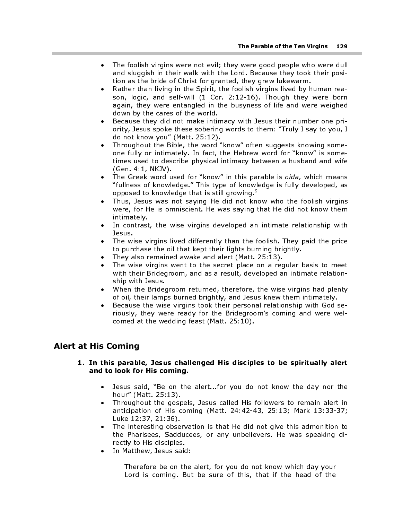- The foolish virgins were not evil; they were good people who were dull and sluggish in their walk with the Lord. Because they took their position as the bride of Christ for granted, they grew lukewarm.
- Rather than living in the Spirit, the foolish virgins lived by human reason, logic, and self-will (1 Cor. 2:12-16). Though they were born again, they were entangled in the busyness of life and were weighed down by the cares of the world.
- Because they did not make intimacy with Jesus their number one priority, Jesus spoke these sobering words to them: "Truly I say to you, I do not know you" (Matt. 25:12).
- Throughout the Bible, the word "know" often suggests knowing someone fully or intimately. In fact, the Hebrew word for "know" is sometimes used to describe physical intimacy between a husband and wife (Gen. 4:1, NKJV).
- The Greek word used for "know" in this parable is oida, which means "fullness of knowledge." This type of knowledge is fully developed, as opposed to knowledge that is still growing.  $9$
- Thus, Jesus was not saying He did not know who the foolish virgins were, for He is omniscient. He was saying that He did not know them intimately.
- In contrast, the wise virgins developed an intimate relationship with Jesus.
- The wise virgins lived differently than the foolish. They paid the price to purchase the oil that kept their lights burning brightly.
- They also remained awake and alert (Matt. 25:13).
- The wise virgins went to the secret place on a regular basis to meet with their Bridegroom, and as a result, developed an intimate relationship with Jesus.
- When the Bridegroom returned, therefore, the wise virgins had plenty of oil, their lamps burned brightly, and Jesus knew them intimately.
- Because the wise virgins took their personal relationship with God seriously, they were ready for the Bridegroom's coming and were welcomed at the wedding feast (Matt. 25:10).

## Alert at His Coming

#### 1. In this parable, Jesus challenged His disciples to be spiritually alert and to look for His coming.

- Jesus said, "Be on the alert...for you do not know the day nor the hour" (Matt. 25:13).
- Throughout the gospels, Jesus called His followers to remain alert in anticipation of His coming (Matt. 24:42-43, 25:13; Mark 13:33-37; Luke 12:37, 21:36).
- The interesting observation is that He did not give this admonition to the Pharisees, Sadducees, or any unbelievers. He was speaking directly to His disciples.
- In Matthew, Jesus said:

Therefore be on the alert, for you do not know which day your Lord is coming. But be sure of this, that if the head of the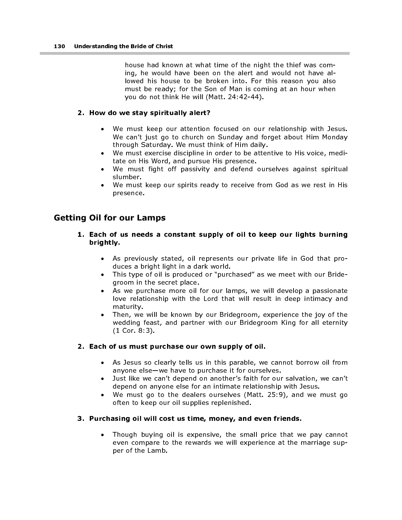house had known at what time of the night the thief was coming, he would have been on the alert and would not have allowed his house to be broken into. For this reason you also must be ready; for the Son of Man is coming at an hour when you do not think He will (Matt. 24:42-44).

#### 2. How do we stay spiritually alert?

- We must keep our attention focused on our relationship with Jesus. We can't just go to church on Sunday and forget about Him Monday through Saturday. We must think of Him daily.
- We must exercise discipline in order to be attentive to His voice, meditate on His Word, and pursue His presence.
- We must fight off passivity and defend ourselves against spiritual slumber.
- We must keep our spirits ready to receive from God as we rest in His presence.

## Getting Oil for our Lamps

- 1. Each of us needs a constant supply of oil to keep our lights burning brightly.
	- As previously stated, oil represents our private life in God that produces a bright light in a dark world.
	- This type of oil is produced or "purchased" as we meet with our Bridegroom in the secret place.
	- As we purchase more oil for our lamps, we will develop a passionate love relationship with the Lord that will result in deep intimacy and maturity.
	- Then, we will be known by our Bridegroom, experience the joy of the wedding feast, and partner with our Bridegroom King for all eternity (1 Cor. 8:3).

#### 2. Each of us must purchase our own supply of oil.

- As Jesus so clearly tells us in this parable, we cannot borrow oil from anyone else—we have to purchase it for ourselves.
- Just like we can't depend on another's faith for our salvation, we can't depend on anyone else for an intimate relationship with Jesus.
- We must go to the dealers ourselves (Matt. 25:9), and we must go often to keep our oil supplies replenished.

#### 3. Purchasing oil will cost us time, money, and even friends.

Though buying oil is expensive, the small price that we pay cannot even compare to the rewards we will experience at the marriage supper of the Lamb.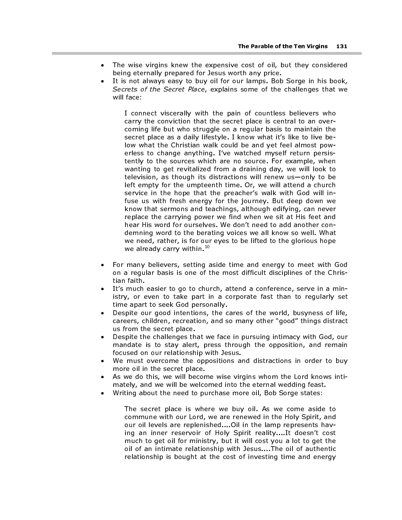- The wise virgins knew the expensive cost of oil, but they considered being eternally prepared for Jesus worth any price.
- It is not always easy to buy oil for our lamps. Bob Sorge in his book, Secrets of the Secret Place, explains some of the challenges that we will face:

I connect viscerally with the pain of countless believers who carry the conviction that the secret place is central to an overcoming life but who struggle on a regular basis to maintain the secret place as a daily lifestyle. I know what it's like to live below what the Christian walk could be and yet feel almost powerless to change anything. I've watched myself return persistently to the sources which are no source. For example, when wanting to get revitalized from a draining day, we will look to television, as though its distractions will renew us—only to be left empty for the umpteenth time. Or, we will attend a church service in the hope that the preacher's walk with God will infuse us with fresh energy for the journey. But deep down we know that sermons and teachings, although edifying, can never replace the carrying power we find when we sit at His feet and hear His word for ourselves. We don't need to add another condemning word to the berating voices we all know so well. What we need, rather, is for our eyes to be lifted to the glorious hope we already carry within. $10$ 

- For many believers, setting aside time and energy to meet with God on a regular basis is one of the most difficult disciplines of the Christian faith.
- It's much easier to go to church, attend a conference, serve in a ministry, or even to take part in a corporate fast than to regularly set time apart to seek God personally.
- Despite our good intentions, the cares of the world, busyness of life, careers, children, recreation, and so many other "good" things distract us from the secret place.
- Despite the challenges that we face in pursuing intimacy with God, our mandate is to stay alert, press through the opposition, and remain focused on our relationship with Jesus.
- We must overcome the oppositions and distractions in order to buy more oil in the secret place.
- As we do this, we will become wise virgins whom the Lord knows intimately, and we will be welcomed into the eternal wedding feast.
- Writing about the need to purchase more oil, Bob Sorge states:

The secret place is where we buy oil. As we come aside to commune with our Lord, we are renewed in the Holy Spirit, and our oil levels are replenished....Oil in the lamp represents having an inner reservoir of Holy Spirit reality....It doesn't cost much to get oil for ministry, but it will cost you a lot to get the oil of an intimate relationship with Jesus....The oil of authentic relationship is bought at the cost of investing time and energy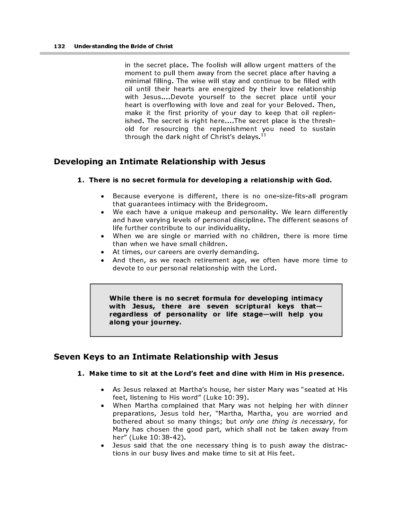in the secret place. The foolish will allow urgent matters of the moment to pull them away from the secret place after having a minimal filling. The wise will stay and continue to be filled with oil until their hearts are energized by their love relationship with Jesus....Devote yourself to the secret place until your heart is overflowing with love and zeal for your Beloved. Then, make it the first priority of your day to keep that oil replenished. The secret is right here....The secret place is the threshold for resourcing the replenishment you need to sustain through the dark night of Christ's delays. $11$ 

## Developing an Intimate Relationship with Jesus

#### 1. There is no secret formula for developing a relationship with God.

- Because everyone is different, there is no one-size-fits-all program that guarantees intimacy with the Bridegroom.
- We each have a unique makeup and personality. We learn differently and have varying levels of personal discipline. The different seasons of life further contribute to our individuality.
- When we are single or married with no children, there is more time than when we have small children.
- At times, our careers are overly demanding.
- And then, as we reach retirement age, we often have more time to devote to our personal relationship with the Lord.

While there is no secret formula for developing intimacy with Jesus, there are seven scriptural keys that regardless of personality or life stage—will help you along your journey.

## Seven Keys to an Intimate Relationship with Jesus

#### 1. Make time to sit at the Lord's feet and dine with Him in His presence.

- As Jesus relaxed at Martha's house, her sister Mary was "seated at His feet, listening to His word" (Luke 10:39).
- When Martha complained that Mary was not helping her with dinner preparations, Jesus told her, "Martha, Martha, you are worried and bothered about so many things; but only one thing is necessary, for Mary has chosen the good part, which shall not be taken away from her" (Luke 10:38-42).
- Jesus said that the one necessary thing is to push away the distractions in our busy lives and make time to sit at His feet.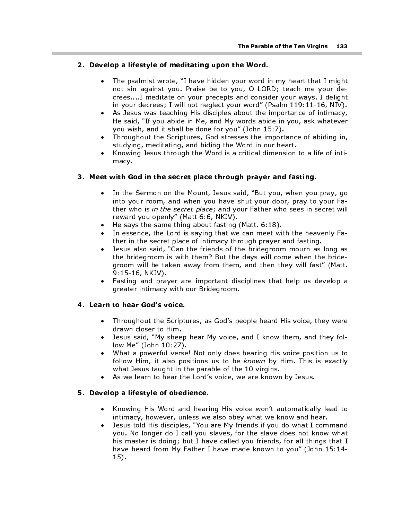#### 2. Develop a lifestyle of meditating upon the Word.

- The psalmist wrote, "I have hidden your word in my heart that I might not sin against you. Praise be to you, O LORD; teach me your decrees....I meditate on your precepts and consider your ways. I delight in your decrees; I will not neglect your word" (Psalm 119:11-16, NIV).
- As Jesus was teaching His disciples about the importance of intimacy, He said, "If you abide in Me, and My words abide in you, ask whatever you wish, and it shall be done for you" (John 15:7).
- Throughout the Scriptures, God stresses the importance of abiding in, studying, meditating, and hiding the Word in our heart.
- Knowing Jesus through the Word is a critical dimension to a life of intimacy.

#### 3. Meet with God in the secret place through prayer and fasting.

- In the Sermon on the Mount, Jesus said, "But you, when you pray, go into your room, and when you have shut your door, pray to your Father who is in the secret place; and your Father who sees in secret will reward you openly" (Matt 6:6, NKJV).
- He says the same thing about fasting (Matt. 6:18).
- In essence, the Lord is saying that we can meet with the heavenly Father in the secret place of intimacy through prayer and fasting.
- Jesus also said, "Can the friends of the bridegroom mourn as long as the bridegroom is with them? But the days will come when the bridegroom will be taken away from them, and then they will fast" (Matt. 9:15-16, NKJV).
- Fasting and prayer are important disciplines that help us develop a greater intimacy with our Bridegroom.

#### 4. Learn to hear God's voice.

- Throughout the Scriptures, as God's people heard His voice, they were drawn closer to Him.
- Jesus said, "My sheep hear My voice, and I know them, and they follow Me" (John 10:27).
- What a powerful verse! Not only does hearing His voice position us to follow Him, it also positions us to be known by Him. This is exactly what Jesus taught in the parable of the 10 virgins.
- As we learn to hear the Lord's voice, we are known by Jesus.

#### 5. Develop a lifestyle of obedience.

- Knowing His Word and hearing His voice won't automatically lead to intimacy, however, unless we also obey what we know and hear.
- Jesus told His disciples, "You are My friends if you do what I command you. No longer do I call you slaves, for the slave does not know what his master is doing; but I have called you friends, for all things that I have heard from My Father I have made known to you" (John 15:14- 15).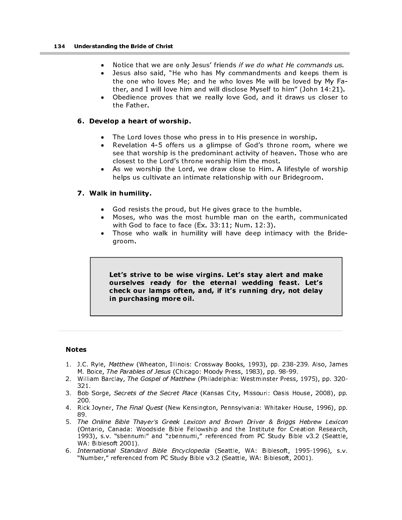- Notice that we are only Jesus' friends if we do what He commands us.<br>• lesus also said. "He who has My commandments and keens them is
- Jesus also said, "He who has My commandments and keeps them is the one who loves Me; and he who loves Me will be loved by My Father, and I will love him and will disclose Myself to him" (John 14:21).
- Obedience proves that we really love God, and it draws us closer to the Father.

#### 6. Develop a heart of worship.

- The Lord loves those who press in to His presence in worship.
- Revelation 4-5 offers us a glimpse of God's throne room, where we see that worship is the predominant activity of heaven. Those who are closest to the Lord's throne worship Him the most.
- As we worship the Lord, we draw close to Him. A lifestyle of worship helps us cultivate an intimate relationship with our Bridegroom.

#### 7. Walk in humility.

- God resists the proud, but He gives grace to the humble.
- Moses, who was the most humble man on the earth, communicated with God to face to face (Ex. 33:11; Num. 12:3).
- Those who walk in humility will have deep intimacy with the Bridegroom.

Let's strive to be wise virgins. Let's stay alert and make ourselves ready for the eternal wedding feast. Let's check our lamps often, and, if it's running dry, not delay in purchasing more oil.

#### Notes

- 1. J.C. Ryle, Matthew (Wheaton, Illinois: Crossway Books, 1993), pp. 238-239. Also, James M. Boice, The Parables of Jesus (Chicago: Moody Press, 1983), pp. 98-99.
- 2. William Barclay, The Gospel of Matthew (Philadelphia: Westminster Press, 1975), pp. 320-321.
- 3. Bob Sorge, Secrets of the Secret Place (Kansas City, Missouri: Oasis House, 2008), pp. 200.
- 4. Rick Joyner, The Final Quest (New Kensington, Pennsylvania: Whitaker House, 1996), pp. 89.
- 5. The Online Bible Thayer's Greek Lexicon and Brown Driver & Briggs Hebrew Lexicon (Ontario, Canada: Woodside Bible Fellowship and the Institute for Creation Research, 1993), s.v. "sbennumi" and "zbennumi," referenced from PC Study Bible v3.2 (Seattle, WA: Biblesoft 2001).
- 6. International Standard Bible Encyclopedia (Seattle, WA: Biblesoft, 1995-1996), s.v. "Number," referenced from PC Study Bible v3.2 (Seattle, WA: Biblesoft, 2001).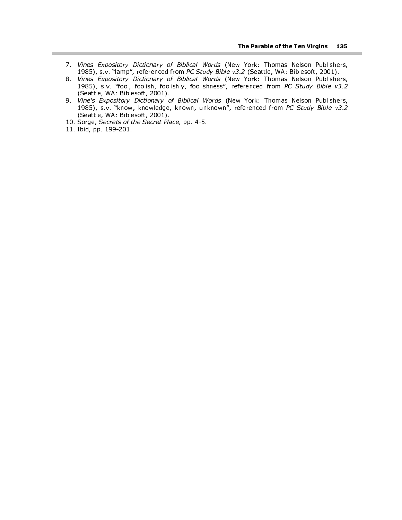- 7. Vines Expository Dictionary of Biblical Words (New York: Thomas Nelson Publishers, 1985), s.v. "lamp", referenced from PC Study Bible v3.2 (Seattle, WA: Biblesoft, 2001).
- 8. Vines Expository Dictionary of Biblical Words (New York: Thomas Nelson Publishers, 1985), s.v. "fool, foolish, foolishly, foolishness", referenced from PC Study Bible v3.2 (Seattle, WA: Biblesoft, 2001).
- 9. Vine's Expository Dictionary of Biblical Words (New York: Thomas Nelson Publishers, 1985), s.v. "know, knowledge, known, unknown", referenced from PC Study Bible v3.2 (Seattle, WA: Biblesoft, 2001).
- 10. Sorge, Secrets of the Secret Place, pp. 4-5.
- 11. Ibid, pp. 199-201.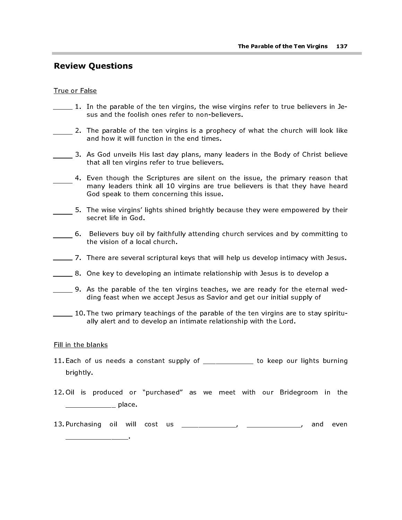## Review Questions

#### True or False

- $\frac{1}{\sqrt{1-\frac{1}{\sqrt{1-\frac{1}{\sqrt{1-\frac{1}{\sqrt{1-\frac{1}{\sqrt{1-\frac{1}{\sqrt{1-\frac{1}{\sqrt{1-\frac{1}{\sqrt{1-\frac{1}{\sqrt{1-\frac{1}{\sqrt{1-\frac{1}{\sqrt{1-\frac{1}{\sqrt{1-\frac{1}{\sqrt{1-\frac{1}{\sqrt{1-\frac{1}{\sqrt{1-\frac{1}{\sqrt{1-\frac{1}{\sqrt{1-\frac{1}{\sqrt{1-\frac{1}{\sqrt{1-\frac{1}{\sqrt{1-\frac{1}{\sqrt{1-\frac{1}{\sqrt{1-\frac{1}{\sqrt{1-\frac{1}{\sqrt{1-\frac{1$ sus and the foolish ones refer to non-believers.
- 2. The parable of the ten virgins is a prophecy of what the church will look like and how it will function in the end times.
- 3. As God unveils His last day plans, many leaders in the Body of Christ believe that all ten virgins refer to true believers.
- 4. Even though the Scriptures are silent on the issue, the primary reason that many leaders think all 10 virgins are true believers is that they have heard God speak to them concerning this issue.
- 5. The wise virgins' lights shined brightly because they were empowered by their secret life in God.
- 6. Believers buy oil by faithfully attending church services and by committing to the vision of a local church.
- 7. There are several scriptural keys that will help us develop intimacy with Jesus.
- 8. One key to developing an intimate relationship with Jesus is to develop a
- 9. As the parable of the ten virgins teaches, we are ready for the eternal wedding feast when we accept Jesus as Savior and get our initial supply of
- $\sim$  10. The two primary teachings of the parable of the ten virgins are to stay spiritually alert and to develop an intimate relationship with the Lord.

#### Fill in the blanks

\_\_\_\_\_\_\_\_\_\_\_\_\_\_\_.

- 11. Each of us needs a constant supply of \_\_\_\_\_\_\_\_\_\_\_\_ to keep our lights burning brightly.
- 12. Oil is produced or "purchased" as we meet with our Bridegroom in the \_\_\_\_\_\_\_\_\_\_\_\_ place.
- 13. Purchasing oil will cost us \_\_\_\_\_\_\_\_\_\_\_\_\_\_, \_\_\_\_\_\_\_\_\_\_\_\_\_\_, and even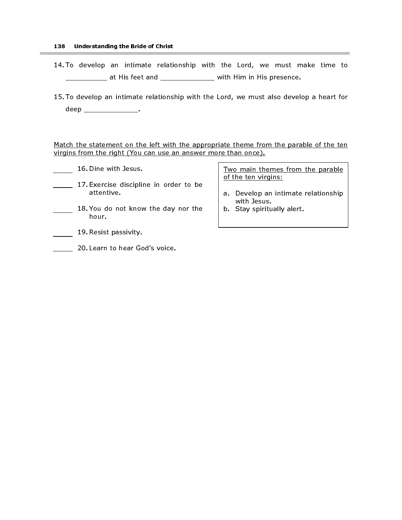#### 138 Understanding the Bride of Christ

- 14. To develop an intimate relationship with the Lord, we must make time to \_\_\_\_\_\_\_\_\_\_ at His feet and \_\_\_\_\_\_\_\_\_\_\_\_\_ with Him in His presence.
- 15. To develop an intimate relationship with the Lord, we must also develop a heart for deep \_\_\_\_\_\_\_\_\_\_\_\_\_\_\_\_.

Match the statement on the left with the appropriate theme from the parable of the ten virgins from the right (You can use an answer more than once).

- 16. Dine with Jesus.
- 17. Exercise discipline in order to be attentive.
- 18. You do not know the day nor the hour.
- 19. Resist passivity.
- **20. Learn to hear God's voice.**

Two main themes from the parable of the ten virgins:

- a. Develop an intimate relationship with Jesus.
- b. Stay spiritually alert.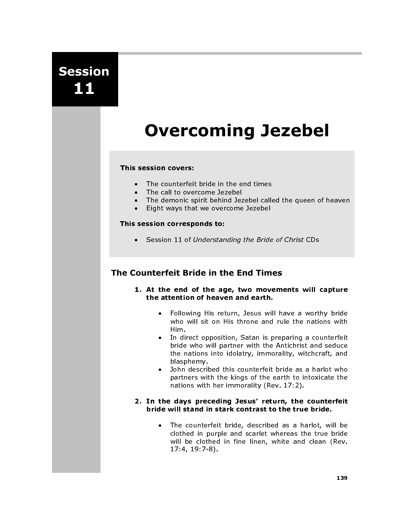## Session 11

# Overcoming Jezebel

#### This session covers:

- The counterfeit bride in the end times
- The call to overcome Jezebel
- The demonic spirit behind Jezebel called the queen of heaven<br>• Eight ways that we overcome Jezebel
- Eight ways that we overcome Jezebel

#### This session corresponds to:

• Session 11 of Understanding the Bride of Christ CDs

## The Counterfeit Bride in the End Times

- 1. At the end of the age, two movements will capture the attention of heaven and earth.
	- Following His return, Jesus will have a worthy bride who will sit on His throne and rule the nations with Him.
	- In direct opposition, Satan is preparing a counterfeit bride who will partner with the Antichrist and seduce the nations into idolatry, immorality, witchcraft, and blasphemy.
	- John described this counterfeit bride as a harlot who partners with the kings of the earth to intoxicate the nations with her immorality (Rev. 17:2).

#### 2. In the days preceding Jesus' return, the counterfeit bride will stand in stark contrast to the true bride.

The counterfeit bride, described as a harlot, will be clothed in purple and scarlet whereas the true bride will be clothed in fine linen, white and clean (Rev. 17:4, 19:7-8).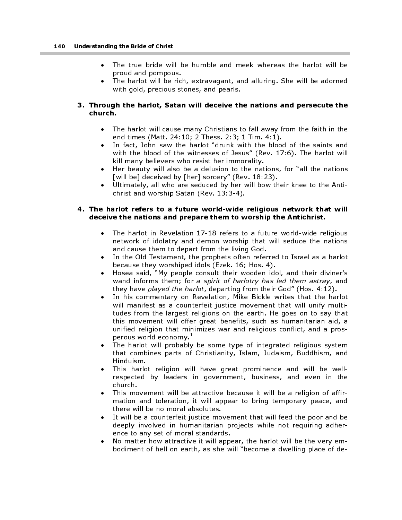- The true bride will be humble and meek whereas the harlot will be proud and pompous.
- The harlot will be rich, extravagant, and alluring. She will be adorned with gold, precious stones, and pearls.

#### 3. Through the harlot, Satan will deceive the nations and persecute the church.

- The harlot will cause many Christians to fall away from the faith in the end times (Matt. 24:10; 2 Thess. 2:3; 1 Tim. 4:1).
- In fact, John saw the harlot "drunk with the blood of the saints and with the blood of the witnesses of Jesus" (Rev. 17:6). The harlot will kill many believers who resist her immorality.
- Her beauty will also be a delusion to the nations, for "all the nations [will be] deceived by [her] sorcery" (Rev. 18:23).
- Ultimately, all who are seduced by her will bow their knee to the Antichrist and worship Satan (Rev. 13:3-4).

#### 4. The harlot refers to a future world-wide religious network that will deceive the nations and prepare them to worship the Antichrist.

- The harlot in Revelation 17-18 refers to a future world-wide religious network of idolatry and demon worship that will seduce the nations and cause them to depart from the living God.
- In the Old Testament, the prophets often referred to Israel as a harlot because they worshiped idols (Ezek. 16; Hos. 4).
- Hosea said, "My people consult their wooden idol, and their diviner's wand informs them; for a spirit of harlotry has led them astray, and they have played the harlot, departing from their God" (Hos. 4:12).
- In his commentary on Revelation, Mike Bickle writes that the harlot will manifest as a counterfeit justice movement that will unify multitudes from the largest religions on the earth. He goes on to say that this movement will offer great benefits, such as humanitarian aid, a unified religion that minimizes war and religious conflict, and a prosperous world economy.<sup>1</sup>
- The harlot will probably be some type of integrated religious system that combines parts of Christianity, Islam, Judaism, Buddhism, and Hinduism.
- This harlot religion will have great prominence and will be wellrespected by leaders in government, business, and even in the church.
- This movement will be attractive because it will be a religion of affirmation and toleration, it will appear to bring temporary peace, and there will be no moral absolutes.
- It will be a counterfeit justice movement that will feed the poor and be deeply involved in humanitarian projects while not requiring adherence to any set of moral standards.
- No matter how attractive it will appear, the harlot will be the very embodiment of hell on earth, as she will "become a dwelling place of de-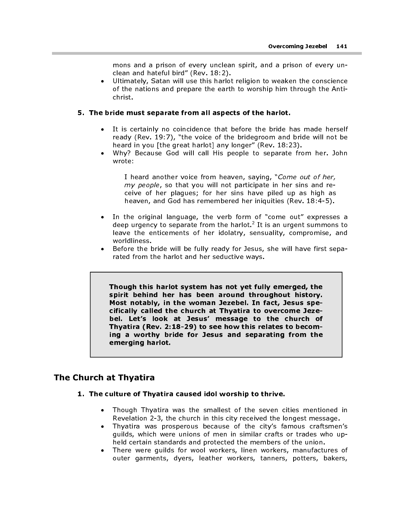mons and a prison of every unclean spirit, and a prison of every unclean and hateful bird" (Rev. 18:2).

Ultimately, Satan will use this harlot religion to weaken the conscience of the nations and prepare the earth to worship him through the Antichrist.

#### 5. The bride must separate from all aspects of the harlot.

- It is certainly no coincidence that before the bride has made herself ready (Rev. 19:7), "the voice of the bridegroom and bride will not be heard in you [the great harlot] any longer" (Rev. 18:23).
- Why? Because God will call His people to separate from her. John wrote:

I heard another voice from heaven, saying, "Come out of her, my people, so that you will not participate in her sins and receive of her plagues; for her sins have piled up as high as heaven, and God has remembered her iniquities (Rev. 18:4-5).

- In the original language, the verb form of "come out" expresses a deep urgency to separate from the harlot.<sup>2</sup> It is an urgent summons to leave the enticements of her idolatry, sensuality, compromise, and worldliness. **Overcoming Jezebel**<br>
mons and a prison of every unclean spirit, and a prison of ever<br>
Ultimately, Statan will use this harlot religion to weaken the conserved the nations and prepare the earth to worship him through the<br>
- Before the bride will be fully ready for Jesus, she will have first separated from the harlot and her seductive ways.

spirit behind her has been around throughout history. Most notably, in the woman Jezebel. In fact, Jesus specifically called the church at Thyatira to overcome Jezebel. Let's look at Jesus' message to the church of Thyatira (Rev. 2:18-29) to see how this relates to becoming a worthy bride for Jesus and separating from the emerging harlot.

## The Church at Thyatira

#### 1. The culture of Thyatira caused idol worship to thrive.

- Though Thyatira was the smallest of the seven cities mentioned in Revelation 2-3, the church in this city received the longest message.
- Thyatira was prosperous because of the city's famous craftsmen's guilds, which were unions of men in similar crafts or trades who upheld certain standards and protected the members of the union.
- There were guilds for wool workers, linen workers, manufactures of outer garments, dyers, leather workers, tanners, potters, bakers,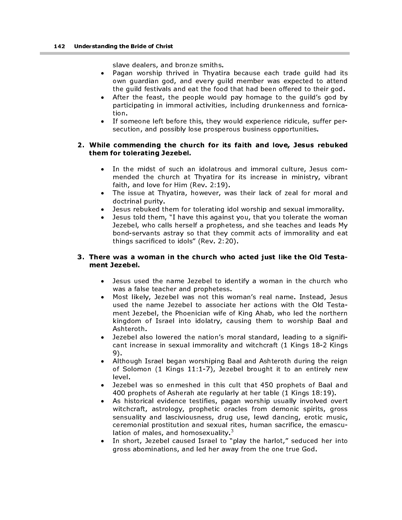slave dealers, and bronze smiths.

- Pagan worship thrived in Thyatira because each trade guild had its own guardian god, and every guild member was expected to attend the guild festivals and eat the food that had been offered to their god.
- After the feast, the people would pay homage to the guild's god by participating in immoral activities, including drunkenness and fornication.
- If someone left before this, they would experience ridicule, suffer persecution, and possibly lose prosperous business opportunities.

#### 2. While commending the church for its faith and love, Jesus rebuked them for tolerating Jezebel.

- In the midst of such an idolatrous and immoral culture, Jesus commended the church at Thyatira for its increase in ministry, vibrant faith, and love for Him (Rev. 2:19).
- The issue at Thyatira, however, was their lack of zeal for moral and doctrinal purity.
- Jesus rebuked them for tolerating idol worship and sexual immorality.
- Jesus told them, "I have this against you, that you tolerate the woman Jezebel, who calls herself a prophetess, and she teaches and leads My bond-servants astray so that they commit acts of immorality and eat things sacrificed to idols" (Rev. 2:20).

#### 3. There was a woman in the church who acted just like the Old Testament Jezebel.

- Jesus used the name Jezebel to identify a woman in the church who was a false teacher and prophetess.
- Most likely, Jezebel was not this woman's real name. Instead, Jesus used the name Jezebel to associate her actions with the Old Testament Jezebel, the Phoenician wife of King Ahab, who led the northern kingdom of Israel into idolatry, causing them to worship Baal and Ashteroth.
- Jezebel also lowered the nation's moral standard, leading to a significant increase in sexual immorality and witchcraft (1 Kings 18-2 Kings 9).
- Although Israel began worshiping Baal and Ashteroth during the reign of Solomon (1 Kings 11:1-7), Jezebel brought it to an entirely new level.
- Jezebel was so enmeshed in this cult that 450 prophets of Baal and 400 prophets of Asherah ate regularly at her table (1 Kings 18:19).
- As historical evidence testifies, pagan worship usually involved overt witchcraft, astrology, prophetic oracles from demonic spirits, gross sensuality and lasciviousness, drug use, lewd dancing, erotic music, ceremonial prostitution and sexual rites, human sacrifice, the emasculation of males, and homosexuality. $3$
- In short, Jezebel caused Israel to "play the harlot," seduced her into gross abominations, and led her away from the one true God.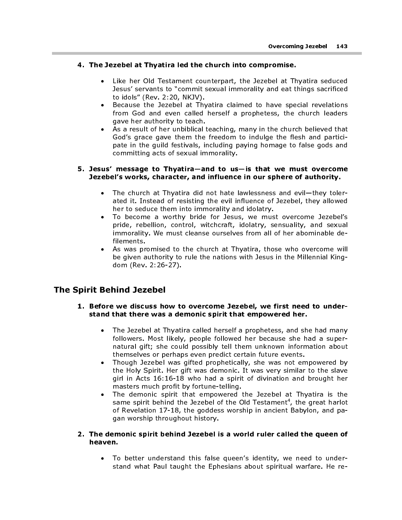#### 4. The Jezebel at Thyatira led the church into compromise.

- Like her Old Testament counterpart, the Jezebel at Thyatira seduced Jesus' servants to "commit sexual immorality and eat things sacrificed to idols" (Rev. 2:20, NKJV).
- Because the Jezebel at Thyatira claimed to have special revelations from God and even called herself a prophetess, the church leaders gave her authority to teach.
- As a result of her unbiblical teaching, many in the church believed that God's grace gave them the freedom to indulge the flesh and participate in the guild festivals, including paying homage to false gods and committing acts of sexual immorality.

#### 5. Jesus' message to Thyatira—and to us—is that we must overcome Jezebel's works, character, and influence in our sphere of authority.

- The church at Thyatira did not hate lawlessness and evil—they tolerated it. Instead of resisting the evil influence of Jezebel, they allowed her to seduce them into immorality and idolatry.
- To become a worthy bride for Jesus, we must overcome Jezebel's pride, rebellion, control, witchcraft, idolatry, sensuality, and sexual immorality. We must cleanse ourselves from all of her abominable defilements.
- As was promised to the church at Thyatira, those who overcome will be given authority to rule the nations with Jesus in the Millennial Kingdom (Rev. 2:26-27).

## The Spirit Behind Jezebel

#### 1. Before we discuss how to overcome Jezebel, we first need to understand that there was a demonic spirit that empowered her.

- The Jezebel at Thyatira called herself a prophetess, and she had many followers. Most likely, people followed her because she had a supernatural gift; she could possibly tell them unknown information about themselves or perhaps even predict certain future events.
- Though Jezebel was gifted prophetically, she was not empowered by the Holy Spirit. Her gift was demonic. It was very similar to the slave girl in Acts 16:16-18 who had a spirit of divination and brought her masters much profit by fortune-telling.
- The demonic spirit that empowered the Jezebel at Thyatira is the same spirit behind the Jezebel of the Old Testament<sup>4</sup>, the great harlot of Revelation 17-18, the goddess worship in ancient Babylon, and pagan worship throughout history.

#### 2. The demonic spirit behind Jezebel is a world ruler called the queen of heaven.

• To better understand this false queen's identity, we need to understand what Paul taught the Ephesians about spiritual warfare. He re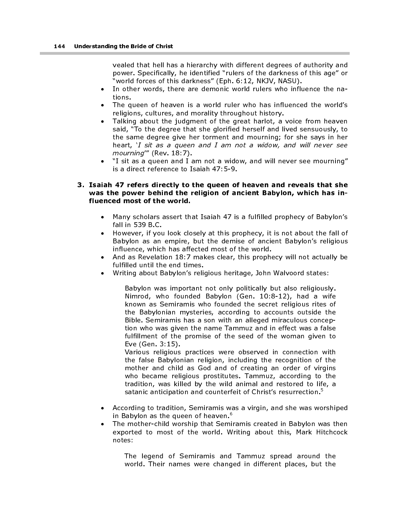vealed that hell has a hierarchy with different degrees of authority and power. Specifically, he identified "rulers of the darkness of this age" or "world forces of this darkness" (Eph. 6:12, NKJV, NASU).

- In other words, there are demonic world rulers who influence the nations.
- The queen of heaven is a world ruler who has influenced the world's religions, cultures, and morality throughout history.
- Talking about the judgment of the great harlot, a voice from heaven said, "To the degree that she glorified herself and lived sensuously, to the same degree give her torment and mourning; for she says in her heart, 'I sit as a queen and I am not a widow, and will never see mourning'" (Rev. 18:7).
- "I sit as a queen and I am not a widow, and will never see mourning" is a direct reference to Isaiah 47:5-9.
- 3. Isaiah 47 refers directly to the queen of heaven and reveals that she was the power behind the religion of ancient Babylon, which has influenced most of the world.
	- Many scholars assert that Isaiah 47 is a fulfilled prophecy of Babylon's fall in 539 B.C.
	- However, if you look closely at this prophecy, it is not about the fall of Babylon as an empire, but the demise of ancient Babylon's religious influence, which has affected most of the world.
	- And as Revelation 18:7 makes clear, this prophecy will not actually be fulfilled until the end times.
	- Writing about Babylon's religious heritage, John Walvoord states:

Babylon was important not only politically but also religiously. Nimrod, who founded Babylon (Gen. 10:8-12), had a wife known as Semiramis who founded the secret religious rites of the Babylonian mysteries, according to accounts outside the Bible. Semiramis has a son with an alleged miraculous conception who was given the name Tammuz and in effect was a false fulfillment of the promise of the seed of the woman given to Eve (Gen. 3:15).

Various religious practices were observed in connection with the false Babylonian religion, including the recognition of the mother and child as God and of creating an order of virgins who became religious prostitutes. Tammuz, according to the tradition, was killed by the wild animal and restored to life, a satanic anticipation and counterfeit of Christ's resurrection. $^{\circ}$ 

- According to tradition, Semiramis was a virgin, and she was worshiped in Babylon as the queen of heaven.<sup>6</sup>
- The mother-child worship that Semiramis created in Babylon was then exported to most of the world. Writing about this, Mark Hitchcock notes:

The legend of Semiramis and Tammuz spread around the world. Their names were changed in different places, but the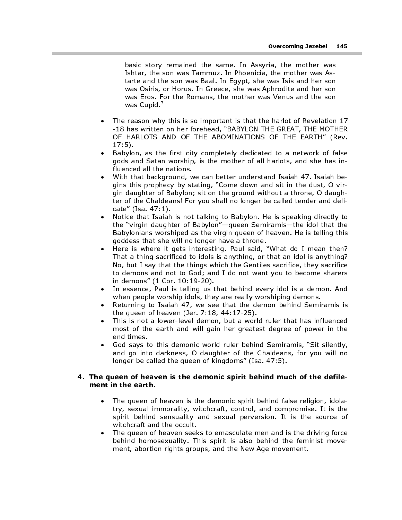basic story remained the same. In Assyria, the mother was Ishtar, the son was Tammuz. In Phoenicia, the mother was Astarte and the son was Baal. In Egypt, she was Isis and her son was Osiris, or Horus. In Greece, she was Aphrodite and her son was Eros. For the Romans, the mother was Venus and the son was Cupid. $^{\prime}$ 

- The reason why this is so important is that the harlot of Revelation 17 -18 has written on her forehead, "BABYLON THE GREAT, THE MOTHER OF HARLOTS AND OF THE ABOMINATIONS OF THE EARTH" (Rev. 17:5).
- Babylon, as the first city completely dedicated to a network of false gods and Satan worship, is the mother of all harlots, and she has influenced all the nations.
- With that background, we can better understand Isaiah 47. Isaiah begins this prophecy by stating, "Come down and sit in the dust, O virgin daughter of Babylon; sit on the ground without a throne, O daughter of the Chaldeans! For you shall no longer be called tender and delicate" (Isa. 47:1).
- Notice that Isaiah is not talking to Babylon. He is speaking directly to the "virgin daughter of Babylon"—queen Semiramis—the idol that the Babylonians worshiped as the virgin queen of heaven. He is telling this goddess that she will no longer have a throne.
- Here is where it gets interesting. Paul said, "What do I mean then? That a thing sacrificed to idols is anything, or that an idol is anything? No, but I say that the things which the Gentiles sacrifice, they sacrifice to demons and not to God; and I do not want you to become sharers in demons" (1 Cor. 10:19-20).
- In essence, Paul is telling us that behind every idol is a demon. And when people worship idols, they are really worshiping demons.
- Returning to Isaiah 47, we see that the demon behind Semiramis is the queen of heaven (Jer. 7:18, 44:17-25).
- This is not a lower-level demon, but a world ruler that has influenced most of the earth and will gain her greatest degree of power in the end times.
- God says to this demonic world ruler behind Semiramis, "Sit silently, and go into darkness, O daughter of the Chaldeans, for you will no longer be called the queen of kingdoms" (Isa. 47:5).

#### 4. The queen of heaven is the demonic spirit behind much of the defilement in the earth.

- The queen of heaven is the demonic spirit behind false religion, idolatry, sexual immorality, witchcraft, control, and compromise. It is the spirit behind sensuality and sexual perversion. It is the source of witchcraft and the occult.
- The queen of heaven seeks to emasculate men and is the driving force behind homosexuality. This spirit is also behind the feminist movement, abortion rights groups, and the New Age movement.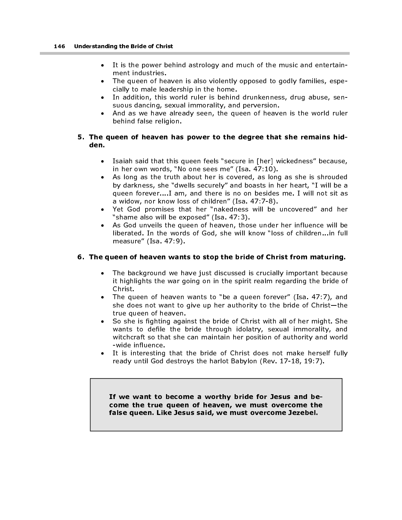- It is the power behind astrology and much of the music and entertainment industries.
- The queen of heaven is also violently opposed to godly families, especially to male leadership in the home.
- In addition, this world ruler is behind drunkenness, drug abuse, sensuous dancing, sexual immorality, and perversion.
- And as we have already seen, the queen of heaven is the world ruler behind false religion.

## 5. The queen of heaven has power to the degree that she remains hidden.

- Isaiah said that this queen feels "secure in [her] wickedness" because, in her own words, "No one sees me" (Isa. 47:10).
- As long as the truth about her is covered, as long as she is shrouded by darkness, she "dwells securely" and boasts in her heart, "I will be a queen forever....I am, and there is no on besides me. I will not sit as a widow, nor know loss of children" (Isa. 47:7-8).
- Yet God promises that her "nakedness will be uncovered" and her "shame also will be exposed" (Isa. 47:3).
- As God unveils the queen of heaven, those under her influence will be liberated. In the words of God, she will know "loss of children...in full measure" (Isa. 47:9).

#### 6. The queen of heaven wants to stop the bride of Christ from maturing.

- The background we have just discussed is crucially important because it highlights the war going on in the spirit realm regarding the bride of Christ.
- The queen of heaven wants to "be a queen forever" (Isa. 47:7), and she does not want to give up her authority to the bride of Christ—the true queen of heaven.
- So she is fighting against the bride of Christ with all of her might. She wants to defile the bride through idolatry, sexual immorality, and witchcraft so that she can maintain her position of authority and world -wide influence.
- It is interesting that the bride of Christ does not make herself fully ready until God destroys the harlot Babylon (Rev. 17-18, 19:7).

If we want to become a worthy bride for Jesus and become the true queen of heaven, we must overcome the false queen. Like Jesus said, we must overcome Jezebel.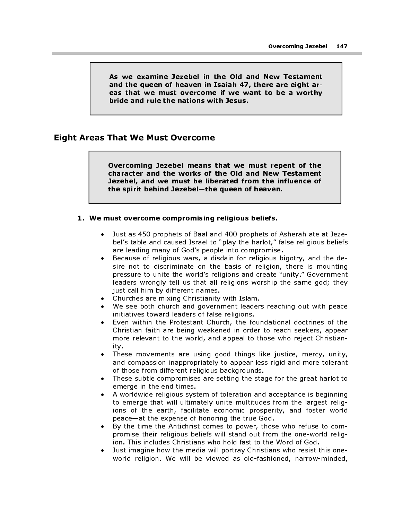As we examine Jezebel in the Old and New Testament and the queen of heaven in Isaiah 47, there are eight areas that we must overcome if we want to be a worthy bride and rule the nations with Jesus.

# Eight Areas That We Must Overcome

Overcoming Jezebel means that we must repent of the character and the works of the Old and New Testament Jezebel, and we must be liberated from the influence of the spirit behind Jezebel—the queen of heaven.

#### 1. We must overcome compromising religious beliefs.

- Just as 450 prophets of Baal and 400 prophets of Asherah ate at Jezebel's table and caused Israel to "play the harlot," false religious beliefs are leading many of God's people into compromise.
- Because of religious wars, a disdain for religious bigotry, and the desire not to discriminate on the basis of religion, there is mounting pressure to unite the world's religions and create "unity." Government leaders wrongly tell us that all religions worship the same god; they just call him by different names.
- Churches are mixing Christianity with Islam.
- We see both church and government leaders reaching out with peace initiatives toward leaders of false religions.
- Even within the Protestant Church, the foundational doctrines of the Christian faith are being weakened in order to reach seekers, appear more relevant to the world, and appeal to those who reject Christianity.
- These movements are using good things like justice, mercy, unity, and compassion inappropriately to appear less rigid and more tolerant of those from different religious backgrounds.
- These subtle compromises are setting the stage for the great harlot to emerge in the end times.
- A worldwide religious system of toleration and acceptance is beginning to emerge that will ultimately unite multitudes from the largest religions of the earth, facilitate economic prosperity, and foster world peace—at the expense of honoring the true God.
- By the time the Antichrist comes to power, those who refuse to compromise their religious beliefs will stand out from the one-world religion. This includes Christians who hold fast to the Word of God.
- Just imagine how the media will portray Christians who resist this oneworld religion. We will be viewed as old-fashioned, narrow-minded,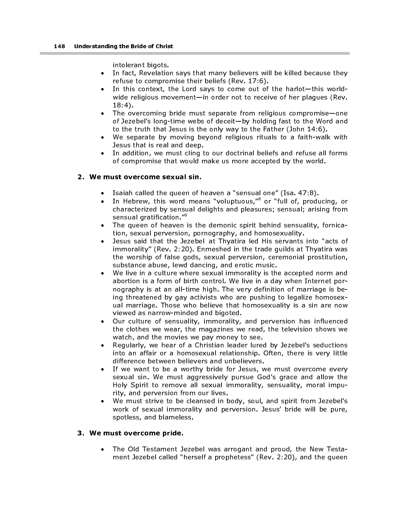intolerant bigots.

- In fact, Revelation says that many believers will be killed because they refuse to compromise their beliefs (Rev. 17:6).
- In this context, the Lord says to come out of the harlot—this worldwide religious movement—in order not to receive of her plagues (Rev. 18:4).
- The overcoming bride must separate from religious compromise—one of Jezebel's long-time webs of deceit—by holding fast to the Word and to the truth that Jesus is the only way to the Father (John 14:6).
- We separate by moving beyond religious rituals to a faith-walk with Jesus that is real and deep.
- In addition, we must cling to our doctrinal beliefs and refuse all forms of compromise that would make us more accepted by the world.

## 2. We must overcome sexual sin.

- Isaiah called the queen of heaven a "sensual one" (Isa. 47:8).<br>• In Hebrew, this word means "voluntuous "<sup>8</sup> or "full of produ
- In Hebrew, this word means "voluptuous," or "full of, producing, or<br>characterized by sensual delights and pleasures: sensual: arising from characterized by sensual delights and pleasures; sensual; arising from sensual gratification."<sup>9</sup>
- The queen of heaven is the demonic spirit behind sensuality, fornication, sexual perversion, pornography, and homosexuality.
- Jesus said that the Jezebel at Thyatira led His servants into "acts of immorality" (Rev. 2:20). Enmeshed in the trade guilds at Thyatira was the worship of false gods, sexual perversion, ceremonial prostitution, substance abuse, lewd dancing, and erotic music.
- We live in a culture where sexual immorality is the accepted norm and abortion is a form of birth control. We live in a day when Internet pornography is at an all-time high. The very definition of marriage is being threatened by gay activists who are pushing to legalize homosexual marriage. Those who believe that homosexuality is a sin are now viewed as narrow-minded and bigoted.
- Our culture of sensuality, immorality, and perversion has influenced the clothes we wear, the magazines we read, the television shows we watch, and the movies we pay money to see.
- Regularly, we hear of a Christian leader lured by Jezebel's seductions into an affair or a homosexual relationship. Often, there is very little difference between believers and unbelievers.
- If we want to be a worthy bride for Jesus, we must overcome every sexual sin. We must aggressively pursue God's grace and allow the Holy Spirit to remove all sexual immorality, sensuality, moral impurity, and perversion from our lives.
- We must strive to be cleansed in body, soul, and spirit from Jezebel's work of sexual immorality and perversion. Jesus' bride will be pure, spotless, and blameless.

## 3. We must overcome pride.

• The Old Testament Jezebel was arrogant and proud, the New Testament Jezebel called "herself a prophetess" (Rev. 2:20), and the queen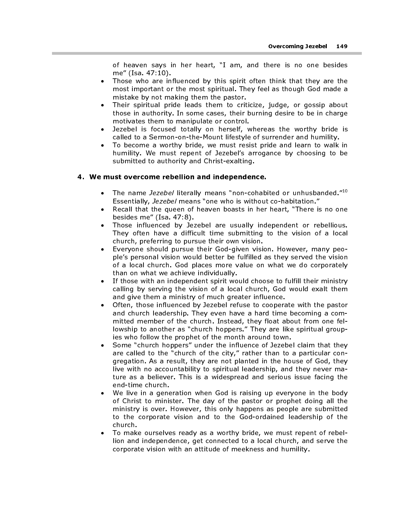of heaven says in her heart, "I am, and there is no one besides me" (Isa. 47:10).

- Those who are influenced by this spirit often think that they are the most important or the most spiritual. They feel as though God made a mistake by not making them the pastor.
- Their spiritual pride leads them to criticize, judge, or gossip about those in authority. In some cases, their burning desire to be in charge motivates them to manipulate or control.
- Jezebel is focused totally on herself, whereas the worthy bride is called to a Sermon-on-the-Mount lifestyle of surrender and humility.
- To become a worthy bride, we must resist pride and learn to walk in humility. We must repent of Jezebel's arrogance by choosing to be submitted to authority and Christ-exalting.

#### 4. We must overcome rebellion and independence.

- The name Jezebel literally means "non-cohabited or unhusbanded."<sup>10</sup> Essentially, Jezebel means "one who is without co-habitation."
- Recall that the queen of heaven boasts in her heart, "There is no one besides me" (Isa. 47:8).
- Those influenced by Jezebel are usually independent or rebellious. They often have a difficult time submitting to the vision of a local church, preferring to pursue their own vision.
- Everyone should pursue their God-given vision. However, many people's personal vision would better be fulfilled as they served the vision of a local church. God places more value on what we do corporately than on what we achieve individually.
- If those with an independent spirit would choose to fulfill their ministry calling by serving the vision of a local church, God would exalt them and give them a ministry of much greater influence.
- Often, those influenced by Jezebel refuse to cooperate with the pastor and church leadership. They even have a hard time becoming a committed member of the church. Instead, they float about from one fellowship to another as "church hoppers." They are like spiritual groupies who follow the prophet of the month around town.
- Some "church hoppers" under the influence of Jezebel claim that they are called to the "church of the city," rather than to a particular congregation. As a result, they are not planted in the house of God, they live with no accountability to spiritual leadership, and they never mature as a believer. This is a widespread and serious issue facing the end-time church.
- We live in a generation when God is raising up everyone in the body of Christ to minister. The day of the pastor or prophet doing all the ministry is over. However, this only happens as people are submitted to the corporate vision and to the God-ordained leadership of the church.
- To make ourselves ready as a worthy bride, we must repent of rebellion and independence, get connected to a local church, and serve the corporate vision with an attitude of meekness and humility.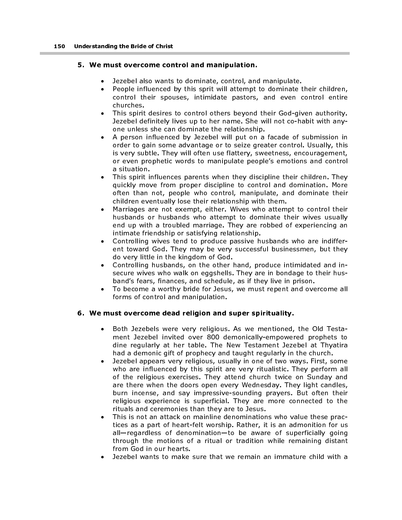## 5. We must overcome control and manipulation.

- Jezebel also wants to dominate, control, and manipulate.
- People influenced by this sprit will attempt to dominate their children, control their spouses, intimidate pastors, and even control entire churches.
- This spirit desires to control others beyond their God-given authority. Jezebel definitely lives up to her name. She will not co-habit with anyone unless she can dominate the relationship.
- A person influenced by Jezebel will put on a facade of submission in order to gain some advantage or to seize greater control. Usually, this is very subtle. They will often use flattery, sweetness, encouragement, or even prophetic words to manipulate people's emotions and control a situation.
- This spirit influences parents when they discipline their children. They quickly move from proper discipline to control and domination. More often than not, people who control, manipulate, and dominate their children eventually lose their relationship with them.
- Marriages are not exempt, either. Wives who attempt to control their husbands or husbands who attempt to dominate their wives usually end up with a troubled marriage. They are robbed of experiencing an intimate friendship or satisfying relationship.
- Controlling wives tend to produce passive husbands who are indifferent toward God. They may be very successful businessmen, but they do very little in the kingdom of God.
- Controlling husbands, on the other hand, produce intimidated and insecure wives who walk on eggshells. They are in bondage to their husband's fears, finances, and schedule, as if they live in prison.
- To become a worthy bride for Jesus, we must repent and overcome all forms of control and manipulation.

#### 6. We must overcome dead religion and super spirituality.

- Both Jezebels were very religious. As we mentioned, the Old Testament Jezebel invited over 800 demonically-empowered prophets to dine regularly at her table. The New Testament Jezebel at Thyatira had a demonic gift of prophecy and taught regularly in the church.
- Jezebel appears very religious, usually in one of two ways. First, some who are influenced by this spirit are very ritualistic. They perform all of the religious exercises. They attend church twice on Sunday and are there when the doors open every Wednesday. They light candles, burn incense, and say impressive-sounding prayers. But often their religious experience is superficial. They are more connected to the rituals and ceremonies than they are to Jesus.
- This is not an attack on mainline denominations who value these practices as a part of heart-felt worship. Rather, it is an admonition for us all—regardless of denomination—to be aware of superficially going through the motions of a ritual or tradition while remaining distant from God in our hearts.
- Jezebel wants to make sure that we remain an immature child with a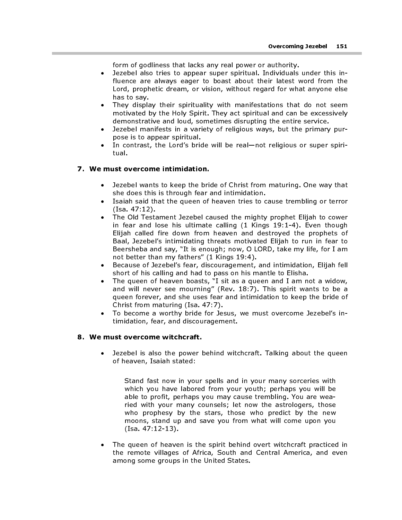form of godliness that lacks any real power or authority.

- Jezebel also tries to appear super spiritual. Individuals under this influence are always eager to boast about their latest word from the Lord, prophetic dream, or vision, without regard for what anyone else has to say.
- They display their spirituality with manifestations that do not seem motivated by the Holy Spirit. They act spiritual and can be excessively demonstrative and loud, sometimes disrupting the entire service.
- Jezebel manifests in a variety of religious ways, but the primary purpose is to appear spiritual.
- In contrast, the Lord's bride will be real—not religious or super spiritual.

#### 7. We must overcome intimidation.

- Jezebel wants to keep the bride of Christ from maturing. One way that she does this is through fear and intimidation.
- Isaiah said that the queen of heaven tries to cause trembling or terror (Isa. 47:12).
- The Old Testament Jezebel caused the mighty prophet Elijah to cower in fear and lose his ultimate calling (1 Kings 19:1-4). Even though Elijah called fire down from heaven and destroyed the prophets of Baal, Jezebel's intimidating threats motivated Elijah to run in fear to Beersheba and say, "It is enough; now, O LORD, take my life, for I am not better than my fathers" (1 Kings 19:4).
- Because of Jezebel's fear, discouragement, and intimidation, Elijah fell short of his calling and had to pass on his mantle to Elisha.
- The queen of heaven boasts, "I sit as a queen and I am not a widow, and will never see mourning" (Rev. 18:7). This spirit wants to be a queen forever, and she uses fear and intimidation to keep the bride of Christ from maturing (Isa. 47:7).
- To become a worthy bride for Jesus, we must overcome Jezebel's intimidation, fear, and discouragement.

#### 8. We must overcome witchcraft.

• Jezebel is also the power behind witchcraft. Talking about the queen of heaven, Isaiah stated:

Stand fast now in your spells and in your many sorceries with which you have labored from your youth; perhaps you will be able to profit, perhaps you may cause trembling. You are wearied with your many counsels; let now the astrologers, those who prophesy by the stars, those who predict by the new moons, stand up and save you from what will come upon you (Isa. 47:12-13).

The queen of heaven is the spirit behind overt witchcraft practiced in the remote villages of Africa, South and Central America, and even among some groups in the United States.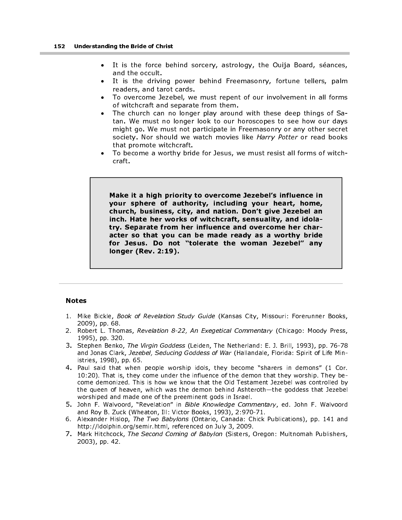- It is the force behind sorcery, astrology, the Ouija Board, séances, and the occult.
- It is the driving power behind Freemasonry, fortune tellers, palm readers, and tarot cards.
- To overcome Jezebel, we must repent of our involvement in all forms of witchcraft and separate from them.
- The church can no longer play around with these deep things of Satan. We must no longer look to our horoscopes to see how our days might go. We must not participate in Freemasonry or any other secret society. Nor should we watch movies like Harry Potter or read books that promote witchcraft.
- To become a worthy bride for Jesus, we must resist all forms of witchcraft.

Make it a high priority to overcome Jezebel's influence in your sphere of authority, including your heart, home, church, business, city, and nation. Don't give Jezebel an inch. Hate her works of witchcraft, sensuality, and idolatry. Separate from her influence and overcome her character so that you can be made ready as a worthy bride for Jesus. Do not "tolerate the woman Jezebel" any longer (Rev. 2:19).

#### Notes

- 1. Mike Bickle, Book of Revelation Study Guide (Kansas City, Missouri: Forerunner Books, 2009), pp. 68.
- 2. Robert L. Thomas, Revelation 8-22, An Exegetical Commentary (Chicago: Moody Press, 1995), pp. 320.
- 3. Stephen Benko, The Virgin Goddess (Leiden, The Netherland: E. J. Brill, 1993), pp. 76-78 and Jonas Clark, Jezebel, Seducing Goddess of War (Hallandale, Florida: Spirit of Life Ministries, 1998), pp. 65.
- 4. Paul said that when people worship idols, they become "sharers in demons" (1 Cor. 10:20). That is, they come under the influence of the demon that they worship. They become demonized. This is how we know that the Old Testament Jezebel was controlled by the queen of heaven, which was the demon behind Ashteroth—the goddess that Jezebel worshiped and made one of the preeminent gods in Israel.
- 5. John F. Walvoord, "Revelation" in Bible Knowledge Commentary, ed. John F. Walvoord and Roy B. Zuck (Wheaton, Ill: Victor Books, 1993), 2:970-71.
- 6. Alexander Hislop, The Two Babylons (Ontario, Canada: Chick Publications), pp. 141 and http://ldolphin.org/semir.html, referenced on July 3, 2009.
- 7. Mark Hitchcock, The Second Coming of Babylon (Sisters, Oregon: Multnomah Publishers, 2003), pp. 42.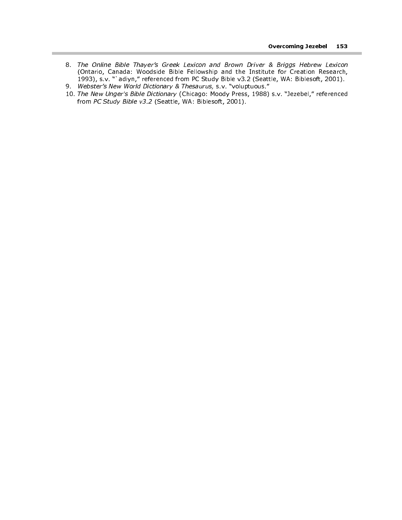- 8. The Online Bible Thayer's Greek Lexicon and Brown Driver & Briggs Hebrew Lexicon (Ontario, Canada: Woodside Bible Fellowship and the Institute for Creation Research, 1993), s.v. "`adiyn," referenced from PC Study Bible v3.2 (Seattle, WA: Biblesoft, 2001).
- 9. Webster's New World Dictionary & Thesaurus, s.v. "voluptuous."
- 10. The New Unger's Bible Dictionary (Chicago: Moody Press, 1988) s.v. "Jezebel," referenced from PC Study Bible v3.2 (Seattle, WA: Biblesoft, 2001).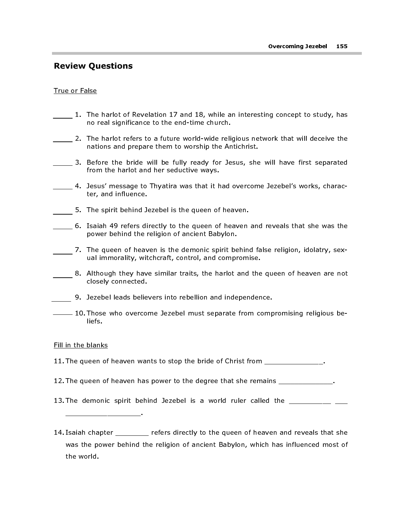## Review Questions

#### True or False

- 1. The harlot of Revelation 17 and 18, while an interesting concept to study, has no real significance to the end-time church.
	- 2. The harlot refers to a future world-wide religious network that will deceive the nations and prepare them to worship the Antichrist.
- 3. Before the bride will be fully ready for Jesus, she will have first separated from the harlot and her seductive ways.
- 4. Jesus' message to Thyatira was that it had overcome Jezebel's works, character, and influence.
- 5. The spirit behind Jezebel is the queen of heaven.
- 6. Isaiah 49 refers directly to the queen of heaven and reveals that she was the power behind the religion of ancient Babylon.
- 7. The queen of heaven is the demonic spirit behind false religion, idolatry, sexual immorality, witchcraft, control, and compromise.
- 8. Although they have similar traits, the harlot and the queen of heaven are not closely connected.
- 9. Jezebel leads believers into rebellion and independence.
- 10. Those who overcome Jezebel must separate from compromising religious beliefs.

#### Fill in the blanks

\_\_\_\_\_\_\_\_\_\_\_\_\_\_\_\_\_\_.

- 11. The queen of heaven wants to stop the bride of Christ from \_\_\_\_\_\_\_\_\_\_\_\_\_\_.
- 12. The queen of heaven has power to the degree that she remains  $\qquad \qquad$
- 13. The demonic spirit behind Jezebel is a world ruler called the \_\_\_\_\_\_\_\_\_\_\_\_\_
- 14. Isaiah chapter \_\_\_\_\_\_\_\_ refers directly to the queen of heaven and reveals that she was the power behind the religion of ancient Babylon, which has influenced most of the world.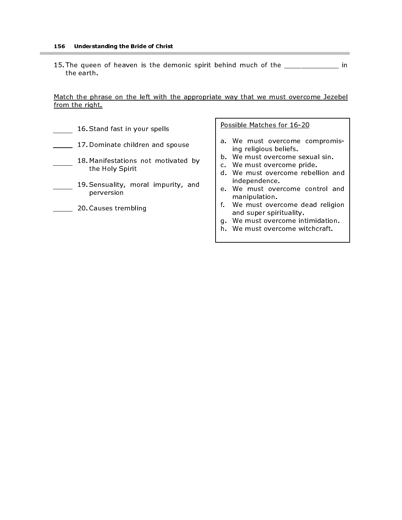15. The queen of heaven is the demonic spirit behind much of the \_\_\_\_\_\_\_\_\_\_\_\_\_ in the earth.

Match the phrase on the left with the appropriate way that we must overcome Jezebel from the right.

- 16. Stand fast in your spells
- 17. Dominate children and spouse
- 18. Manifestations not motivated by the Holy Spirit
- 19. Sensuality, moral impurity, and perversion
- **20. Causes trembling**

#### Possible Matches for 16-20

- a. We must overcome compromising religious beliefs.
- b. We must overcome sexual sin.
- c. We must overcome pride.
- d. We must overcome rebellion and independence.
- e. We must overcome control and manipulation.
- f. We must overcome dead religion and super spirituality.
- g. We must overcome intimidation.
- h. We must overcome witchcraft.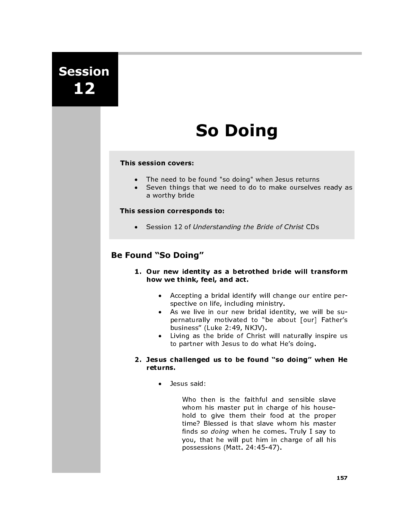Session 12

# So Doing

#### This session covers:

- The need to be found "so doing" when Jesus returns<br>• Seven things that we need to do to make ourselves
- Seven things that we need to do to make ourselves ready as a worthy bride

#### This session corresponds to:

• Session 12 of Understanding the Bride of Christ CDs

# Be Found "So Doing"

- 1. Our new identity as a betrothed bride will transform how we think, feel, and act.
	- Accepting a bridal identify will change our entire perspective on life, including ministry.
	- As we live in our new bridal identity, we will be supernaturally motivated to "be about [our] Father's business" (Luke 2:49, NKJV).
	- Living as the bride of Christ will naturally inspire us to partner with Jesus to do what He's doing.
- 2. Jesus challenged us to be found "so doing" when He returns.
	- Jesus said:

Who then is the faithful and sensible slave whom his master put in charge of his household to give them their food at the proper time? Blessed is that slave whom his master finds so doing when he comes. Truly I say to you, that he will put him in charge of all his possessions (Matt. 24:45-47).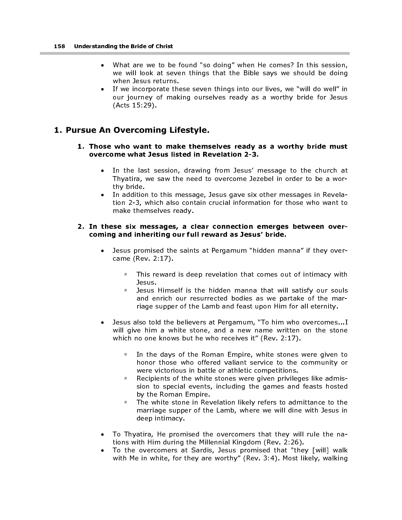- What are we to be found "so doing" when He comes? In this session, we will look at seven things that the Bible says we should be doing when Jesus returns.
- If we incorporate these seven things into our lives, we "will do well" in our journey of making ourselves ready as a worthy bride for Jesus (Acts 15:29).

# 1. Pursue An Overcoming Lifestyle.

#### 1. Those who want to make themselves ready as a worthy bride must overcome what Jesus listed in Revelation 2-3.

- In the last session, drawing from Jesus' message to the church at Thyatira, we saw the need to overcome Jezebel in order to be a worthy bride.
- In addition to this message, Jesus gave six other messages in Revelation 2-3, which also contain crucial information for those who want to make themselves ready.

#### 2. In these six messages, a clear connection emerges between overcoming and inheriting our full reward as Jesus' bride.

- Jesus promised the saints at Pergamum "hidden manna" if they overcame (Rev. 2:17).
	- This reward is deep revelation that comes out of intimacy with Jesus.
	- **DESUS Himself is the hidden manna that will satisfy our souls** and enrich our resurrected bodies as we partake of the marriage supper of the Lamb and feast upon Him for all eternity.
- Jesus also told the believers at Pergamum, "To him who overcomes... I will give him a white stone, and a new name written on the stone which no one knows but he who receives it" (Rev. 2:17).
	- □ In the days of the Roman Empire, white stones were given to honor those who offered valiant service to the community or were victorious in battle or athletic competitions.
	- **BECO** Recipients of the white stones were given privileges like admission to special events, including the games and feasts hosted by the Roman Empire.
	- The white stone in Revelation likely refers to admittance to the marriage supper of the Lamb, where we will dine with Jesus in deep intimacy.
- To Thyatira, He promised the overcomers that they will rule the nations with Him during the Millennial Kingdom (Rev. 2:26).
- To the overcomers at Sardis, Jesus promised that "they [will] walk with Me in white, for they are worthy" (Rev. 3:4). Most likely, walking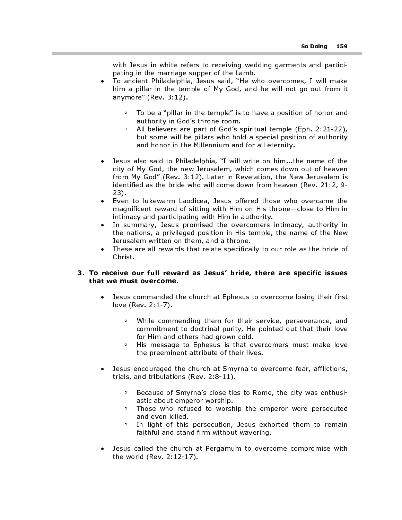with Jesus in white refers to receiving wedding garments and participating in the marriage supper of the Lamb.

- To ancient Philadelphia, Jesus said, "He who overcomes, I will make him a pillar in the temple of My God, and he will not go out from it anymore" (Rev. 3:12).
	- □ To be a "pillar in the temple" is to have a position of honor and authority in God's throne room.
	- All believers are part of God's spiritual temple (Eph. 2:21-22), but some will be pillars who hold a special position of authority and honor in the Millennium and for all eternity.
- Jesus also said to Philadelphia, "I will write on him...the name of the city of My God, the new Jerusalem, which comes down out of heaven from My God" (Rev. 3:12). Later in Revelation, the New Jerusalem is identified as the bride who will come down from heaven (Rev. 21:2, 9- 23).
- Even to lukewarm Laodicea, Jesus offered those who overcame the magnificent reward of sitting with Him on His throne—close to Him in intimacy and participating with Him in authority.
- In summary, Jesus promised the overcomers intimacy, authority in the nations, a privileged position in His temple, the name of the New Jerusalem written on them, and a throne.
- These are all rewards that relate specifically to our role as the bride of Christ.

#### 3. To receive our full reward as Jesus' bride, there are specific issues that we must overcome.

- Jesus commanded the church at Ephesus to overcome losing their first love (Rev. 2:1-7).
	- . While commending them for their service, perseverance, and commitment to doctrinal purity, He pointed out that their love for Him and others had grown cold.
	- **EXT** His message to Ephesus is that overcomers must make love the preeminent attribute of their lives.
- Jesus encouraged the church at Smyrna to overcome fear, afflictions, trials, and tribulations (Rev. 2:8-11).
	- **Because of Smyrna's close ties to Rome, the city was enthusi**astic about emperor worship.
	- **Those who refused to worship the emperor were persecuted** and even killed.
	- <sup>o</sup> In light of this persecution, Jesus exhorted them to remain faithful and stand firm without wavering.
- Jesus called the church at Pergamum to overcome compromise with the world (Rev. 2:12-17).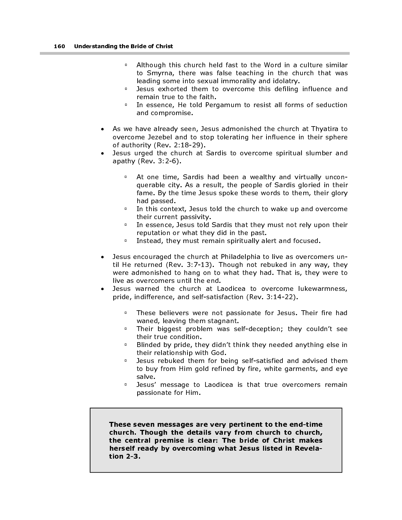- Although this church held fast to the Word in a culture similar to Smyrna, there was false teaching in the church that was leading some into sexual immorality and idolatry.
- **DESUS exhorted them to overcome this defiling influence and** remain true to the faith.
- **In essence, He told Pergamum to resist all forms of seduction** and compromise.
- As we have already seen, Jesus admonished the church at Thyatira to overcome Jezebel and to stop tolerating her influence in their sphere of authority (Rev. 2:18-29).
- Jesus urged the church at Sardis to overcome spiritual slumber and apathy (Rev. 3:2-6).
	- <sup>o</sup> At one time, Sardis had been a wealthy and virtually unconquerable city. As a result, the people of Sardis gloried in their fame. By the time Jesus spoke these words to them, their glory had passed.
	- In this context, Jesus told the church to wake up and overcome their current passivity.
	- In essence, Jesus told Sardis that they must not rely upon their reputation or what they did in the past.
	- **Instead, they must remain spiritually alert and focused.**
- Jesus encouraged the church at Philadelphia to live as overcomers until He returned (Rev. 3:7-13). Though not rebuked in any way, they were admonished to hang on to what they had. That is, they were to live as overcomers until the end.
- Jesus warned the church at Laodicea to overcome lukewarmness, pride, indifference, and self-satisfaction (Rev. 3:14-22).
	- **These believers were not passionate for Jesus. Their fire had** waned, leaving them stagnant.
	- Their biggest problem was self-deception; they couldn't see their true condition.
	- **Blinded by pride, they didn't think they needed anything else in** their relationship with God.
	- **DESUS rebuked them for being self-satisfied and advised them** to buy from Him gold refined by fire, white garments, and eye salve.
	- **D** Jesus' message to Laodicea is that true overcomers remain passionate for Him.

These seven messages are very pertinent to the end-time church. Though the details vary from church to church, the central premise is clear: The bride of Christ makes herself ready by overcoming what Jesus listed in Revelation 2-3.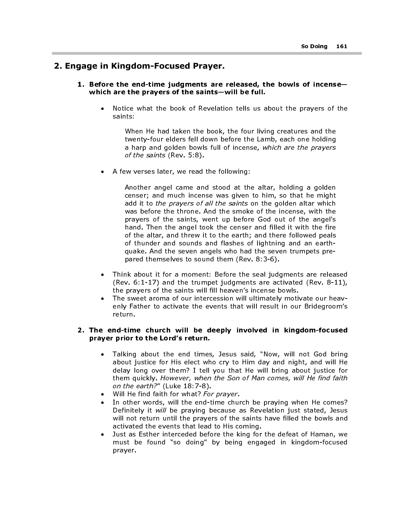## 2. Engage in Kingdom-Focused Prayer.

- 1. Before the end-time judgments are released, the bowls of incense which are the prayers of the saints—will be full.
	- Notice what the book of Revelation tells us about the prayers of the saints:

When He had taken the book, the four living creatures and the twenty-four elders fell down before the Lamb, each one holding a harp and golden bowls full of incense, which are the prayers of the saints (Rev. 5:8).

• A few verses later, we read the following:

Another angel came and stood at the altar, holding a golden censer; and much incense was given to him, so that he might add it to the prayers of all the saints on the golden altar which was before the throne. And the smoke of the incense, with the prayers of the saints, went up before God out of the angel's hand. Then the angel took the censer and filled it with the fire of the altar, and threw it to the earth; and there followed peals of thunder and sounds and flashes of lightning and an earthquake. And the seven angels who had the seven trumpets prepared themselves to sound them (Rev. 8:3-6).

- Think about it for a moment: Before the seal judgments are released (Rev. 6:1-17) and the trumpet judgments are activated (Rev. 8-11), the prayers of the saints will fill heaven's incense bowls.
- The sweet aroma of our intercession will ultimately motivate our heavenly Father to activate the events that will result in our Bridegroom's return.

#### 2. The end-time church will be deeply involved in kingdom-focused prayer prior to the Lord's return.

- Talking about the end times, Jesus said, "Now, will not God bring about justice for His elect who cry to Him day and night, and will He delay long over them? I tell you that He will bring about justice for them quickly. However, when the Son of Man comes, will He find faith on the earth?" (Luke 18:7-8).
- Will He find faith for what? For prayer.
- In other words, will the end-time church be praying when He comes? Definitely it will be praying because as Revelation just stated, Jesus will not return until the prayers of the saints have filled the bowls and activated the events that lead to His coming.
- Just as Esther interceded before the king for the defeat of Haman, we must be found "so doing" by being engaged in kingdom-focused prayer.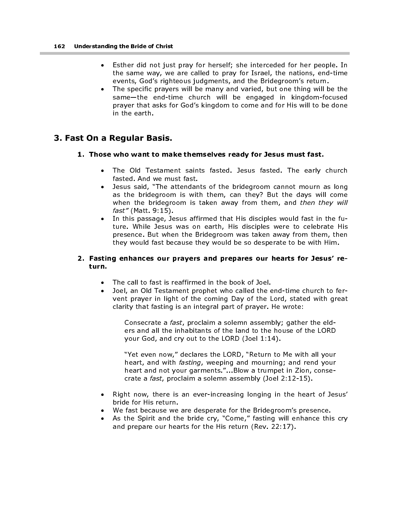- Esther did not just pray for herself; she interceded for her people. In the same way, we are called to pray for Israel, the nations, end-time events, God's righteous judgments, and the Bridegroom's return.
- The specific prayers will be many and varied, but one thing will be the same—the end-time church will be engaged in kingdom-focused prayer that asks for God's kingdom to come and for His will to be done in the earth.

## 3. Fast On a Regular Basis.

#### 1. Those who want to make themselves ready for Jesus must fast.

- The Old Testament saints fasted. Jesus fasted. The early church fasted. And we must fast.
- Jesus said, "The attendants of the bridegroom cannot mourn as long as the bridegroom is with them, can they? But the days will come when the bridegroom is taken away from them, and then they will fast" (Matt. 9:15).
- In this passage, Jesus affirmed that His disciples would fast in the future. While Jesus was on earth, His disciples were to celebrate His presence. But when the Bridegroom was taken away from them, then they would fast because they would be so desperate to be with Him.

#### 2. Fasting enhances our prayers and prepares our hearts for Jesus' return.

- The call to fast is reaffirmed in the book of Joel.
- Joel, an Old Testament prophet who called the end-time church to fervent prayer in light of the coming Day of the Lord, stated with great clarity that fasting is an integral part of prayer. He wrote:

Consecrate a fast, proclaim a solemn assembly; gather the elders and all the inhabitants of the land to the house of the LORD your God, and cry out to the LORD (Joel 1:14).

"Yet even now," declares the LORD, "Return to Me with all your heart, and with fasting, weeping and mourning; and rend your heart and not your garments."...Blow a trumpet in Zion, consecrate a fast, proclaim a solemn assembly (Joel 2:12-15).

- Right now, there is an ever-increasing longing in the heart of Jesus' bride for His return.
- We fast because we are desperate for the Bridegroom's presence.
- As the Spirit and the bride cry, "Come," fasting will enhance this cry and prepare our hearts for the His return (Rev. 22:17).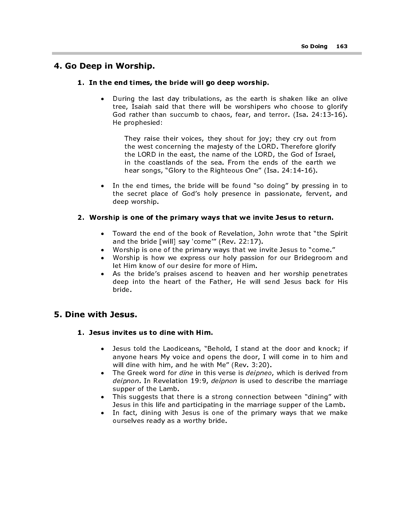## 4. Go Deep in Worship.

#### 1. In the end times, the bride will go deep worship.

• During the last day tribulations, as the earth is shaken like an olive tree, Isaiah said that there will be worshipers who choose to glorify God rather than succumb to chaos, fear, and terror. (Isa. 24:13-16). He prophesied:

They raise their voices, they shout for joy; they cry out from the west concerning the majesty of the LORD. Therefore glorify the LORD in the east, the name of the LORD, the God of Israel, in the coastlands of the sea. From the ends of the earth we hear songs, "Glory to the Righteous One" (Isa. 24:14-16).

In the end times, the bride will be found "so doing" by pressing in to the secret place of God's holy presence in passionate, fervent, and deep worship.

#### 2. Worship is one of the primary ways that we invite Jesus to return.

- Toward the end of the book of Revelation, John wrote that "the Spirit and the bride [will] say 'come'" (Rev. 22:17).
- Worship is one of the primary ways that we invite Jesus to "come."
- Worship is how we express our holy passion for our Bridegroom and let Him know of our desire for more of Him.
- As the bride's praises ascend to heaven and her worship penetrates deep into the heart of the Father, He will send Jesus back for His bride.

## 5. Dine with Jesus.

#### 1. Jesus invites us to dine with Him.

- Jesus told the Laodiceans, "Behold, I stand at the door and knock; if anyone hears My voice and opens the door, I will come in to him and will dine with him, and he with Me" (Rev. 3:20).
- The Greek word for *dine* in this verse is *deipneo*, which is derived from deipnon. In Revelation 19:9, deipnon is used to describe the marriage supper of the Lamb.
- This suggests that there is a strong connection between "dining" with Jesus in this life and participating in the marriage supper of the Lamb.
- In fact, dining with Jesus is one of the primary ways that we make ourselves ready as a worthy bride.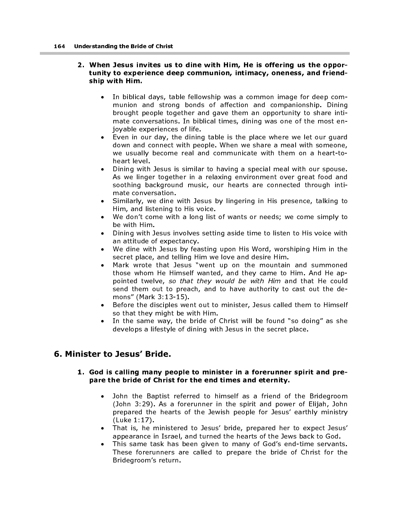#### 2. When Jesus invites us to dine with Him, He is offering us the opportunity to experience deep communion, intimacy, oneness, and friendship with Him.

- In biblical days, table fellowship was a common image for deep communion and strong bonds of affection and companionship. Dining brought people together and gave them an opportunity to share intimate conversations. In biblical times, dining was one of the most enjoyable experiences of life.
- Even in our day, the dining table is the place where we let our guard down and connect with people. When we share a meal with someone, we usually become real and communicate with them on a heart-toheart level.
- Dining with Jesus is similar to having a special meal with our spouse. As we linger together in a relaxing environment over great food and soothing background music, our hearts are connected through intimate conversation.
- Similarly, we dine with Jesus by lingering in His presence, talking to Him, and listening to His voice.
- We don't come with a long list of wants or needs; we come simply to be with Him.
- Dining with Jesus involves setting aside time to listen to His voice with an attitude of expectancy.
- We dine with Jesus by feasting upon His Word, worshiping Him in the secret place, and telling Him we love and desire Him.
- Mark wrote that Jesus "went up on the mountain and summoned those whom He Himself wanted, and they came to Him. And He appointed twelve, so that they would be with Him and that He could send them out to preach, and to have authority to cast out the demons" (Mark 3:13-15).
- Before the disciples went out to minister, Jesus called them to Himself so that they might be with Him.
- In the same way, the bride of Christ will be found "so doing" as she develops a lifestyle of dining with Jesus in the secret place.

# 6. Minister to Jesus' Bride.

#### 1. God is calling many people to minister in a forerunner spirit and prepare the bride of Christ for the end times and eternity.

- John the Baptist referred to himself as a friend of the Bridegroom (John 3:29). As a forerunner in the spirit and power of Elijah, John prepared the hearts of the Jewish people for Jesus' earthly ministry (Luke 1:17).
- That is, he ministered to Jesus' bride, prepared her to expect Jesus' appearance in Israel, and turned the hearts of the Jews back to God.
- This same task has been given to many of God's end-time servants. These forerunners are called to prepare the bride of Christ for the Bridegroom's return.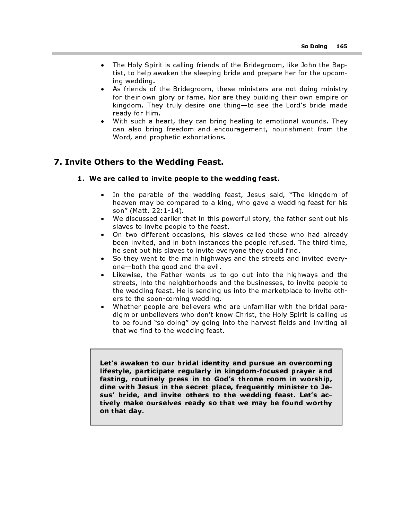- The Holy Spirit is calling friends of the Bridegroom, like John the Baptist, to help awaken the sleeping bride and prepare her for the upcoming wedding.
- As friends of the Bridegroom, these ministers are not doing ministry for their own glory or fame. Nor are they building their own empire or kingdom. They truly desire one thing—to see the Lord's bride made ready for Him. So Doing<br>
So Doing<br>
Usit, to help awaken the sleeping bride and prepare for the Ling<br>
usit, to help awaken the sleeping bride and prepare for the up<br>
In my deding.<br>
As fremds of the Bridegroom, these ministers are not doin
- With such a heart, they can bring healing to emotional wounds. They can also bring freedom and encouragement, nourishment from the Word, and prophetic exhortations.

# 7. Invite Others to the Wedding Feast.

#### 1. We are called to invite people to the wedding feast.

- In the parable of the wedding feast, Jesus said, "The kingdom of heaven may be compared to a king, who gave a wedding feast for his son" (Matt. 22:1-14).
- We discussed earlier that in this powerful story, the father sent out his slaves to invite people to the feast.
- On two different occasions, his slaves called those who had already been invited, and in both instances the people refused. The third time, he sent out his slaves to invite everyone they could find.
- So they went to the main highways and the streets and invited everyone—both the good and the evil.
- Likewise, the Father wants us to go out into the highways and the streets, into the neighborhoods and the businesses, to invite people to the wedding feast. He is sending us into the marketplace to invite others to the soon-coming wedding.
- Whether people are believers who are unfamiliar with the bridal paradigm or unbelievers who don't know Christ, the Holy Spirit is calling us to be found "so doing" by going into the harvest fields and inviting all that we find to the wedding feast.

lifestyle, participate regularly in kingdom-focused prayer and fasting, routinely press in to God's throne room in worship, dine with Jesus in the secret place, frequently minister to Jesus' bride, and invite others to the wedding feast. Let's actively make ourselves ready so that we may be found worthy on that day.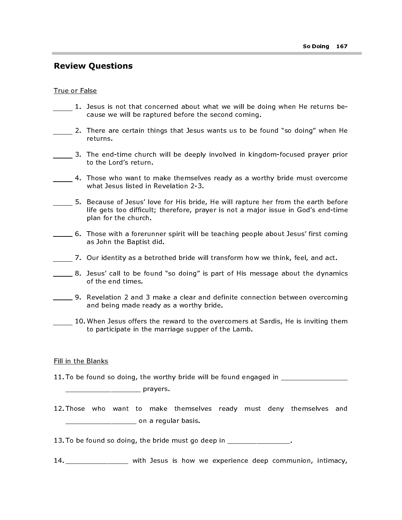## Review Questions

#### True or False

- 1. Jesus is not that concerned about what we will be doing when He returns because we will be raptured before the second coming.
- 2. There are certain things that Jesus wants us to be found "so doing" when He returns.
- 3. The end-time church will be deeply involved in kingdom-focused prayer prior to the Lord's return.
- 4. Those who want to make themselves ready as a worthy bride must overcome what Jesus listed in Revelation 2-3.
- 5. Because of Jesus' love for His bride, He will rapture her from the earth before life gets too difficult; therefore, prayer is not a major issue in God's end-time plan for the church.
- 6. Those with a forerunner spirit will be teaching people about Jesus' first coming as John the Baptist did.
- 7. Our identity as a betrothed bride will transform how we think, feel, and act.
- 8. Jesus' call to be found "so doing" is part of His message about the dynamics of the end times.
- 9. Revelation 2 and 3 make a clear and definite connection between overcoming and being made ready as a worthy bride.
- 10. When Jesus offers the reward to the overcomers at Sardis, He is inviting them to participate in the marriage supper of the Lamb.

#### Fill in the Blanks

11. To be found so doing, the worthy bride will be found engaged in \_\_\_\_\_\_\_\_\_\_\_\_\_

\_\_\_\_\_\_\_\_\_\_\_\_\_\_\_\_\_\_\_\_\_ prayers.

12. Those who want to make themselves ready must deny themselves and \_\_\_\_\_\_\_\_\_\_\_\_\_\_\_\_\_ on a regular basis.

13. To be found so doing, the bride must go deep in \_\_\_\_\_\_\_\_\_\_\_\_\_\_\_.

14. \_\_\_\_\_\_\_\_\_\_\_\_\_\_ with Jesus is how we experience deep communion, intimacy,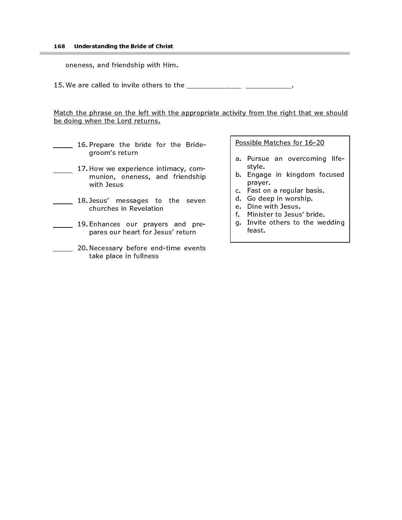oneness, and friendship with Him.

15. We are called to invite others to the \_\_\_\_\_\_\_\_\_\_\_\_\_\_\_\_\_\_\_\_\_\_\_\_\_\_\_\_\_\_.

Match the phrase on the left with the appropriate activity from the right that we should be doing when the Lord returns.

- 16. Prepare the bride for the Bridegroom's return
	- 17. How we experience intimacy, communion, oneness, and friendship with Jesus
	- 18. Jesus' messages to the seven churches in Revelation
- 19. Enhances our prayers and prepares our heart for Jesus' return
- **20. Necessary before end-time events** take place in fullness

Possible Matches for 16-20

- a. Pursue an overcoming lifestyle.
- b. Engage in kingdom focused prayer.
- c. Fast on a regular basis.
- d. Go deep in worship.
- e. Dine with Jesus.
- f. Minister to Jesus' bride.
- g. Invite others to the wedding feast.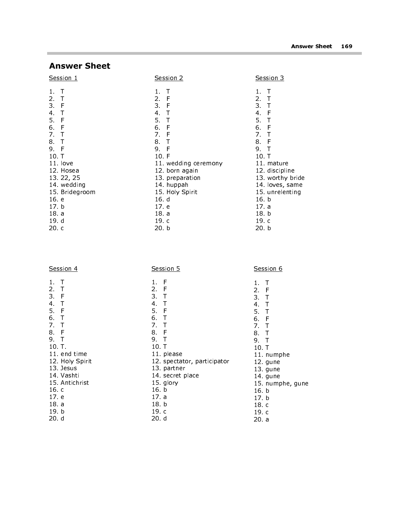e.

# Answer Sheet

| Session 1      |                |  |  |  |
|----------------|----------------|--|--|--|
| 1.             | Τ              |  |  |  |
| 2.             | Τ              |  |  |  |
| 3. F           |                |  |  |  |
| 4 <sub>1</sub> |                |  |  |  |
| 5. F           |                |  |  |  |
| 6. F           |                |  |  |  |
| 7 <sub>7</sub> |                |  |  |  |
| 8 T            |                |  |  |  |
| 9 F            |                |  |  |  |
| 10 T           |                |  |  |  |
|                | 11. love       |  |  |  |
|                | 12. Hosea      |  |  |  |
|                | 13.22,25       |  |  |  |
|                | 14 wedding     |  |  |  |
|                | 15. Bridegroom |  |  |  |
| 16 e           |                |  |  |  |
| 17 b           |                |  |  |  |
| 18 a           |                |  |  |  |
| 19 d           |                |  |  |  |
| 20 с           |                |  |  |  |

Session 4

| Session 2                        | Session 3                   |
|----------------------------------|-----------------------------|
| $1$ .<br>Т<br>2. F<br>3 F<br>4 T | 1.<br>т<br>2T<br>3 T<br>4 F |
| 5. T<br>6 F                      | 5. T<br>6. F                |
| 7 F                              | 7. T                        |
| 8 T                              | 8 F                         |
| 9. F                             | 9 T                         |
| 10 F                             | 10. T                       |
| 11. wedding ceremony             | 11. mature                  |
| 12. born again                   | 12 discipline               |
| 13 preparation                   | 13 worthy bride             |
| 14. huppah                       | 14 loves, same              |
| 15 Holy Spirit                   | 15. unrelenting             |
| 16 d                             | 16 b                        |
| 17 e                             | 17 a                        |
| 18 a                             | 18 b                        |
| 19 с                             | 19 c                        |
| 20 b                             | 20 b                        |

| Session 4      | Session 5                   | Session 6        |
|----------------|-----------------------------|------------------|
| ⊤<br>1.        | F<br>1.                     | 1.<br>ा          |
| 2.<br>$\top$   | 2 F                         | 2 F              |
| -F<br>З.       | 3 <sub>1</sub>              | 3 <sub>1</sub>   |
| Τ<br>4.        | 4 <sup>1</sup><br>Т         | 4.<br>$\top$     |
| 5 F            | 5 F                         | 5 <sub>1</sub>   |
| $\top$<br>6.   | 6. T                        | 6. F             |
| $\top$<br>7.   | 7 <sub>7</sub>              | 7 <sub>7</sub>   |
| F<br>8.        | 8 F                         | $\top$<br>8.     |
| 9.<br>ा        | 9. T                        | 9. T             |
| $10$ T.        | 10T                         | 10. T            |
| 11 end time    | 11 please                   | 11 numphe        |
| 12 Holy Spirit | 12. spectator, participator | 12. gune         |
| 13. Jesus      | 13 partner                  | 13. gune         |
| 14 Vashti      | 14 secret place             | 14 gune          |
| 15 Antichrist  | 15. glory                   | 15. numphe, gune |
| 16 с           | 16 b                        | 16 b             |
| 17e            | 17 a                        | 17 b             |
| 18 a           | 18 b                        | 18 c             |
| 19 b           | 19 с                        | 19 с             |
| 20 d           | 20 d                        | 20 a             |

20. a

#### 19. b 20. d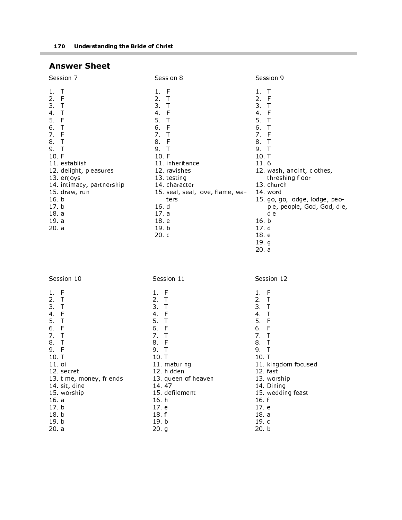# Answer Sheet

Ē.

| Session 7                 | <u>Session 8</u>                 | Session 9                      |
|---------------------------|----------------------------------|--------------------------------|
| Τ                         | -F<br>1.                         | ा<br>1.                        |
| F<br>2.                   | $2 -$<br>$\top$                  | $2 -$<br>-F                    |
| 3.<br>Т                   | 3.<br>ा                          | 3.<br>$\top$                   |
| Т<br>4.                   | 4.<br>- F                        | 4.<br>-F                       |
| F<br>5.                   | 5.<br>$\top$                     | 5.                             |
| Τ<br>6.                   | 6.<br>- F                        | 6.                             |
| 7.<br>-F                  | 7 <sup>1</sup><br>$\top$         | 7.<br>- F                      |
| 8.<br>$\top$              | 8 F                              | 8.<br>$\top$                   |
| 9.<br>Т                   | 9.<br>$\top$                     | 9.                             |
| 10 F                      | 10 F                             | 10 <sub>1</sub>                |
| 11 establish              | 11 inheritance                   | 11 6                           |
| 12. delight, pleasures    | 12. ravishes                     | 12. wash, anoint, clothes,     |
| 13 enjoys                 | 13 testing                       | threshing floor                |
| 14. intimacy, partnership | 14 character                     | 13. church                     |
| 15 draw, run              | 15. seal, seal, love, flame, wa- | 14 word                        |
| 16 <sub>b</sub>           | ters                             | 15. go, go, lodge, lodge, peo- |
| 17 <sub>b</sub>           | 16 d                             | ple, people, God, God, die,    |
| 18a                       | 17a                              | die                            |
| 19 a                      | 18 e                             | 16 b                           |
| 20 a                      | 19 b                             | 17 d                           |
|                           | 20 c                             | 18 e                           |

19. g 20. a

÷

| Session 10               | Session 11          | Session 12          |
|--------------------------|---------------------|---------------------|
| F<br>1.                  | 1 F                 | 1 F                 |
| 2.<br>$\top$             | 2T                  | 2T                  |
| $\top$<br>3.             | 3 <sub>1</sub>      | 3 <sub>1</sub>      |
| F<br>4.                  | 4 F                 | 4<br>$\top$         |
| 5. T                     | 5. T                | 5. F                |
| 6. F                     | 6. F                | 6. F                |
| 7 <sub>7</sub>           | 7 <sub>1</sub>      | 7 <sub>7</sub>      |
| 8 T                      | 8 F                 | 8 T                 |
| 9. F                     | 9 T                 | 9. T                |
| 10T                      | 10 T                | 10T                 |
| $11$ oil                 | 11 maturing         | 11. kingdom focused |
| 12 secret                | 12. hidden          | 12 fast             |
| 13. time, money, friends | 13. queen of heaven | 13 worship          |
| 14 sit, dine             | 14 47               | 14 Dining           |
| 15 worship               | 15 defilement       | 15. wedding feast   |
| 16 a                     | 16 h                | 16 f                |
| 17 b                     | 17 e                | 17 e                |
| 18 b                     | 18 f                | 18 a                |
| 19 b                     | 19 b                | 19 c                |
| 20 a                     | 20. g               | 20 b                |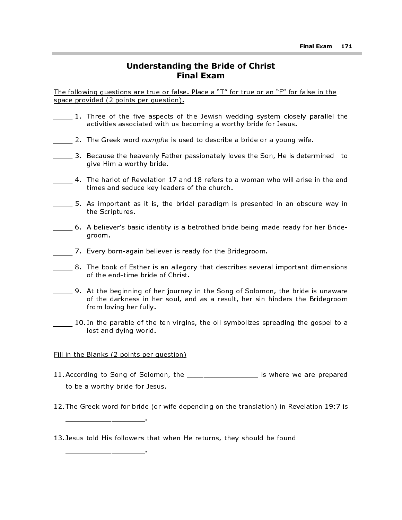# Understanding the Bride of Christ Final Exam

The following questions are true or false. Place a "T" for true or an "F" for false in the space provided (2 points per question).

- 1. Three of the five aspects of the Jewish wedding system closely parallel the activities associated with us becoming a worthy bride for Jesus.
- 2. The Greek word *numphe* is used to describe a bride or a young wife.
- 3. Because the heavenly Father passionately loves the Son, He is determined to give Him a worthy bride.
- 4. The harlot of Revelation 17 and 18 refers to a woman who will arise in the end times and seduce key leaders of the church.
- 5. As important as it is, the bridal paradigm is presented in an obscure way in the Scriptures.
- 6. A believer's basic identity is a betrothed bride being made ready for her Bridegroom.
- 7. Every born-again believer is ready for the Bridegroom.
- 8. The book of Esther is an allegory that describes several important dimensions of the end-time bride of Christ.
	- 9. At the beginning of her journey in the Song of Solomon, the bride is unaware of the darkness in her soul, and as a result, her sin hinders the Bridegroom from loving her fully.
- 10. In the parable of the ten virgins, the oil symbolizes spreading the gospel to a lost and dying world.

#### Fill in the Blanks (2 points per question)

\_\_\_\_\_\_\_\_\_\_\_\_\_\_\_\_\_\_\_.

- 11. According to Song of Solomon, the \_\_\_\_\_\_\_\_\_\_\_\_\_\_\_\_\_\_\_ is where we are prepared to be a worthy bride for Jesus.
- 12. The Greek word for bride (or wife depending on the translation) in Revelation 19:7 is
- 13. Jesus told His followers that when He returns, they should be found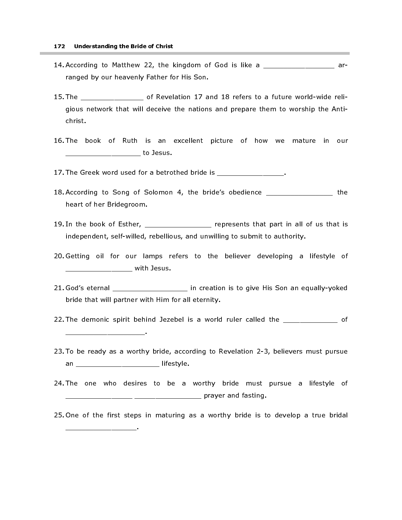- 14. According to Matthew 22, the kingdom of God is like a \_\_\_\_\_\_\_\_\_\_\_\_\_\_\_\_\_\_ arranged by our heavenly Father for His Son.
- 15. The \_\_\_\_\_\_\_\_\_\_\_\_\_\_\_ of Revelation 17 and 18 refers to a future world-wide religious network that will deceive the nations and prepare them to worship the Antichrist.
- 16. The book of Ruth is an excellent picture of how we mature in our \_\_\_\_\_\_\_\_\_\_\_\_\_\_\_\_ to Jesus.

17. The Greek word used for a betrothed bride is \_\_\_\_\_\_\_\_\_\_\_\_\_\_\_\_.

- 18. According to Song of Solomon 4, the bride's obedience \_\_\_\_\_\_\_\_\_\_\_\_\_\_\_\_ the heart of her Bridegroom.
- 19. In the book of Esther, \_\_\_\_\_\_\_\_\_\_\_\_\_\_\_\_ represents that part in all of us that is independent, self-willed, rebellious, and unwilling to submit to authority.
- 20. Getting oil for our lamps refers to the believer developing a lifestyle of with Jesus.
- 21. God's eternal \_\_\_\_\_\_\_\_\_\_\_\_\_\_\_\_\_\_ in creation is to give His Son an equally-yoked bride that will partner with Him for all eternity.
- 22. The demonic spirit behind Jezebel is a world ruler called the \_\_\_\_\_\_\_\_\_\_\_\_\_ of \_\_\_\_\_\_\_\_\_\_\_\_\_\_\_\_\_\_\_.
- 23. To be ready as a worthy bride, according to Revelation 2-3, believers must pursue an \_\_\_\_\_\_\_\_\_\_\_\_\_\_\_\_\_\_\_\_\_ lifestyle.
- 24. The one who desires to be a worthy bride must pursue a lifestyle of \_\_\_\_\_\_\_\_\_ \_\_\_\_\_\_\_\_\_\_\_\_\_\_\_\_\_\_\_ prayer and fasting.
- 25. One of the first steps in maturing as a worthy bride is to develop a true bridal \_\_\_\_\_\_\_\_\_\_\_\_\_\_\_\_\_.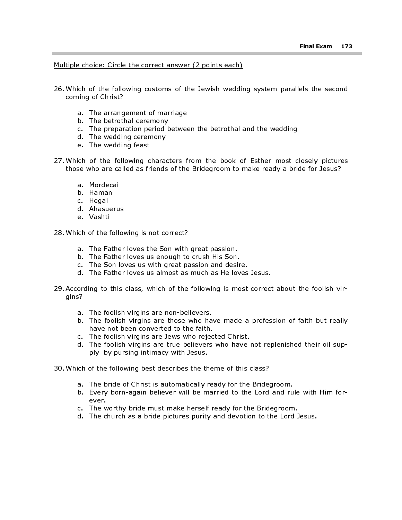Multiple choice: Circle the correct answer (2 points each)

- 26. Which of the following customs of the Jewish wedding system parallels the second coming of Christ?
	- a. The arrangement of marriage
	- b. The betrothal ceremony
	- c. The preparation period between the betrothal and the wedding
	- d. The wedding ceremony
	- e. The wedding feast
- 27. Which of the following characters from the book of Esther most closely pictures those who are called as friends of the Bridegroom to make ready a bride for Jesus?
	- a. Mordecai
	- b. Haman
	- c. Hegai
	- d. Ahasuerus
	- e. Vashti

28. Which of the following is not correct?

- a. The Father loves the Son with great passion.
- b. The Father loves us enough to crush His Son.
- c. The Son loves us with great passion and desire.
- d. The Father loves us almost as much as He loves Jesus.
- 29. According to this class, which of the following is most correct about the foolish virgins?
	- a. The foolish virgins are non-believers.
	- b. The foolish virgins are those who have made a profession of faith but really have not been converted to the faith.
	- c. The foolish virgins are Jews who rejected Christ.
	- d. The foolish virgins are true believers who have not replenished their oil supply by pursing intimacy with Jesus.
- 30. Which of the following best describes the theme of this class?
	- a. The bride of Christ is automatically ready for the Bridegroom.
	- b. Every born-again believer will be married to the Lord and rule with Him forever.
	- c. The worthy bride must make herself ready for the Bridegroom.
	- d. The church as a bride pictures purity and devotion to the Lord Jesus.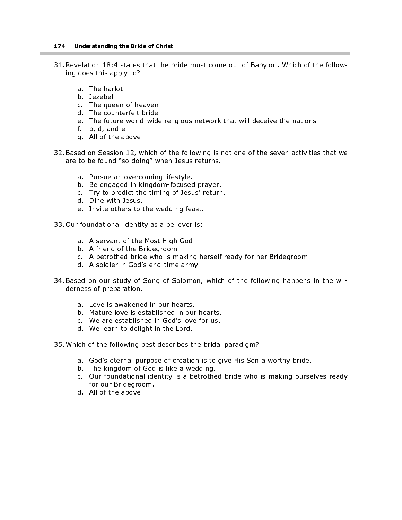- 31. Revelation 18:4 states that the bride must come out of Babylon. Which of the following does this apply to?
	- a. The harlot
	- b. Jezebel
	- c. The queen of heaven
	- d. The counterfeit bride
	- e. The future world-wide religious network that will deceive the nations
	- f. b, d, and e
	- g. All of the above
- 32. Based on Session 12, which of the following is not one of the seven activities that we are to be found "so doing" when Jesus returns.
	- a. Pursue an overcoming lifestyle.
	- b. Be engaged in kingdom-focused prayer.
	- c. Try to predict the timing of Jesus' return.
	- d. Dine with Jesus.
	- e. Invite others to the wedding feast.
- 33. Our foundational identity as a believer is:
	- a. A servant of the Most High God
	- b. A friend of the Bridegroom
	- c. A betrothed bride who is making herself ready for her Bridegroom
	- d. A soldier in God's end-time army
- 34. Based on our study of Song of Solomon, which of the following happens in the wilderness of preparation.
	- a. Love is awakened in our hearts.
	- b. Mature love is established in our hearts.
	- c. We are established in God's love for us.
	- d. We learn to delight in the Lord.
- 35. Which of the following best describes the bridal paradigm?
	- a. God's eternal purpose of creation is to give His Son a worthy bride.
	- b. The kingdom of God is like a wedding.
	- c. Our foundational identity is a betrothed bride who is making ourselves ready for our Bridegroom.
	- d. All of the above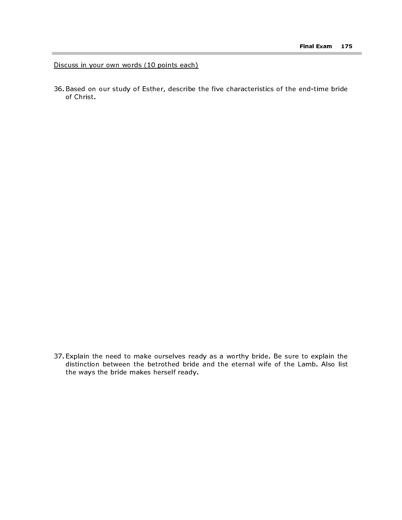Discuss in your own words (10 points each)

36. Based on our study of Esther, describe the five characteristics of the end-time bride of Christ.

37. Explain the need to make ourselves ready as a worthy bride. Be sure to explain the distinction between the betrothed bride and the eternal wife of the Lamb. Also list the ways the bride makes herself ready.